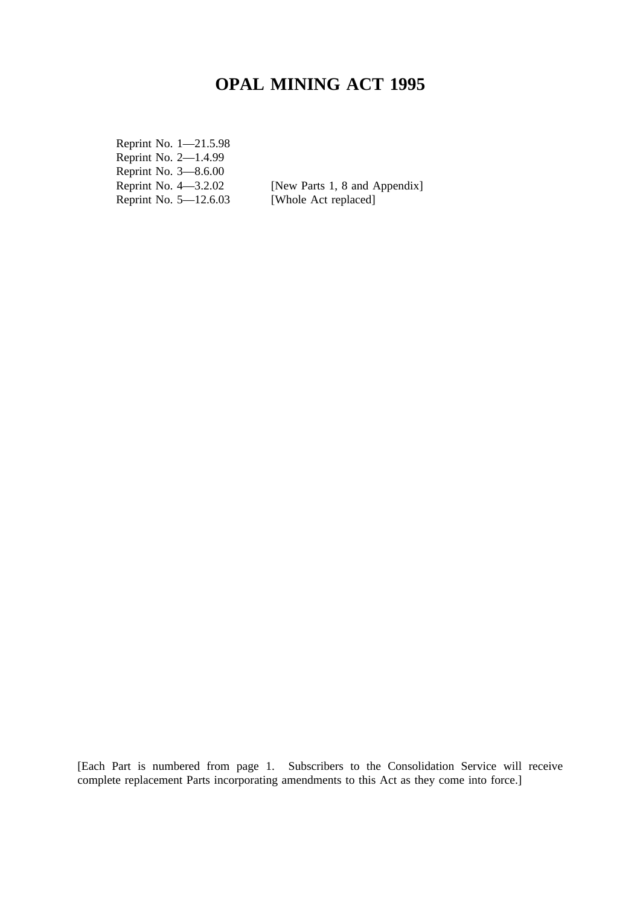# **OPAL MINING ACT 1995**

Reprint No. 1—21.5.98 Reprint No. 2—1.4.99 Reprint No. 3–8.6.00<br>Reprint No. 4–3.2.02 Reprint No.  $5-12.6.03$ 

[New Parts 1, 8 and Appendix]<br>[Whole Act replaced]

[Each Part is numbered from page 1. Subscribers to the Consolidation Service will receive complete replacement Parts incorporating amendments to this Act as they come into force.]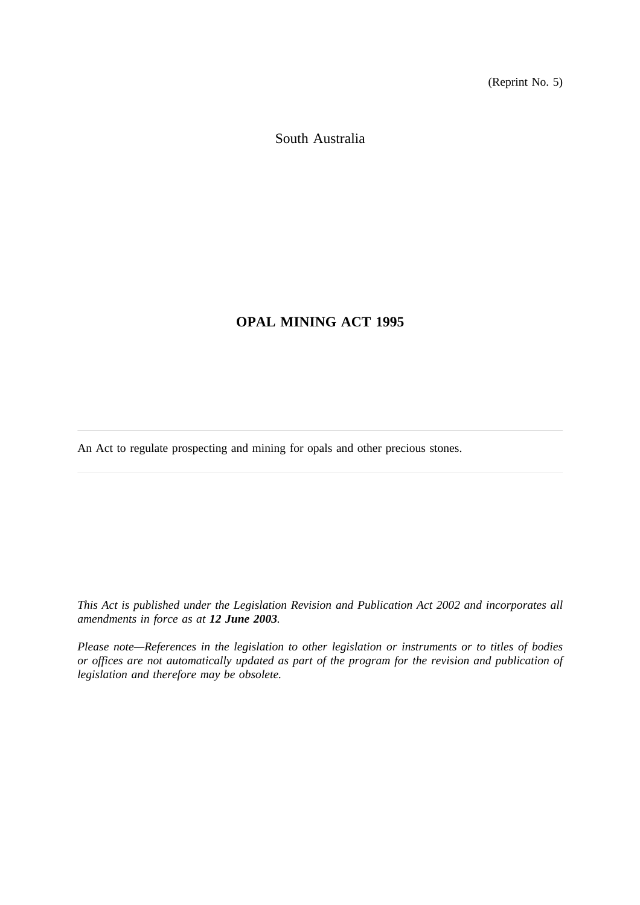(Reprint No. 5)

South Australia

## **OPAL MINING ACT 1995**

An Act to regulate prospecting and mining for opals and other precious stones.

*This Act is published under the Legislation Revision and Publication Act 2002 and incorporates all amendments in force as at 12 June 2003.*

*Please note—References in the legislation to other legislation or instruments or to titles of bodies or offices are not automatically updated as part of the program for the revision and publication of legislation and therefore may be obsolete.*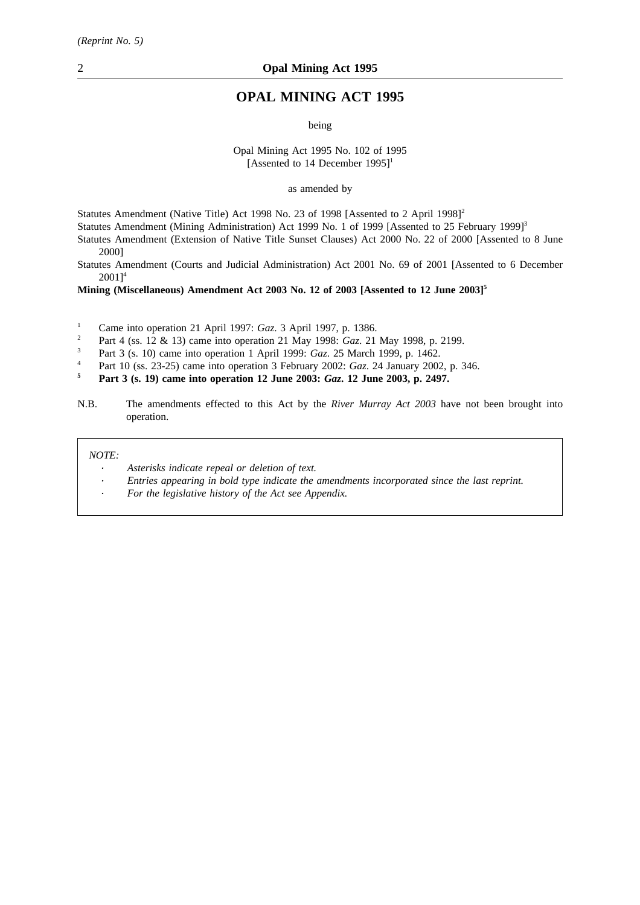## **OPAL MINING ACT 1995**

being

Opal Mining Act 1995 No. 102 of 1995 [Assented to 14 December 1995]<sup>1</sup>

as amended by

Statutes Amendment (Native Title) Act 1998 No. 23 of 1998 [Assented to 2 April 1998]<sup>2</sup>

Statutes Amendment (Mining Administration) Act 1999 No. 1 of 1999 [Assented to 25 February 1999]<sup>3</sup>

Statutes Amendment (Extension of Native Title Sunset Clauses) Act 2000 No. 22 of 2000 [Assented to 8 June 2000]

Statutes Amendment (Courts and Judicial Administration) Act 2001 No. 69 of 2001 [Assented to 6 December  $2001$ <sup>4</sup>

**Mining (Miscellaneous) Amendment Act 2003 No. 12 of 2003 [Assented to 12 June 2003]5**

<sup>1</sup> Came into operation 21 April 1997: *Gaz*. 3 April 1997, p. 1386.<br><sup>2</sup> Part 4 (gg 12 ft 13) game into operation 21 May 1009: *Ggz* 21.

<sup>2</sup> Part 4 (ss. 12 & 13) came into operation 21 May 1998: *Gaz*. 21 May 1998, p. 2199.

<sup>3</sup> Part 3 (s. 10) came into operation 1 April 1999: *Gaz*. 25 March 1999, p. 1462.

<sup>4</sup> Part 10 (ss. 23-25) came into operation 3 February 2002: *Gaz*. 24 January 2002, p. 346.

**<sup>5</sup> Part 3 (s. 19) came into operation 12 June 2003:** *Gaz***. 12 June 2003, p. 2497.**

N.B. The amendments effected to this Act by the *River Murray Act 2003* have not been brought into operation.

*NOTE:*

- *Asterisks indicate repeal or deletion of text.*
- *Entries appearing in bold type indicate the amendments incorporated since the last reprint.*
- *For the legislative history of the Act see Appendix.*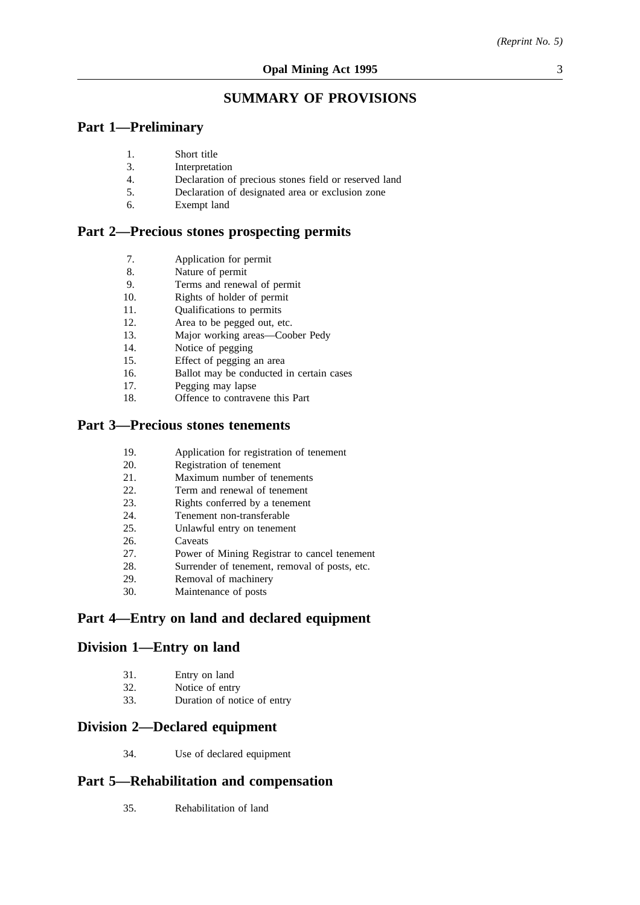## **SUMMARY OF PROVISIONS**

## **Part 1—Preliminary**

- 1. Short title
- 3. Interpretation
- 4. Declaration of precious stones field or reserved land
- 5. Declaration of designated area or exclusion zone
- 6. Exempt land

## **Part 2—Precious stones prospecting permits**

- 7. Application for permit
- 8. Nature of permit
- 9. Terms and renewal of permit
- 10. Rights of holder of permit
- 11. Qualifications to permits
- 12. Area to be pegged out, etc.
- 13. Major working areas—Coober Pedy
- 14. Notice of pegging
- 15. Effect of pegging an area
- 16. Ballot may be conducted in certain cases
- 17. Pegging may lapse
- 18. Offence to contravene this Part

## **Part 3—Precious stones tenements**

- 19. Application for registration of tenement
- 20. Registration of tenement
- 21. Maximum number of tenements<br>
22 Term and renewal of tenement
- Term and renewal of tenement
- 23. Rights conferred by a tenement
- 24. Tenement non-transferable
- 25. Unlawful entry on tenement
- 26. Caveats
- 27. Power of Mining Registrar to cancel tenement
- 28. Surrender of tenement, removal of posts, etc.
- 29. Removal of machinery
- 30. Maintenance of posts

## **Part 4—Entry on land and declared equipment**

## **Division 1—Entry on land**

| 31. | Entry on land   |
|-----|-----------------|
| 32. | Notice of entry |

33. Duration of notice of entry

## **Division 2—Declared equipment**

34. Use of declared equipment

## **Part 5—Rehabilitation and compensation**

35. Rehabilitation of land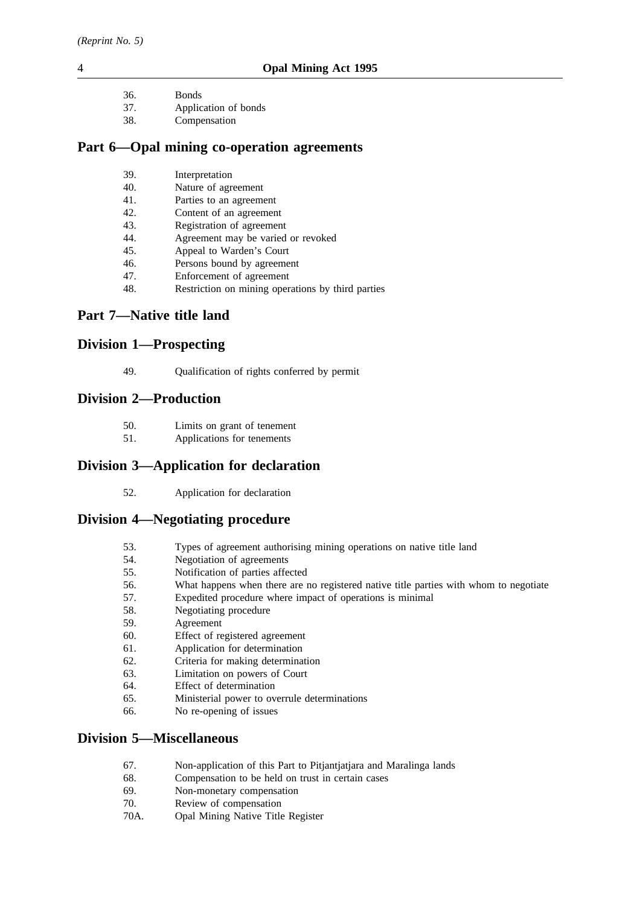*(Reprint No. 5)*

- 36. Bonds
- 37. Application of bonds
- 38. Compensation

## **Part 6—Opal mining co-operation agreements**

- 39. Interpretation
- 40. Nature of agreement
- 41. Parties to an agreement
- 42. Content of an agreement
- 43. Registration of agreement
- 44. Agreement may be varied or revoked
- 45. Appeal to Warden's Court
- 46. Persons bound by agreement
- 47. Enforcement of agreement
- 48. Restriction on mining operations by third parties

## **Part 7—Native title land**

## **Division 1—Prospecting**

49. Qualification of rights conferred by permit

## **Division 2—Production**

- 50. Limits on grant of tenement
- 51. Applications for tenements

## **Division 3—Application for declaration**

52. Application for declaration

## **Division 4—Negotiating procedure**

- 53. Types of agreement authorising mining operations on native title land
- 54. Negotiation of agreements
- 55. Notification of parties affected
- 56. What happens when there are no registered native title parties with whom to negotiate
- 57. Expedited procedure where impact of operations is minimal
- 58. Negotiating procedure
- 59. Agreement
- 60. Effect of registered agreement
- 61. Application for determination
- 62. Criteria for making determination
- 63. Limitation on powers of Court
- 64. Effect of determination
- 65. Ministerial power to overrule determinations
- 66. No re-opening of issues

## **Division 5—Miscellaneous**

- 67. Non-application of this Part to Pitjantjatjara and Maralinga lands
- 68. Compensation to be held on trust in certain cases
- 69. Non-monetary compensation
- 70. Review of compensation
- 70A. Opal Mining Native Title Register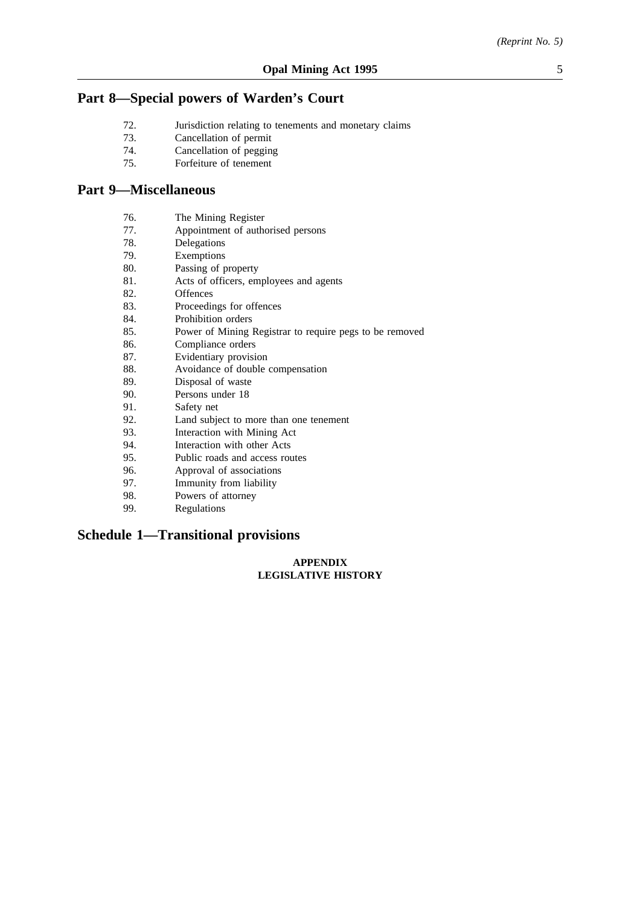## **Part 8—Special powers of Warden's Court**

- 72. Jurisdiction relating to tenements and monetary claims
- 73. Cancellation of permit
- 74. Cancellation of pegging
- 75. Forfeiture of tenement

## **Part 9—Miscellaneous**

- 76. The Mining Register<br>77. Appointment of author
- 77. Appointment of authorised persons<br>
78. Delegations
- Delegations
- 79. Exemptions
- 80. Passing of property
- 81. Acts of officers, employees and agents
- 82. Offences
- 83. Proceedings for offences
- 84. Prohibition orders
- 85. Power of Mining Registrar to require pegs to be removed
- 86. Compliance orders
- 87. Evidentiary provision
- 88. Avoidance of double compensation
- 89. Disposal of waste
- 90. Persons under 18
- 91. Safety net
- 92. Land subject to more than one tenement<br>93. Interaction with Mining Act
- Interaction with Mining Act
- 94. Interaction with other Acts
- 95. Public roads and access routes
- 96. Approval of associations
- 97. Immunity from liability
- 98. Powers of attorney
- 99. Regulations

## **Schedule 1—Transitional provisions**

#### **APPENDIX LEGISLATIVE HISTORY**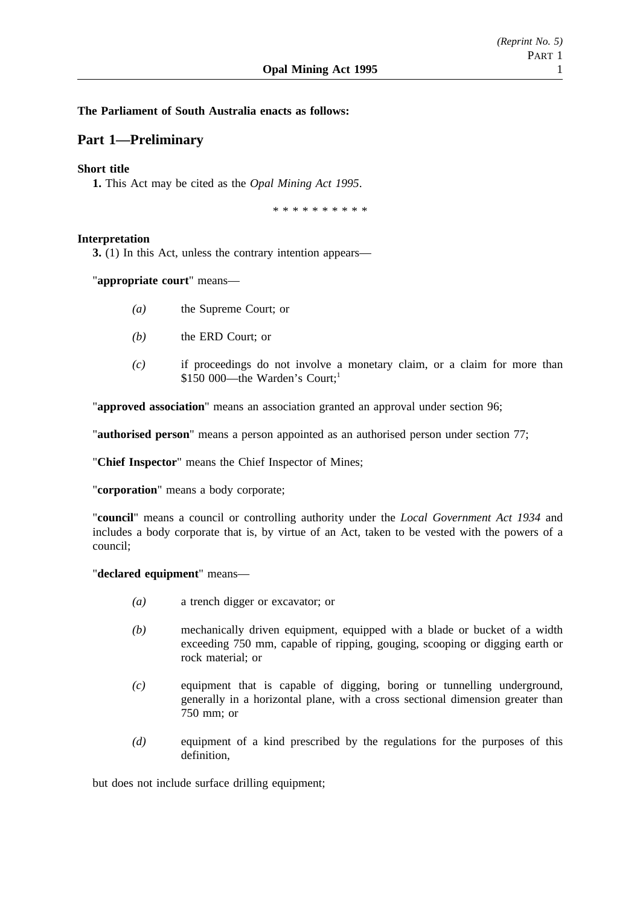## **The Parliament of South Australia enacts as follows:**

## **Part 1—Preliminary**

### **Short title**

**1.** This Act may be cited as the *Opal Mining Act 1995*.

\*\*\*\*\*\*\*\*\*\*

#### **Interpretation**

**3.** (1) In this Act, unless the contrary intention appears—

"**appropriate court**" means—

- *(a)* the Supreme Court; or
- *(b)* the ERD Court; or
- *(c)* if proceedings do not involve a monetary claim, or a claim for more than \$150 000—the Warden's Court:<sup>1</sup>

"**approved association**" means an association granted an approval under section 96;

"**authorised person**" means a person appointed as an authorised person under section 77;

"**Chief Inspector**" means the Chief Inspector of Mines;

"**corporation**" means a body corporate;

"**council**" means a council or controlling authority under the *Local Government Act 1934* and includes a body corporate that is, by virtue of an Act, taken to be vested with the powers of a council;

"**declared equipment**" means—

- *(a)* a trench digger or excavator; or
- *(b)* mechanically driven equipment, equipped with a blade or bucket of a width exceeding 750 mm, capable of ripping, gouging, scooping or digging earth or rock material; or
- *(c)* equipment that is capable of digging, boring or tunnelling underground, generally in a horizontal plane, with a cross sectional dimension greater than 750 mm; or
- *(d)* equipment of a kind prescribed by the regulations for the purposes of this definition,

but does not include surface drilling equipment;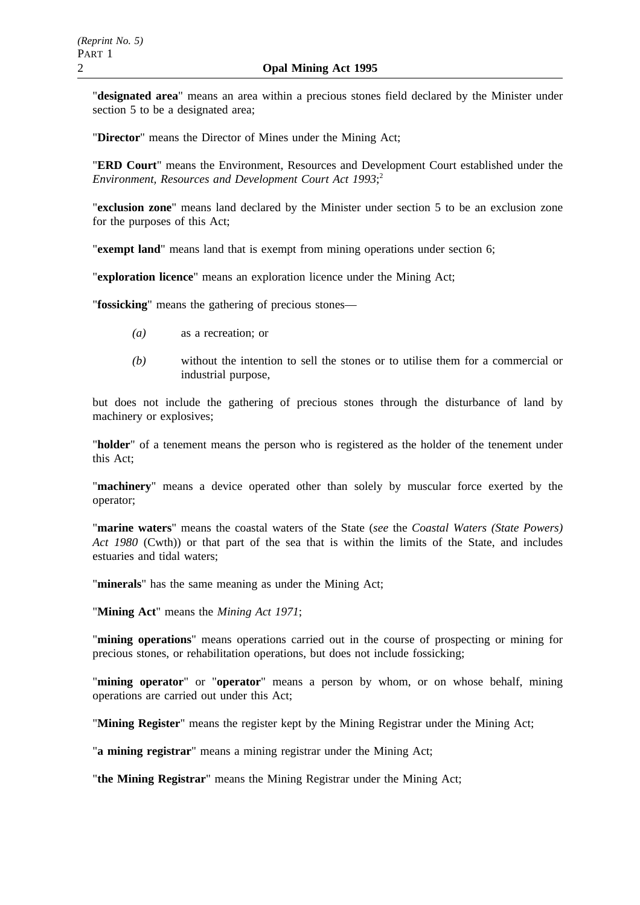"**designated area**" means an area within a precious stones field declared by the Minister under section 5 to be a designated area;

"**Director**" means the Director of Mines under the Mining Act;

"**ERD Court**" means the Environment, Resources and Development Court established under the *Environment, Resources and Development Court Act 1993*; 2

"**exclusion zone**" means land declared by the Minister under section 5 to be an exclusion zone for the purposes of this Act;

"**exempt land**" means land that is exempt from mining operations under section 6;

"**exploration licence**" means an exploration licence under the Mining Act;

"**fossicking**" means the gathering of precious stones—

- *(a)* as a recreation; or
- *(b)* without the intention to sell the stones or to utilise them for a commercial or industrial purpose,

but does not include the gathering of precious stones through the disturbance of land by machinery or explosives;

"**holder**" of a tenement means the person who is registered as the holder of the tenement under this Act;

"**machinery**" means a device operated other than solely by muscular force exerted by the operator;

"**marine waters**" means the coastal waters of the State (*see* the *Coastal Waters (State Powers) Act 1980* (Cwth)) or that part of the sea that is within the limits of the State, and includes estuaries and tidal waters;

"**minerals**" has the same meaning as under the Mining Act;

"**Mining Act**" means the *Mining Act 1971*;

"**mining operations**" means operations carried out in the course of prospecting or mining for precious stones, or rehabilitation operations, but does not include fossicking;

"**mining operator**" or "**operator**" means a person by whom, or on whose behalf, mining operations are carried out under this Act;

"**Mining Register**" means the register kept by the Mining Registrar under the Mining Act;

"**a mining registrar**" means a mining registrar under the Mining Act;

"**the Mining Registrar**" means the Mining Registrar under the Mining Act;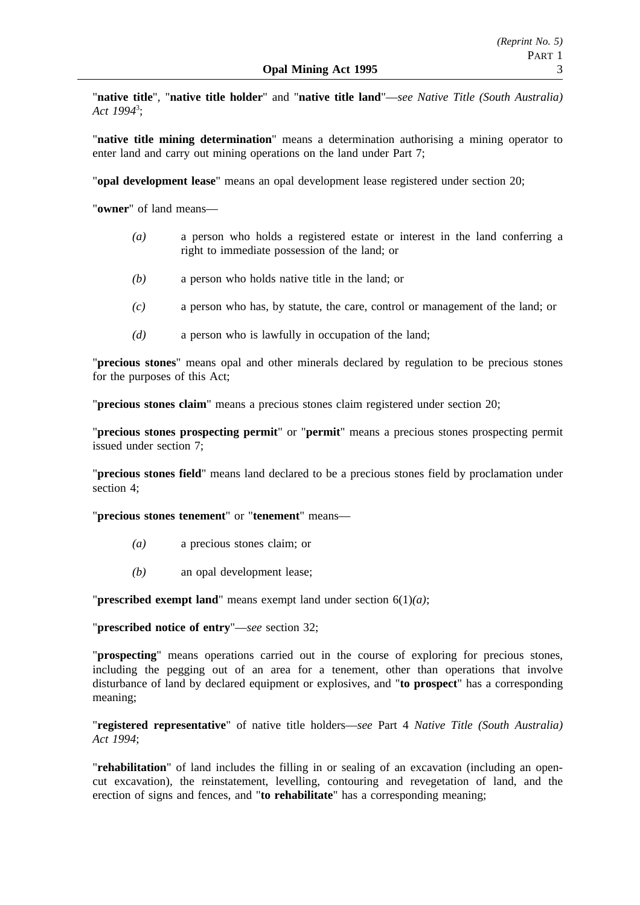"**native title**", "**native title holder**" and "**native title land**"—*see Native Title (South Australia) Act 1994*<sup>3</sup> ;

"**native title mining determination**" means a determination authorising a mining operator to enter land and carry out mining operations on the land under Part 7;

"**opal development lease**" means an opal development lease registered under section 20;

"**owner**" of land means—

- *(a)* a person who holds a registered estate or interest in the land conferring a right to immediate possession of the land; or
- *(b)* a person who holds native title in the land; or
- *(c)* a person who has, by statute, the care, control or management of the land; or
- *(d)* a person who is lawfully in occupation of the land;

"**precious stones**" means opal and other minerals declared by regulation to be precious stones for the purposes of this Act;

"**precious stones claim**" means a precious stones claim registered under section 20;

"**precious stones prospecting permit**" or "**permit**" means a precious stones prospecting permit issued under section 7;

"**precious stones field**" means land declared to be a precious stones field by proclamation under section 4;

"**precious stones tenement**" or "**tenement**" means—

- *(a)* a precious stones claim; or
- *(b)* an opal development lease;

"**prescribed exempt land**" means exempt land under section 6(1)*(a)*;

"**prescribed notice of entry**"—*see* section 32;

"**prospecting**" means operations carried out in the course of exploring for precious stones, including the pegging out of an area for a tenement, other than operations that involve disturbance of land by declared equipment or explosives, and "**to prospect**" has a corresponding meaning;

"**registered representative**" of native title holders—*see* Part 4 *Native Title (South Australia) Act 1994*;

"**rehabilitation**" of land includes the filling in or sealing of an excavation (including an opencut excavation), the reinstatement, levelling, contouring and revegetation of land, and the erection of signs and fences, and "**to rehabilitate**" has a corresponding meaning;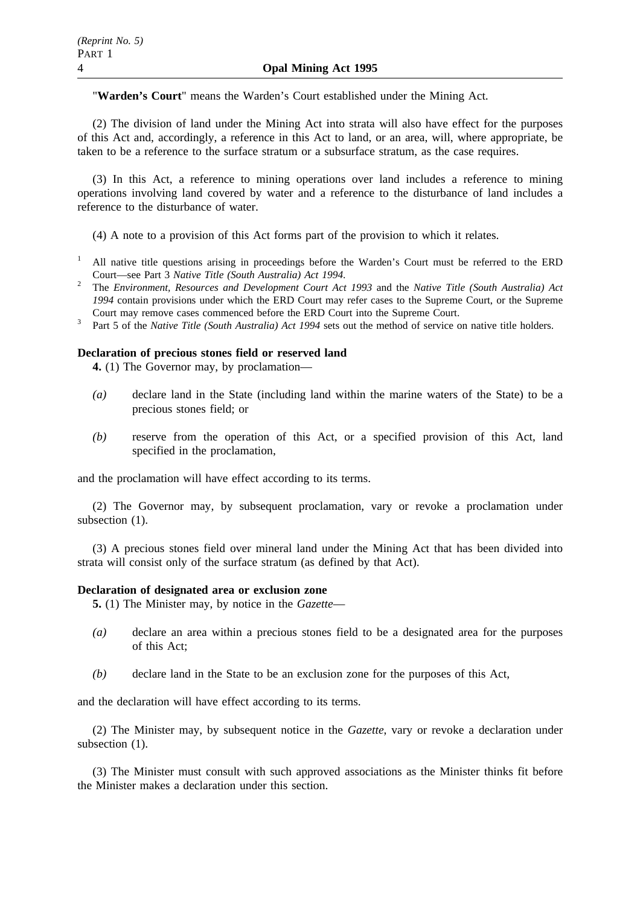"**Warden's Court**" means the Warden's Court established under the Mining Act.

(2) The division of land under the Mining Act into strata will also have effect for the purposes of this Act and, accordingly, a reference in this Act to land, or an area, will, where appropriate, be taken to be a reference to the surface stratum or a subsurface stratum, as the case requires.

(3) In this Act, a reference to mining operations over land includes a reference to mining operations involving land covered by water and a reference to the disturbance of land includes a reference to the disturbance of water.

(4) A note to a provision of this Act forms part of the provision to which it relates.

- <sup>1</sup> All native title questions arising in proceedings before the Warden's Court must be referred to the ERD
- Court—see Part 3 *Native Title (South Australia) Act 1994*. <sup>2</sup> The *Environment, Resources and Development Court Act 1993* and the *Native Title (South Australia) Act 1994* contain provisions under which the ERD Court may refer cases to the Supreme Court, or the Supreme Court may remove cases commenced before the ERD Court into the Supreme Court.
- <sup>3</sup> Part 5 of the *Native Title (South Australia) Act 1994* sets out the method of service on native title holders.

### **Declaration of precious stones field or reserved land**

**4.** (1) The Governor may, by proclamation—

- *(a)* declare land in the State (including land within the marine waters of the State) to be a precious stones field; or
- *(b)* reserve from the operation of this Act, or a specified provision of this Act, land specified in the proclamation,

and the proclamation will have effect according to its terms.

(2) The Governor may, by subsequent proclamation, vary or revoke a proclamation under subsection (1).

(3) A precious stones field over mineral land under the Mining Act that has been divided into strata will consist only of the surface stratum (as defined by that Act).

#### **Declaration of designated area or exclusion zone**

**5.** (1) The Minister may, by notice in the *Gazette*—

- *(a)* declare an area within a precious stones field to be a designated area for the purposes of this Act;
- *(b)* declare land in the State to be an exclusion zone for the purposes of this Act,

and the declaration will have effect according to its terms.

(2) The Minister may, by subsequent notice in the *Gazette*, vary or revoke a declaration under subsection  $(1)$ .

(3) The Minister must consult with such approved associations as the Minister thinks fit before the Minister makes a declaration under this section.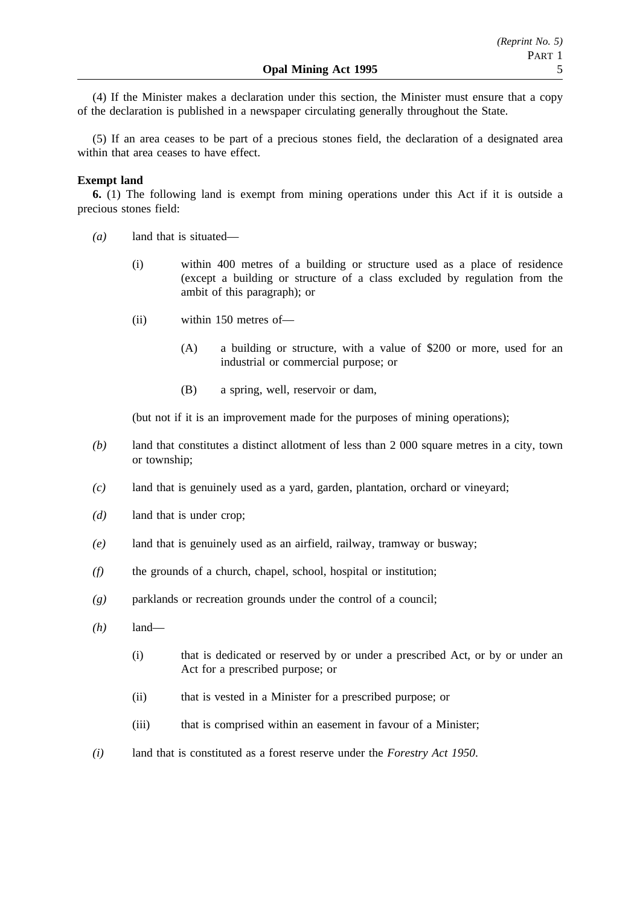(4) If the Minister makes a declaration under this section, the Minister must ensure that a copy of the declaration is published in a newspaper circulating generally throughout the State.

(5) If an area ceases to be part of a precious stones field, the declaration of a designated area within that area ceases to have effect.

### **Exempt land**

**6.** (1) The following land is exempt from mining operations under this Act if it is outside a precious stones field:

- *(a)* land that is situated—
	- (i) within 400 metres of a building or structure used as a place of residence (except a building or structure of a class excluded by regulation from the ambit of this paragraph); or
	- (ii) within 150 metres of—
		- (A) a building or structure, with a value of \$200 or more, used for an industrial or commercial purpose; or
		- (B) a spring, well, reservoir or dam,

(but not if it is an improvement made for the purposes of mining operations);

- *(b)* land that constitutes a distinct allotment of less than 2 000 square metres in a city, town or township;
- *(c)* land that is genuinely used as a yard, garden, plantation, orchard or vineyard;
- *(d)* land that is under crop;
- *(e)* land that is genuinely used as an airfield, railway, tramway or busway;
- *(f)* the grounds of a church, chapel, school, hospital or institution;
- *(g)* parklands or recreation grounds under the control of a council;
- *(h)* land—
	- (i) that is dedicated or reserved by or under a prescribed Act, or by or under an Act for a prescribed purpose; or
	- (ii) that is vested in a Minister for a prescribed purpose; or
	- (iii) that is comprised within an easement in favour of a Minister;
- *(i)* land that is constituted as a forest reserve under the *Forestry Act 1950*.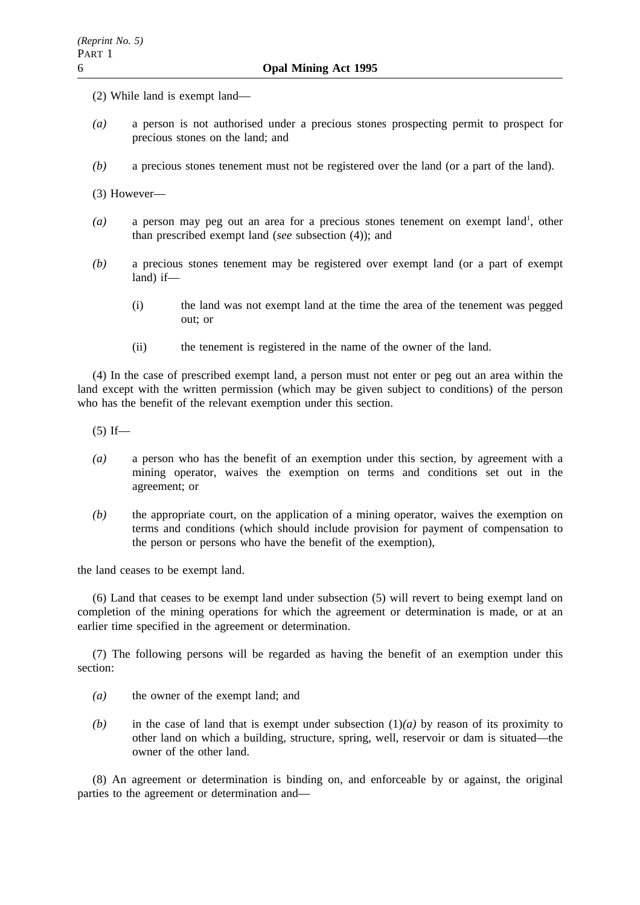- (2) While land is exempt land—
- *(a)* a person is not authorised under a precious stones prospecting permit to prospect for precious stones on the land; and
- *(b)* a precious stones tenement must not be registered over the land (or a part of the land).

(3) However—

- (a) a person may peg out an area for a precious stones tenement on exempt land<sup>1</sup>, other than prescribed exempt land (*see* subsection (4)); and
- *(b)* a precious stones tenement may be registered over exempt land (or a part of exempt land) if—
	- (i) the land was not exempt land at the time the area of the tenement was pegged out; or
	- (ii) the tenement is registered in the name of the owner of the land.

(4) In the case of prescribed exempt land, a person must not enter or peg out an area within the land except with the written permission (which may be given subject to conditions) of the person who has the benefit of the relevant exemption under this section.

 $(5)$  If—

- *(a)* a person who has the benefit of an exemption under this section, by agreement with a mining operator, waives the exemption on terms and conditions set out in the agreement; or
- *(b)* the appropriate court, on the application of a mining operator, waives the exemption on terms and conditions (which should include provision for payment of compensation to the person or persons who have the benefit of the exemption),

the land ceases to be exempt land.

(6) Land that ceases to be exempt land under subsection (5) will revert to being exempt land on completion of the mining operations for which the agreement or determination is made, or at an earlier time specified in the agreement or determination.

(7) The following persons will be regarded as having the benefit of an exemption under this section:

- *(a)* the owner of the exempt land; and
- *(b)* in the case of land that is exempt under subsection (1)*(a)* by reason of its proximity to other land on which a building, structure, spring, well, reservoir or dam is situated—the owner of the other land.

(8) An agreement or determination is binding on, and enforceable by or against, the original parties to the agreement or determination and—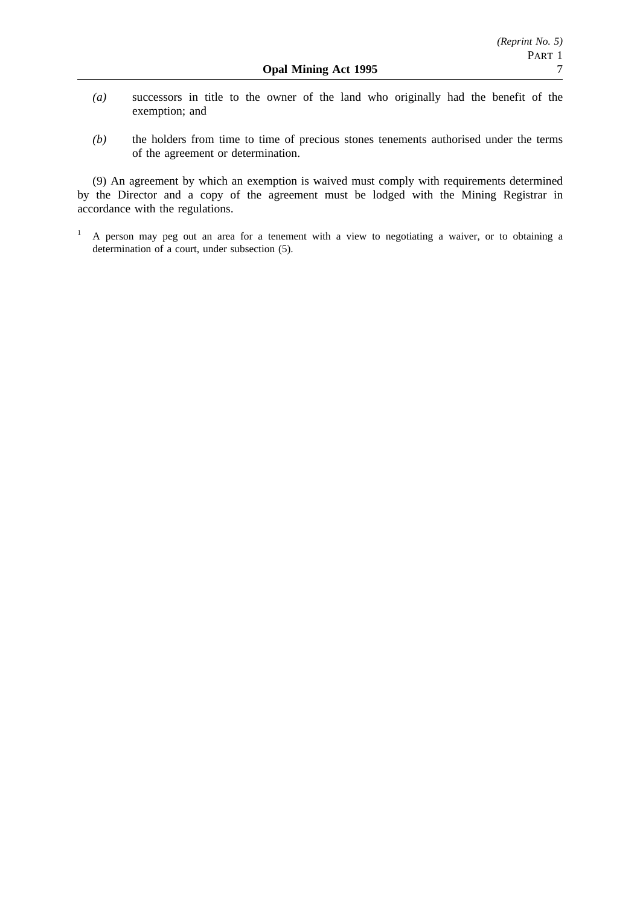- *(a)* successors in title to the owner of the land who originally had the benefit of the exemption; and
- *(b)* the holders from time to time of precious stones tenements authorised under the terms of the agreement or determination.

(9) An agreement by which an exemption is waived must comply with requirements determined by the Director and a copy of the agreement must be lodged with the Mining Registrar in accordance with the regulations.

<sup>&</sup>lt;sup>1</sup> A person may peg out an area for a tenement with a view to negotiating a waiver, or to obtaining a determination of a court, under subsection (5).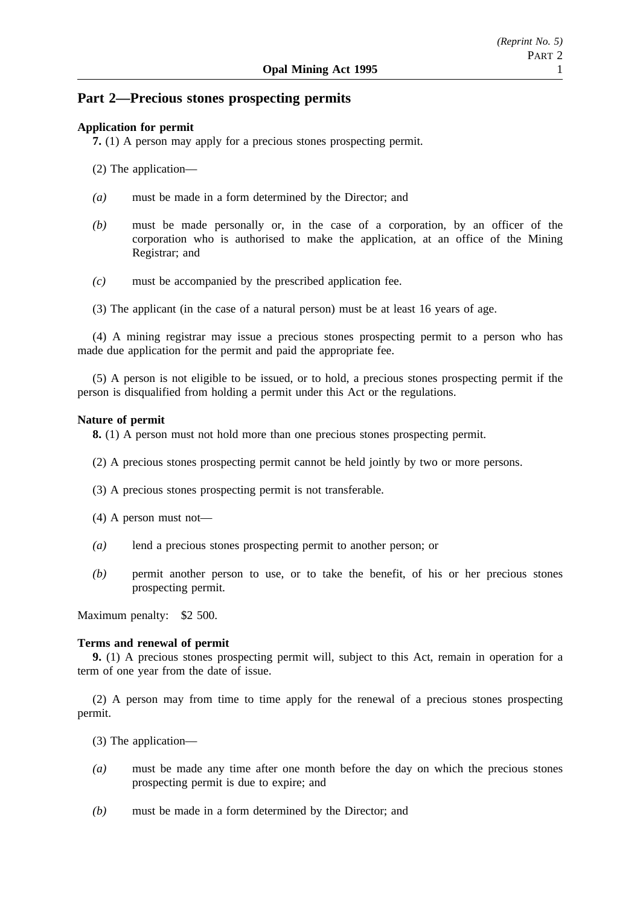## **Part 2—Precious stones prospecting permits**

## **Application for permit**

**7.** (1) A person may apply for a precious stones prospecting permit.

- (2) The application—
- *(a)* must be made in a form determined by the Director; and
- *(b)* must be made personally or, in the case of a corporation, by an officer of the corporation who is authorised to make the application, at an office of the Mining Registrar; and
- *(c)* must be accompanied by the prescribed application fee.
- (3) The applicant (in the case of a natural person) must be at least 16 years of age.

(4) A mining registrar may issue a precious stones prospecting permit to a person who has made due application for the permit and paid the appropriate fee.

(5) A person is not eligible to be issued, or to hold, a precious stones prospecting permit if the person is disqualified from holding a permit under this Act or the regulations.

### **Nature of permit**

**8.** (1) A person must not hold more than one precious stones prospecting permit.

- (2) A precious stones prospecting permit cannot be held jointly by two or more persons.
- (3) A precious stones prospecting permit is not transferable.
- (4) A person must not—
- *(a)* lend a precious stones prospecting permit to another person; or
- *(b)* permit another person to use, or to take the benefit, of his or her precious stones prospecting permit.

Maximum penalty: \$2 500.

## **Terms and renewal of permit**

**9.** (1) A precious stones prospecting permit will, subject to this Act, remain in operation for a term of one year from the date of issue.

(2) A person may from time to time apply for the renewal of a precious stones prospecting permit.

- (3) The application—
- *(a)* must be made any time after one month before the day on which the precious stones prospecting permit is due to expire; and
- *(b)* must be made in a form determined by the Director; and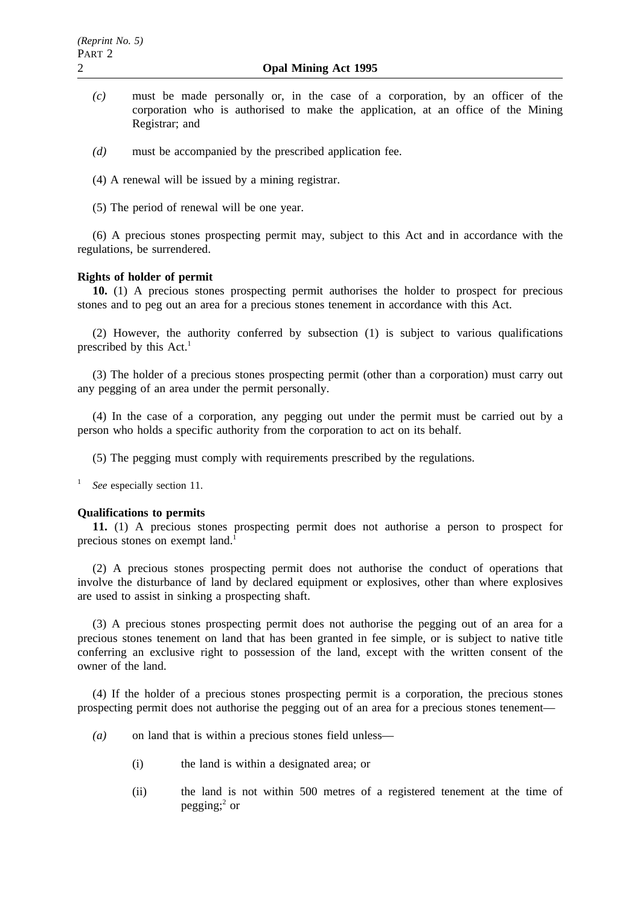- *(c)* must be made personally or, in the case of a corporation, by an officer of the corporation who is authorised to make the application, at an office of the Mining Registrar; and
- *(d)* must be accompanied by the prescribed application fee.
- (4) A renewal will be issued by a mining registrar.
- (5) The period of renewal will be one year.

(6) A precious stones prospecting permit may, subject to this Act and in accordance with the regulations, be surrendered.

#### **Rights of holder of permit**

**10.** (1) A precious stones prospecting permit authorises the holder to prospect for precious stones and to peg out an area for a precious stones tenement in accordance with this Act.

(2) However, the authority conferred by subsection (1) is subject to various qualifications prescribed by this  $Act.<sup>1</sup>$ 

(3) The holder of a precious stones prospecting permit (other than a corporation) must carry out any pegging of an area under the permit personally.

(4) In the case of a corporation, any pegging out under the permit must be carried out by a person who holds a specific authority from the corporation to act on its behalf.

(5) The pegging must comply with requirements prescribed by the regulations.

<sup>1</sup> *See* especially section 11.

#### **Qualifications to permits**

**11.** (1) A precious stones prospecting permit does not authorise a person to prospect for precious stones on exempt land.<sup>1</sup>

(2) A precious stones prospecting permit does not authorise the conduct of operations that involve the disturbance of land by declared equipment or explosives, other than where explosives are used to assist in sinking a prospecting shaft.

(3) A precious stones prospecting permit does not authorise the pegging out of an area for a precious stones tenement on land that has been granted in fee simple, or is subject to native title conferring an exclusive right to possession of the land, except with the written consent of the owner of the land.

(4) If the holder of a precious stones prospecting permit is a corporation, the precious stones prospecting permit does not authorise the pegging out of an area for a precious stones tenement—

- *(a)* on land that is within a precious stones field unless—
	- (i) the land is within a designated area; or
	- (ii) the land is not within 500 metres of a registered tenement at the time of pegging; $^{2}$  or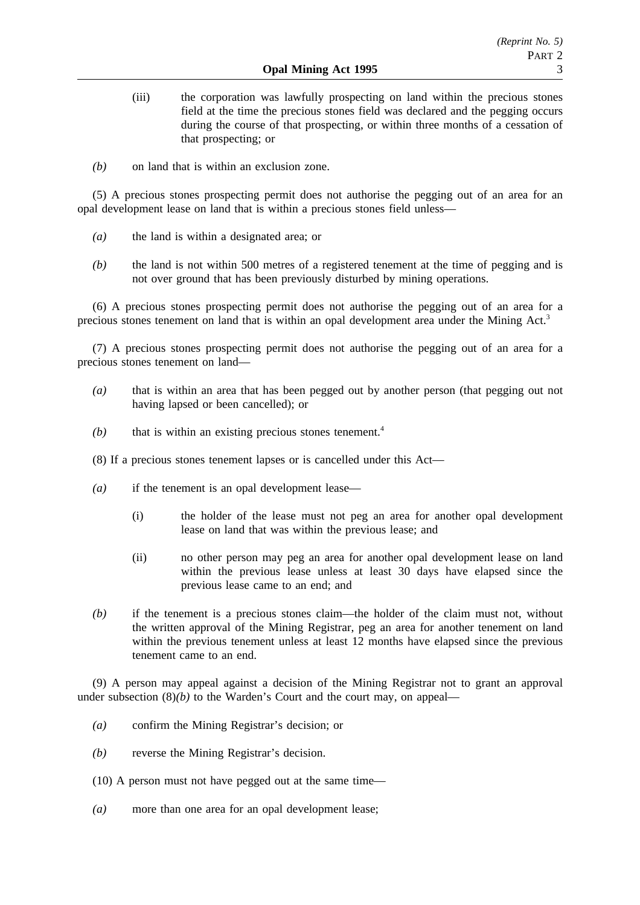- (iii) the corporation was lawfully prospecting on land within the precious stones field at the time the precious stones field was declared and the pegging occurs during the course of that prospecting, or within three months of a cessation of that prospecting; or
- *(b)* on land that is within an exclusion zone.

(5) A precious stones prospecting permit does not authorise the pegging out of an area for an opal development lease on land that is within a precious stones field unless—

- *(a)* the land is within a designated area; or
- *(b)* the land is not within 500 metres of a registered tenement at the time of pegging and is not over ground that has been previously disturbed by mining operations.

(6) A precious stones prospecting permit does not authorise the pegging out of an area for a precious stones tenement on land that is within an opal development area under the Mining Act.<sup>3</sup>

(7) A precious stones prospecting permit does not authorise the pegging out of an area for a precious stones tenement on land—

- *(a)* that is within an area that has been pegged out by another person (that pegging out not having lapsed or been cancelled); or
- $(b)$  that is within an existing precious stones tenement.<sup>4</sup>
- (8) If a precious stones tenement lapses or is cancelled under this Act—
- *(a)* if the tenement is an opal development lease—
	- (i) the holder of the lease must not peg an area for another opal development lease on land that was within the previous lease; and
	- (ii) no other person may peg an area for another opal development lease on land within the previous lease unless at least 30 days have elapsed since the previous lease came to an end; and
- *(b)* if the tenement is a precious stones claim—the holder of the claim must not, without the written approval of the Mining Registrar, peg an area for another tenement on land within the previous tenement unless at least 12 months have elapsed since the previous tenement came to an end.

(9) A person may appeal against a decision of the Mining Registrar not to grant an approval under subsection  $(8)(b)$  to the Warden's Court and the court may, on appeal—

- *(a)* confirm the Mining Registrar's decision; or
- *(b)* reverse the Mining Registrar's decision.
- (10) A person must not have pegged out at the same time—
- *(a)* more than one area for an opal development lease;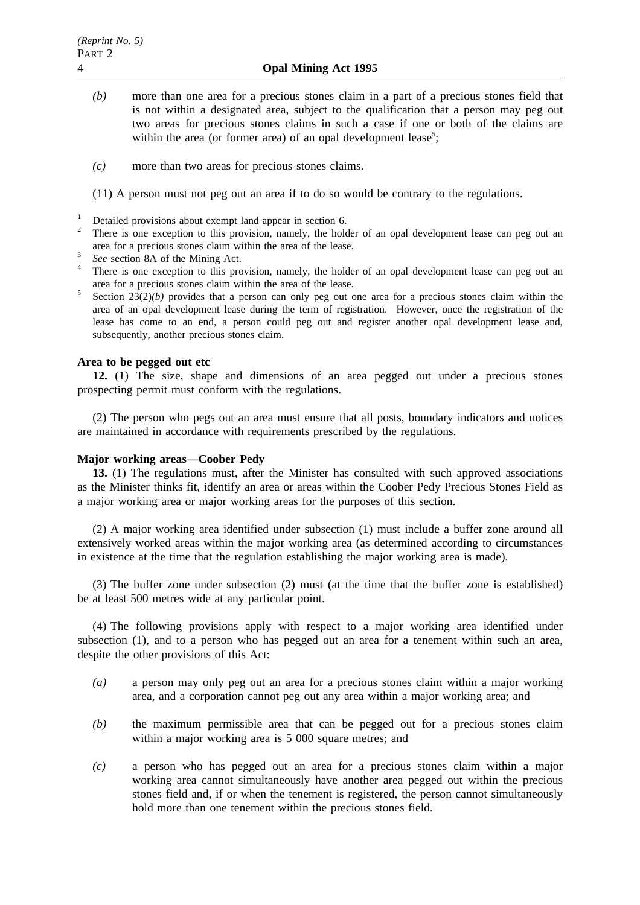- *(b)* more than one area for a precious stones claim in a part of a precious stones field that is not within a designated area, subject to the qualification that a person may peg out two areas for precious stones claims in such a case if one or both of the claims are within the area (or former area) of an opal development lease<sup>5</sup>;
- *(c)* more than two areas for precious stones claims.

(11) A person must not peg out an area if to do so would be contrary to the regulations.

- 
- <sup>1</sup> Detailed provisions about exempt land appear in section 6.<br><sup>2</sup> There is one exception to this provision, namely, the holder of an opal development lease can peg out an area for a precious stones claim within the area of the lease.<br>
<sup>3</sup> *See* section 8A of the Mining Act.
- 
- <sup>4</sup> There is one exception to this provision, namely, the holder of an opal development lease can peg out an area for a precious stones claim within the area of the lease.
- <sup>5</sup> Section 23(2)*(b)* provides that a person can only peg out one area for a precious stones claim within the area of an opal development lease during the term of registration. However, once the registration of the lease has come to an end, a person could peg out and register another opal development lease and, subsequently, another precious stones claim.

### **Area to be pegged out etc**

**12.** (1) The size, shape and dimensions of an area pegged out under a precious stones prospecting permit must conform with the regulations.

(2) The person who pegs out an area must ensure that all posts, boundary indicators and notices are maintained in accordance with requirements prescribed by the regulations.

## **Major working areas—Coober Pedy**

**13.** (1) The regulations must, after the Minister has consulted with such approved associations as the Minister thinks fit, identify an area or areas within the Coober Pedy Precious Stones Field as a major working area or major working areas for the purposes of this section.

(2) A major working area identified under subsection (1) must include a buffer zone around all extensively worked areas within the major working area (as determined according to circumstances in existence at the time that the regulation establishing the major working area is made).

(3) The buffer zone under subsection (2) must (at the time that the buffer zone is established) be at least 500 metres wide at any particular point.

(4) The following provisions apply with respect to a major working area identified under subsection (1), and to a person who has pegged out an area for a tenement within such an area, despite the other provisions of this Act:

- *(a)* a person may only peg out an area for a precious stones claim within a major working area, and a corporation cannot peg out any area within a major working area; and
- *(b)* the maximum permissible area that can be pegged out for a precious stones claim within a major working area is 5 000 square metres; and
- *(c)* a person who has pegged out an area for a precious stones claim within a major working area cannot simultaneously have another area pegged out within the precious stones field and, if or when the tenement is registered, the person cannot simultaneously hold more than one tenement within the precious stones field.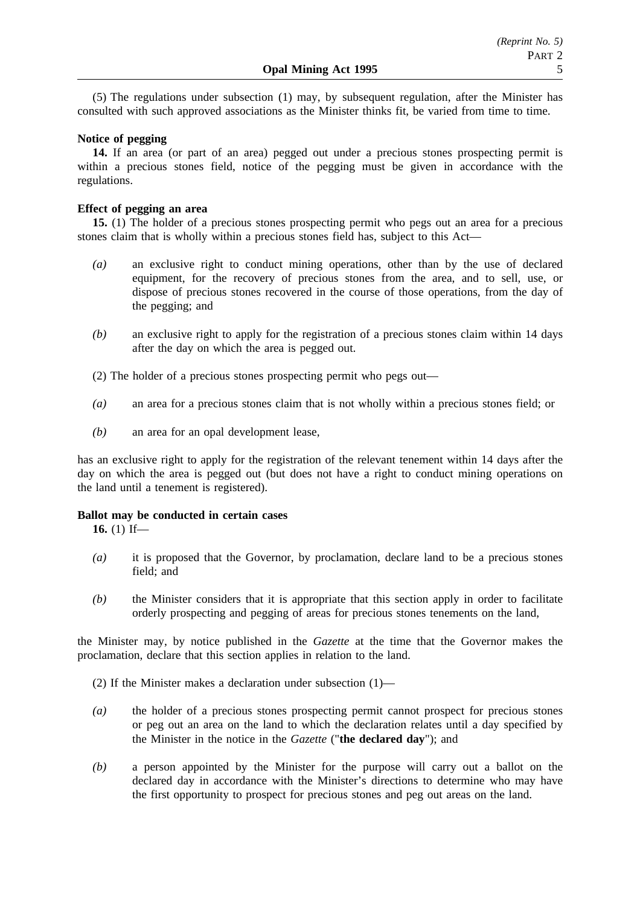(5) The regulations under subsection (1) may, by subsequent regulation, after the Minister has consulted with such approved associations as the Minister thinks fit, be varied from time to time.

## **Notice of pegging**

**14.** If an area (or part of an area) pegged out under a precious stones prospecting permit is within a precious stones field, notice of the pegging must be given in accordance with the regulations.

### **Effect of pegging an area**

**15.** (1) The holder of a precious stones prospecting permit who pegs out an area for a precious stones claim that is wholly within a precious stones field has, subject to this Act—

- *(a)* an exclusive right to conduct mining operations, other than by the use of declared equipment, for the recovery of precious stones from the area, and to sell, use, or dispose of precious stones recovered in the course of those operations, from the day of the pegging; and
- *(b)* an exclusive right to apply for the registration of a precious stones claim within 14 days after the day on which the area is pegged out.
- (2) The holder of a precious stones prospecting permit who pegs out—
- *(a)* an area for a precious stones claim that is not wholly within a precious stones field; or
- *(b)* an area for an opal development lease,

has an exclusive right to apply for the registration of the relevant tenement within 14 days after the day on which the area is pegged out (but does not have a right to conduct mining operations on the land until a tenement is registered).

#### **Ballot may be conducted in certain cases**

**16.** (1) If—

- *(a)* it is proposed that the Governor, by proclamation, declare land to be a precious stones field; and
- *(b)* the Minister considers that it is appropriate that this section apply in order to facilitate orderly prospecting and pegging of areas for precious stones tenements on the land,

the Minister may, by notice published in the *Gazette* at the time that the Governor makes the proclamation, declare that this section applies in relation to the land.

(2) If the Minister makes a declaration under subsection (1)—

- *(a)* the holder of a precious stones prospecting permit cannot prospect for precious stones or peg out an area on the land to which the declaration relates until a day specified by the Minister in the notice in the *Gazette* ("**the declared day**"); and
- *(b)* a person appointed by the Minister for the purpose will carry out a ballot on the declared day in accordance with the Minister's directions to determine who may have the first opportunity to prospect for precious stones and peg out areas on the land.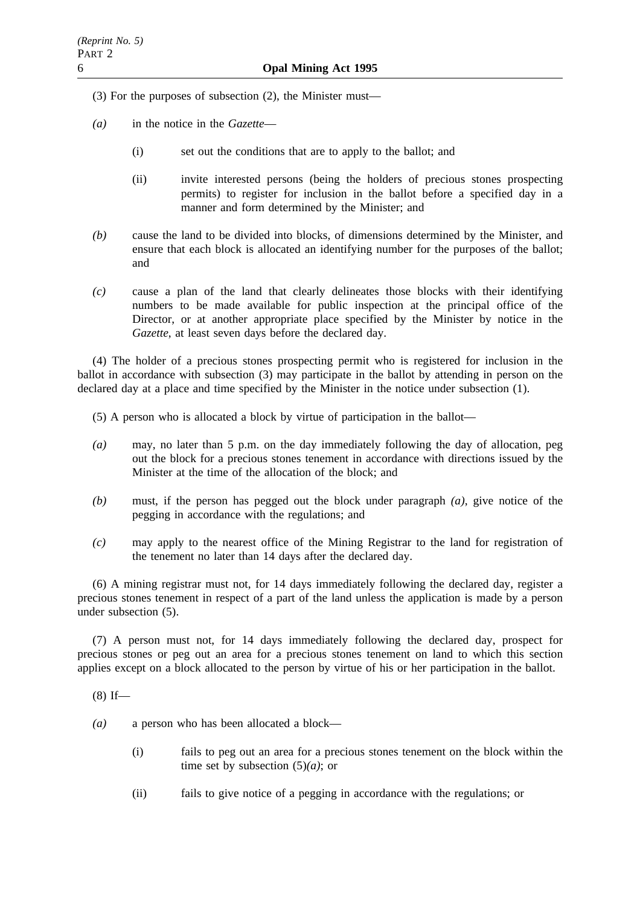- (3) For the purposes of subsection (2), the Minister must—
- *(a)* in the notice in the *Gazette*
	- (i) set out the conditions that are to apply to the ballot; and
	- (ii) invite interested persons (being the holders of precious stones prospecting permits) to register for inclusion in the ballot before a specified day in a manner and form determined by the Minister; and
- *(b)* cause the land to be divided into blocks, of dimensions determined by the Minister, and ensure that each block is allocated an identifying number for the purposes of the ballot; and
- *(c)* cause a plan of the land that clearly delineates those blocks with their identifying numbers to be made available for public inspection at the principal office of the Director, or at another appropriate place specified by the Minister by notice in the *Gazette*, at least seven days before the declared day.

(4) The holder of a precious stones prospecting permit who is registered for inclusion in the ballot in accordance with subsection (3) may participate in the ballot by attending in person on the declared day at a place and time specified by the Minister in the notice under subsection (1).

(5) A person who is allocated a block by virtue of participation in the ballot—

- *(a)* may, no later than 5 p.m. on the day immediately following the day of allocation, peg out the block for a precious stones tenement in accordance with directions issued by the Minister at the time of the allocation of the block; and
- *(b)* must, if the person has pegged out the block under paragraph *(a)*, give notice of the pegging in accordance with the regulations; and
- *(c)* may apply to the nearest office of the Mining Registrar to the land for registration of the tenement no later than 14 days after the declared day.

(6) A mining registrar must not, for 14 days immediately following the declared day, register a precious stones tenement in respect of a part of the land unless the application is made by a person under subsection (5).

(7) A person must not, for 14 days immediately following the declared day, prospect for precious stones or peg out an area for a precious stones tenement on land to which this section applies except on a block allocated to the person by virtue of his or her participation in the ballot.

 $(8)$  If—

*(a)* a person who has been allocated a block—

- (i) fails to peg out an area for a precious stones tenement on the block within the time set by subsection (5)*(a)*; or
- (ii) fails to give notice of a pegging in accordance with the regulations; or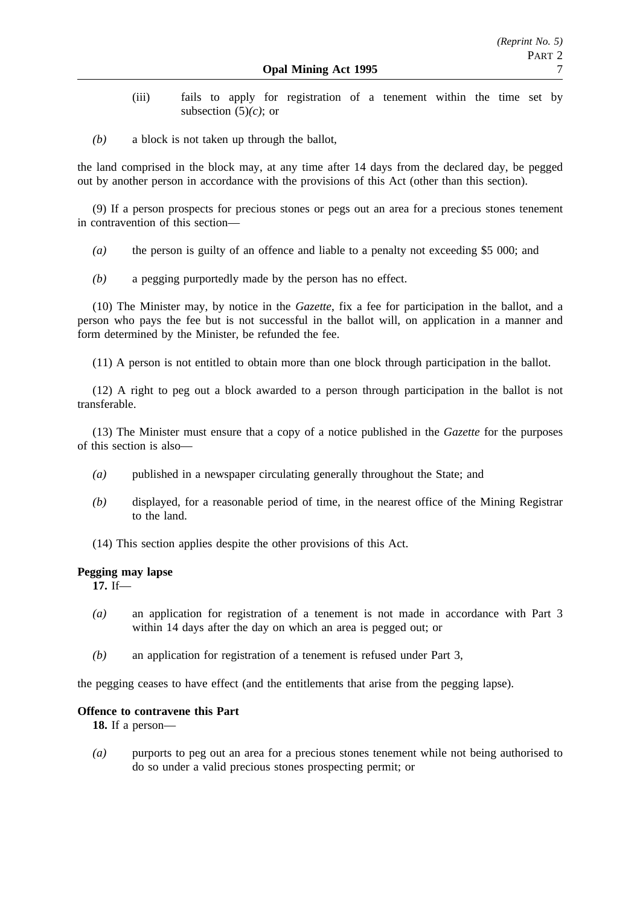- (iii) fails to apply for registration of a tenement within the time set by subsection (5)*(c)*; or
- *(b)* a block is not taken up through the ballot,

the land comprised in the block may, at any time after 14 days from the declared day, be pegged out by another person in accordance with the provisions of this Act (other than this section).

(9) If a person prospects for precious stones or pegs out an area for a precious stones tenement in contravention of this section—

- *(a)* the person is guilty of an offence and liable to a penalty not exceeding \$5 000; and
- *(b)* a pegging purportedly made by the person has no effect.

(10) The Minister may, by notice in the *Gazette*, fix a fee for participation in the ballot, and a person who pays the fee but is not successful in the ballot will, on application in a manner and form determined by the Minister, be refunded the fee.

(11) A person is not entitled to obtain more than one block through participation in the ballot.

(12) A right to peg out a block awarded to a person through participation in the ballot is not transferable.

(13) The Minister must ensure that a copy of a notice published in the *Gazette* for the purposes of this section is also—

- *(a)* published in a newspaper circulating generally throughout the State; and
- *(b)* displayed, for a reasonable period of time, in the nearest office of the Mining Registrar to the land.
- (14) This section applies despite the other provisions of this Act.

## **Pegging may lapse**

**17.** If—

- *(a)* an application for registration of a tenement is not made in accordance with Part 3 within 14 days after the day on which an area is pegged out; or
- *(b)* an application for registration of a tenement is refused under Part 3,

the pegging ceases to have effect (and the entitlements that arise from the pegging lapse).

## **Offence to contravene this Part**

**18.** If a person—

*(a)* purports to peg out an area for a precious stones tenement while not being authorised to do so under a valid precious stones prospecting permit; or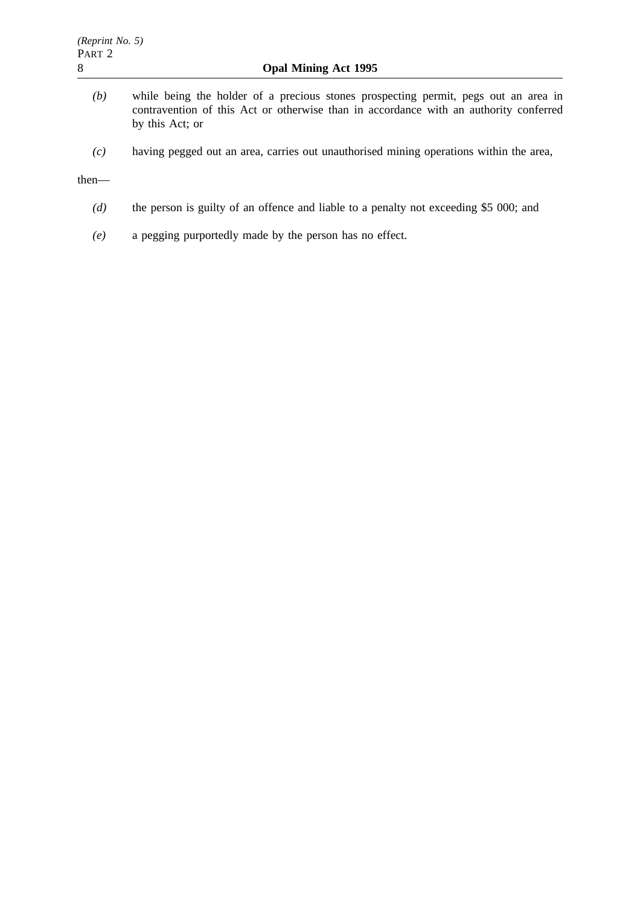- *(b)* while being the holder of a precious stones prospecting permit, pegs out an area in contravention of this Act or otherwise than in accordance with an authority conferred by this Act; or
- *(c)* having pegged out an area, carries out unauthorised mining operations within the area,

#### then—

- *(d)* the person is guilty of an offence and liable to a penalty not exceeding \$5 000; and
- *(e)* a pegging purportedly made by the person has no effect.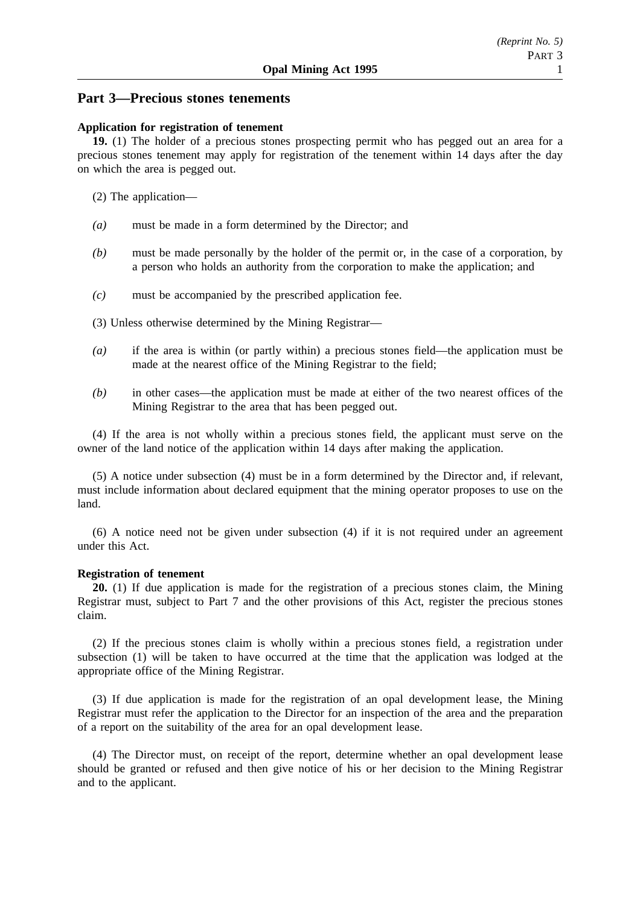## **Part 3—Precious stones tenements**

#### **Application for registration of tenement**

**19.** (1) The holder of a precious stones prospecting permit who has pegged out an area for a precious stones tenement may apply for registration of the tenement within 14 days after the day on which the area is pegged out.

- (2) The application—
- *(a)* must be made in a form determined by the Director; and
- *(b)* must be made personally by the holder of the permit or, in the case of a corporation, by a person who holds an authority from the corporation to make the application; and
- *(c)* must be accompanied by the prescribed application fee.
- (3) Unless otherwise determined by the Mining Registrar—
- *(a)* if the area is within (or partly within) a precious stones field—the application must be made at the nearest office of the Mining Registrar to the field;
- *(b)* in other cases—the application must be made at either of the two nearest offices of the Mining Registrar to the area that has been pegged out.

(4) If the area is not wholly within a precious stones field, the applicant must serve on the owner of the land notice of the application within 14 days after making the application.

(5) A notice under subsection (4) must be in a form determined by the Director and, if relevant, must include information about declared equipment that the mining operator proposes to use on the land.

(6) A notice need not be given under subsection (4) if it is not required under an agreement under this Act.

## **Registration of tenement**

**20.** (1) If due application is made for the registration of a precious stones claim, the Mining Registrar must, subject to Part 7 and the other provisions of this Act, register the precious stones claim.

(2) If the precious stones claim is wholly within a precious stones field, a registration under subsection (1) will be taken to have occurred at the time that the application was lodged at the appropriate office of the Mining Registrar.

(3) If due application is made for the registration of an opal development lease, the Mining Registrar must refer the application to the Director for an inspection of the area and the preparation of a report on the suitability of the area for an opal development lease.

(4) The Director must, on receipt of the report, determine whether an opal development lease should be granted or refused and then give notice of his or her decision to the Mining Registrar and to the applicant.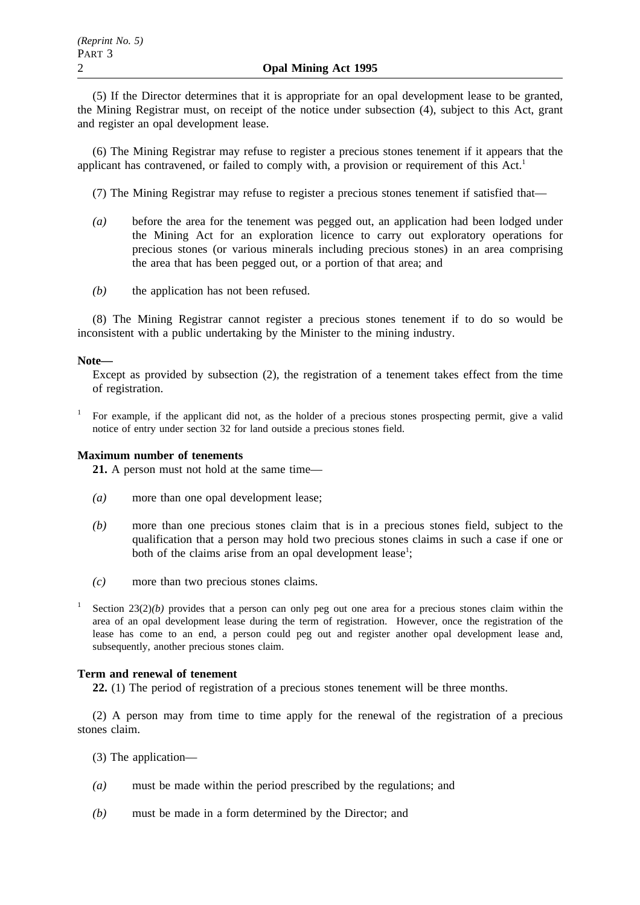(5) If the Director determines that it is appropriate for an opal development lease to be granted, the Mining Registrar must, on receipt of the notice under subsection (4), subject to this Act, grant and register an opal development lease.

(6) The Mining Registrar may refuse to register a precious stones tenement if it appears that the applicant has contravened, or failed to comply with, a provision or requirement of this  $Act<sup>1</sup>$ 

(7) The Mining Registrar may refuse to register a precious stones tenement if satisfied that—

- *(a)* before the area for the tenement was pegged out, an application had been lodged under the Mining Act for an exploration licence to carry out exploratory operations for precious stones (or various minerals including precious stones) in an area comprising the area that has been pegged out, or a portion of that area; and
- *(b)* the application has not been refused.

(8) The Mining Registrar cannot register a precious stones tenement if to do so would be inconsistent with a public undertaking by the Minister to the mining industry.

### **Note—**

Except as provided by subsection (2), the registration of a tenement takes effect from the time of registration.

<sup>1</sup> For example, if the applicant did not, as the holder of a precious stones prospecting permit, give a valid notice of entry under section 32 for land outside a precious stones field.

#### **Maximum number of tenements**

**21.** A person must not hold at the same time—

- *(a)* more than one opal development lease;
- *(b)* more than one precious stones claim that is in a precious stones field, subject to the qualification that a person may hold two precious stones claims in such a case if one or both of the claims arise from an opal development lease<sup>1</sup>;
- *(c)* more than two precious stones claims.
- Section  $23(2)(b)$  provides that a person can only peg out one area for a precious stones claim within the area of an opal development lease during the term of registration. However, once the registration of the lease has come to an end, a person could peg out and register another opal development lease and, subsequently, another precious stones claim.

## **Term and renewal of tenement**

**22.** (1) The period of registration of a precious stones tenement will be three months.

(2) A person may from time to time apply for the renewal of the registration of a precious stones claim.

- (3) The application—
- *(a)* must be made within the period prescribed by the regulations; and
- *(b)* must be made in a form determined by the Director; and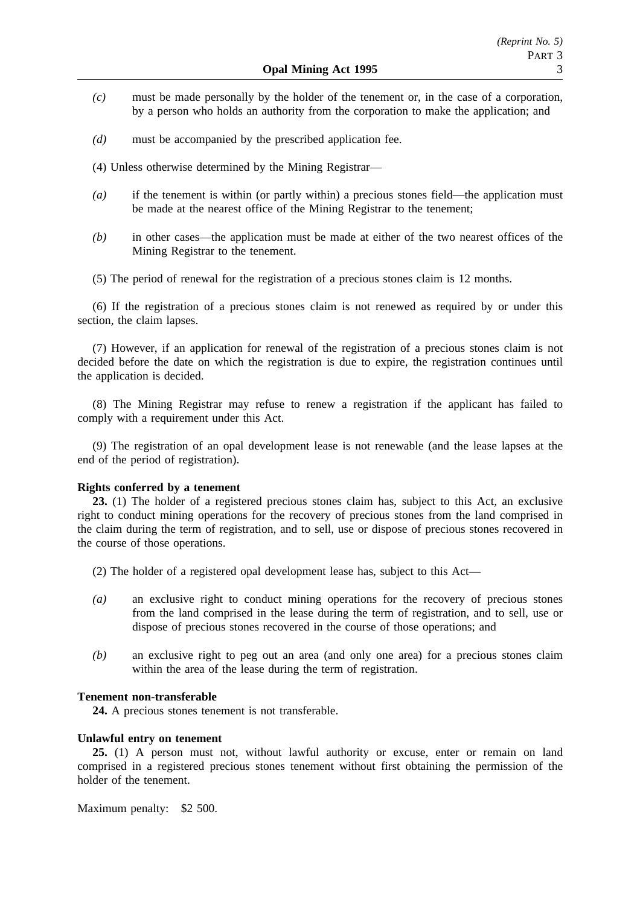- *(c)* must be made personally by the holder of the tenement or, in the case of a corporation, by a person who holds an authority from the corporation to make the application; and
- *(d)* must be accompanied by the prescribed application fee.
- (4) Unless otherwise determined by the Mining Registrar—
- *(a)* if the tenement is within (or partly within) a precious stones field—the application must be made at the nearest office of the Mining Registrar to the tenement;
- *(b)* in other cases—the application must be made at either of the two nearest offices of the Mining Registrar to the tenement.
- (5) The period of renewal for the registration of a precious stones claim is 12 months.

(6) If the registration of a precious stones claim is not renewed as required by or under this section, the claim lapses.

(7) However, if an application for renewal of the registration of a precious stones claim is not decided before the date on which the registration is due to expire, the registration continues until the application is decided.

(8) The Mining Registrar may refuse to renew a registration if the applicant has failed to comply with a requirement under this Act.

(9) The registration of an opal development lease is not renewable (and the lease lapses at the end of the period of registration).

#### **Rights conferred by a tenement**

**23.** (1) The holder of a registered precious stones claim has, subject to this Act, an exclusive right to conduct mining operations for the recovery of precious stones from the land comprised in the claim during the term of registration, and to sell, use or dispose of precious stones recovered in the course of those operations.

- (2) The holder of a registered opal development lease has, subject to this Act—
- *(a)* an exclusive right to conduct mining operations for the recovery of precious stones from the land comprised in the lease during the term of registration, and to sell, use or dispose of precious stones recovered in the course of those operations; and
- *(b)* an exclusive right to peg out an area (and only one area) for a precious stones claim within the area of the lease during the term of registration.

#### **Tenement non-transferable**

**24.** A precious stones tenement is not transferable.

#### **Unlawful entry on tenement**

**25.** (1) A person must not, without lawful authority or excuse, enter or remain on land comprised in a registered precious stones tenement without first obtaining the permission of the holder of the tenement.

Maximum penalty: \$2 500.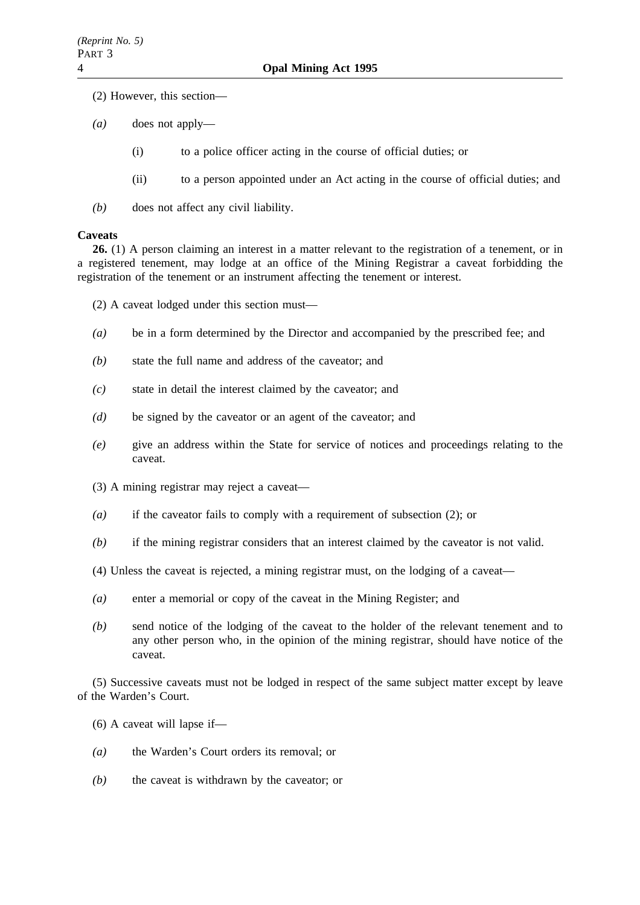- (2) However, this section—
- *(a)* does not apply—
	- (i) to a police officer acting in the course of official duties; or
	- (ii) to a person appointed under an Act acting in the course of official duties; and
- *(b)* does not affect any civil liability.

#### **Caveats**

**26.** (1) A person claiming an interest in a matter relevant to the registration of a tenement, or in a registered tenement, may lodge at an office of the Mining Registrar a caveat forbidding the registration of the tenement or an instrument affecting the tenement or interest.

(2) A caveat lodged under this section must—

- *(a)* be in a form determined by the Director and accompanied by the prescribed fee; and
- *(b)* state the full name and address of the caveator; and
- *(c)* state in detail the interest claimed by the caveator; and
- *(d)* be signed by the caveator or an agent of the caveator; and
- *(e)* give an address within the State for service of notices and proceedings relating to the caveat.
- (3) A mining registrar may reject a caveat—
- *(a)* if the caveator fails to comply with a requirement of subsection (2); or
- *(b)* if the mining registrar considers that an interest claimed by the caveator is not valid.
- (4) Unless the caveat is rejected, a mining registrar must, on the lodging of a caveat—
- *(a)* enter a memorial or copy of the caveat in the Mining Register; and
- *(b)* send notice of the lodging of the caveat to the holder of the relevant tenement and to any other person who, in the opinion of the mining registrar, should have notice of the caveat.

(5) Successive caveats must not be lodged in respect of the same subject matter except by leave of the Warden's Court.

- (6) A caveat will lapse if—
- *(a)* the Warden's Court orders its removal; or
- *(b)* the caveat is withdrawn by the caveator; or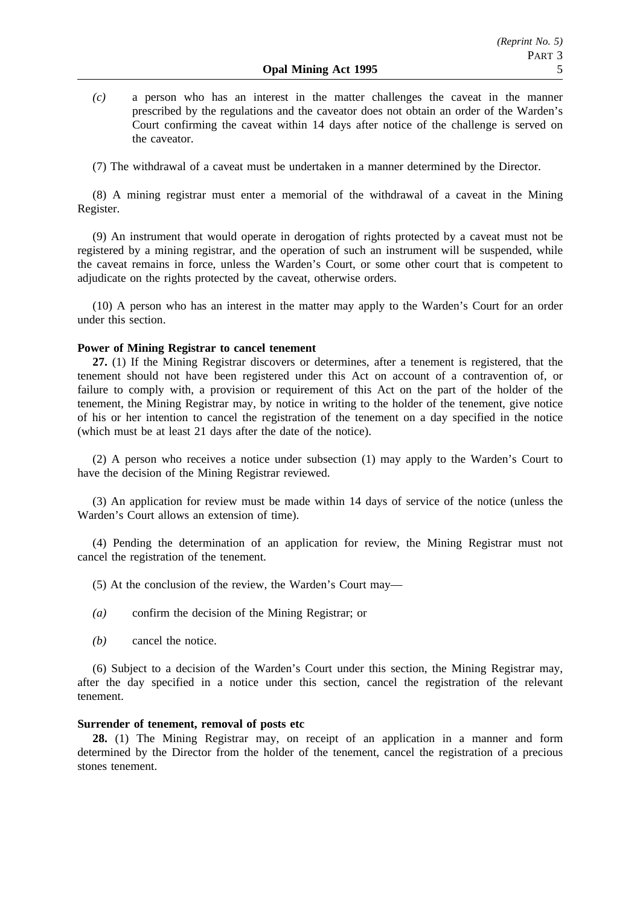*(c)* a person who has an interest in the matter challenges the caveat in the manner prescribed by the regulations and the caveator does not obtain an order of the Warden's Court confirming the caveat within 14 days after notice of the challenge is served on the caveator.

(7) The withdrawal of a caveat must be undertaken in a manner determined by the Director.

(8) A mining registrar must enter a memorial of the withdrawal of a caveat in the Mining Register.

(9) An instrument that would operate in derogation of rights protected by a caveat must not be registered by a mining registrar, and the operation of such an instrument will be suspended, while the caveat remains in force, unless the Warden's Court, or some other court that is competent to adjudicate on the rights protected by the caveat, otherwise orders.

(10) A person who has an interest in the matter may apply to the Warden's Court for an order under this section.

## **Power of Mining Registrar to cancel tenement**

**27.** (1) If the Mining Registrar discovers or determines, after a tenement is registered, that the tenement should not have been registered under this Act on account of a contravention of, or failure to comply with, a provision or requirement of this Act on the part of the holder of the tenement, the Mining Registrar may, by notice in writing to the holder of the tenement, give notice of his or her intention to cancel the registration of the tenement on a day specified in the notice (which must be at least 21 days after the date of the notice).

(2) A person who receives a notice under subsection (1) may apply to the Warden's Court to have the decision of the Mining Registrar reviewed.

(3) An application for review must be made within 14 days of service of the notice (unless the Warden's Court allows an extension of time).

(4) Pending the determination of an application for review, the Mining Registrar must not cancel the registration of the tenement.

- (5) At the conclusion of the review, the Warden's Court may—
- *(a)* confirm the decision of the Mining Registrar; or
- *(b)* cancel the notice.

(6) Subject to a decision of the Warden's Court under this section, the Mining Registrar may, after the day specified in a notice under this section, cancel the registration of the relevant tenement.

## **Surrender of tenement, removal of posts etc**

**28.** (1) The Mining Registrar may, on receipt of an application in a manner and form determined by the Director from the holder of the tenement, cancel the registration of a precious stones tenement.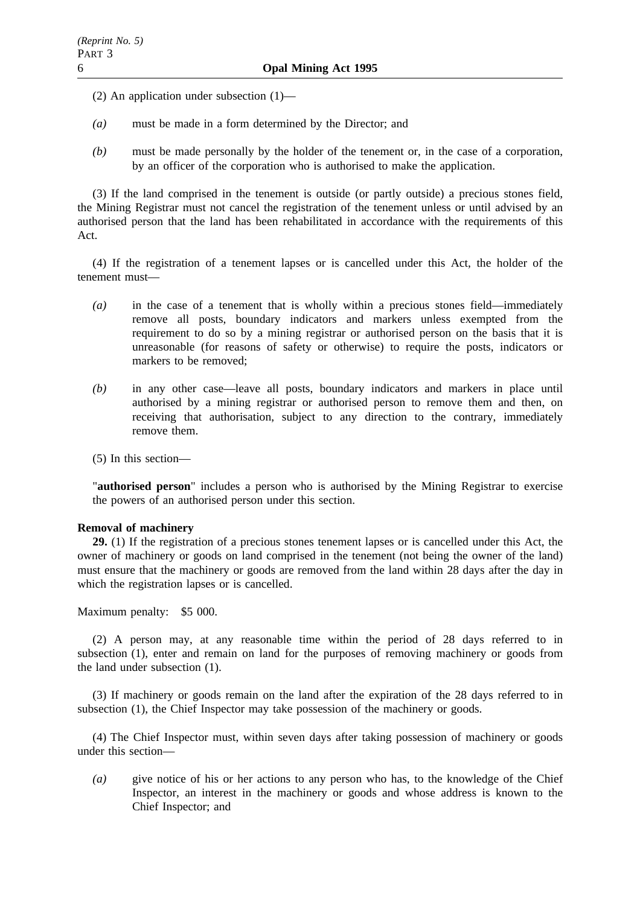- (2) An application under subsection (1)—
- *(a)* must be made in a form determined by the Director; and
- *(b)* must be made personally by the holder of the tenement or, in the case of a corporation, by an officer of the corporation who is authorised to make the application.

(3) If the land comprised in the tenement is outside (or partly outside) a precious stones field, the Mining Registrar must not cancel the registration of the tenement unless or until advised by an authorised person that the land has been rehabilitated in accordance with the requirements of this Act.

(4) If the registration of a tenement lapses or is cancelled under this Act, the holder of the tenement must—

- *(a)* in the case of a tenement that is wholly within a precious stones field—immediately remove all posts, boundary indicators and markers unless exempted from the requirement to do so by a mining registrar or authorised person on the basis that it is unreasonable (for reasons of safety or otherwise) to require the posts, indicators or markers to be removed;
- *(b)* in any other case—leave all posts, boundary indicators and markers in place until authorised by a mining registrar or authorised person to remove them and then, on receiving that authorisation, subject to any direction to the contrary, immediately remove them.

(5) In this section—

"**authorised person**" includes a person who is authorised by the Mining Registrar to exercise the powers of an authorised person under this section.

#### **Removal of machinery**

**29.** (1) If the registration of a precious stones tenement lapses or is cancelled under this Act, the owner of machinery or goods on land comprised in the tenement (not being the owner of the land) must ensure that the machinery or goods are removed from the land within 28 days after the day in which the registration lapses or is cancelled.

Maximum penalty: \$5 000.

(2) A person may, at any reasonable time within the period of 28 days referred to in subsection (1), enter and remain on land for the purposes of removing machinery or goods from the land under subsection (1).

(3) If machinery or goods remain on the land after the expiration of the 28 days referred to in subsection (1), the Chief Inspector may take possession of the machinery or goods.

(4) The Chief Inspector must, within seven days after taking possession of machinery or goods under this section—

*(a)* give notice of his or her actions to any person who has, to the knowledge of the Chief Inspector, an interest in the machinery or goods and whose address is known to the Chief Inspector; and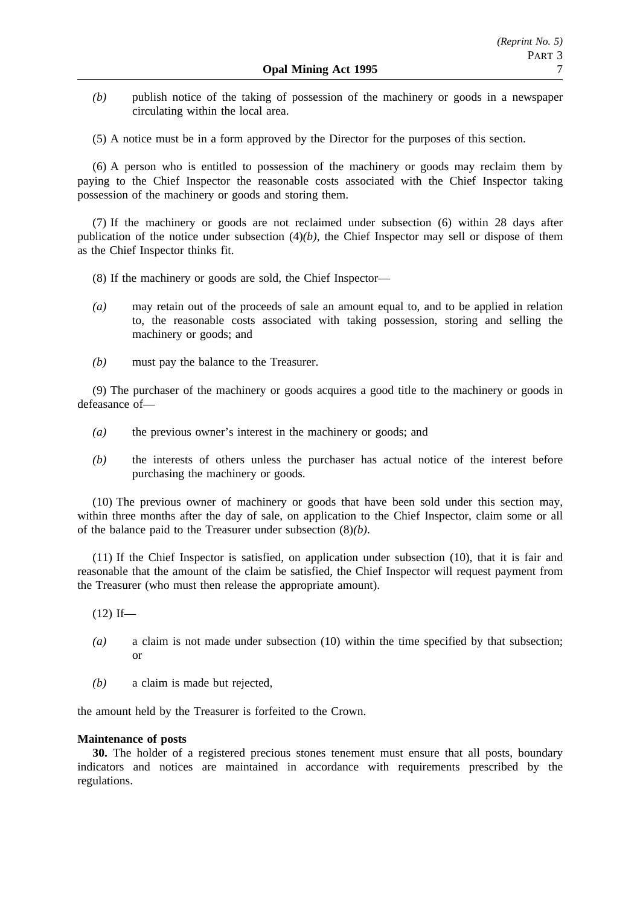- *(b)* publish notice of the taking of possession of the machinery or goods in a newspaper circulating within the local area.
- (5) A notice must be in a form approved by the Director for the purposes of this section.

(6) A person who is entitled to possession of the machinery or goods may reclaim them by paying to the Chief Inspector the reasonable costs associated with the Chief Inspector taking possession of the machinery or goods and storing them.

(7) If the machinery or goods are not reclaimed under subsection (6) within 28 days after publication of the notice under subsection (4)*(b)*, the Chief Inspector may sell or dispose of them as the Chief Inspector thinks fit.

- (8) If the machinery or goods are sold, the Chief Inspector—
- *(a)* may retain out of the proceeds of sale an amount equal to, and to be applied in relation to, the reasonable costs associated with taking possession, storing and selling the machinery or goods; and
- *(b)* must pay the balance to the Treasurer.

(9) The purchaser of the machinery or goods acquires a good title to the machinery or goods in defeasance of—

- *(a)* the previous owner's interest in the machinery or goods; and
- *(b)* the interests of others unless the purchaser has actual notice of the interest before purchasing the machinery or goods.

(10) The previous owner of machinery or goods that have been sold under this section may, within three months after the day of sale, on application to the Chief Inspector, claim some or all of the balance paid to the Treasurer under subsection (8)*(b)*.

(11) If the Chief Inspector is satisfied, on application under subsection (10), that it is fair and reasonable that the amount of the claim be satisfied, the Chief Inspector will request payment from the Treasurer (who must then release the appropriate amount).

 $(12)$  If—

- *(a)* a claim is not made under subsection (10) within the time specified by that subsection; or
- *(b)* a claim is made but rejected,

the amount held by the Treasurer is forfeited to the Crown.

#### **Maintenance of posts**

**30.** The holder of a registered precious stones tenement must ensure that all posts, boundary indicators and notices are maintained in accordance with requirements prescribed by the regulations.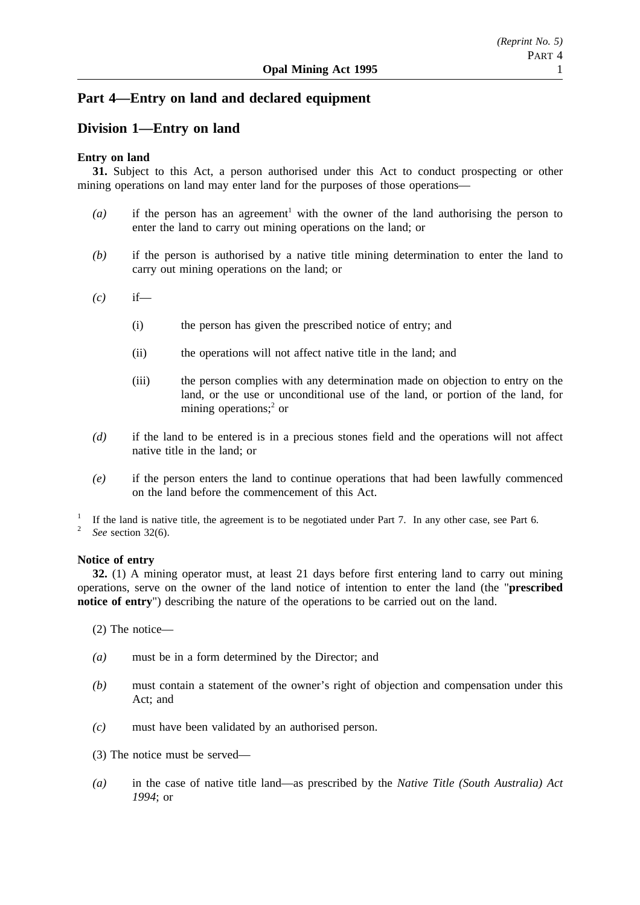## **Part 4—Entry on land and declared equipment**

## **Division 1—Entry on land**

## **Entry on land**

**31.** Subject to this Act, a person authorised under this Act to conduct prospecting or other mining operations on land may enter land for the purposes of those operations—

- $(a)$  if the person has an agreement<sup>1</sup> with the owner of the land authorising the person to enter the land to carry out mining operations on the land; or
- *(b)* if the person is authorised by a native title mining determination to enter the land to carry out mining operations on the land; or
- *(c)* if—
	- (i) the person has given the prescribed notice of entry; and
	- (ii) the operations will not affect native title in the land; and
	- (iii) the person complies with any determination made on objection to entry on the land, or the use or unconditional use of the land, or portion of the land, for mining operations; $^{2}$  or
- *(d)* if the land to be entered is in a precious stones field and the operations will not affect native title in the land; or
- *(e)* if the person enters the land to continue operations that had been lawfully commenced on the land before the commencement of this Act.

<sup>1</sup> If the land is native title, the agreement is to be negotiated under Part 7. In any other case, see Part 6.<br><sup>2</sup> See section 32(6)

See section 32(6).

## **Notice of entry**

**32.** (1) A mining operator must, at least 21 days before first entering land to carry out mining operations, serve on the owner of the land notice of intention to enter the land (the "**prescribed notice of entry**") describing the nature of the operations to be carried out on the land.

(2) The notice—

- *(a)* must be in a form determined by the Director; and
- *(b)* must contain a statement of the owner's right of objection and compensation under this Act; and
- *(c)* must have been validated by an authorised person.
- (3) The notice must be served—
- *(a)* in the case of native title land—as prescribed by the *Native Title (South Australia) Act 1994*; or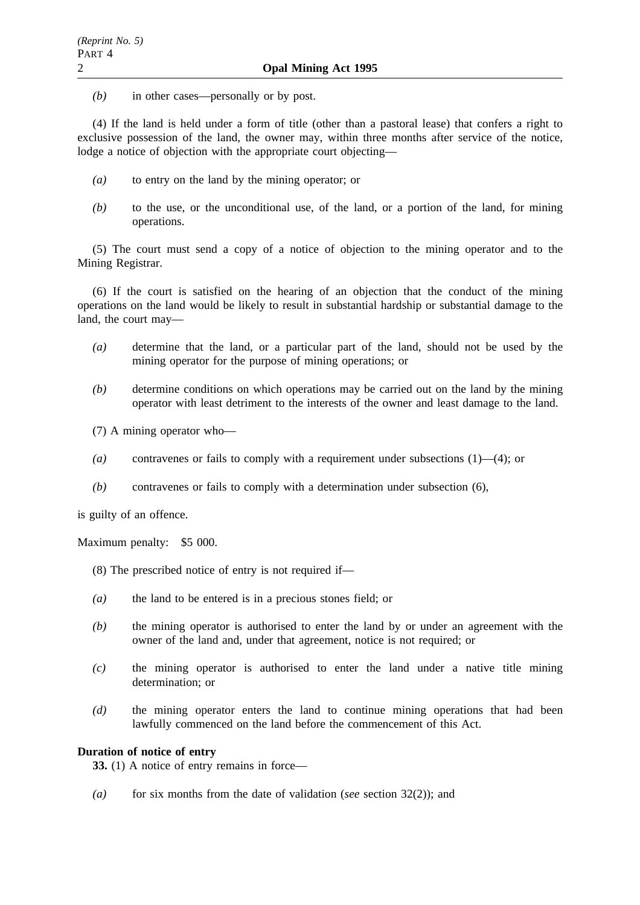*(b)* in other cases—personally or by post.

(4) If the land is held under a form of title (other than a pastoral lease) that confers a right to exclusive possession of the land, the owner may, within three months after service of the notice, lodge a notice of objection with the appropriate court objecting—

- *(a)* to entry on the land by the mining operator; or
- *(b)* to the use, or the unconditional use, of the land, or a portion of the land, for mining operations.

(5) The court must send a copy of a notice of objection to the mining operator and to the Mining Registrar.

(6) If the court is satisfied on the hearing of an objection that the conduct of the mining operations on the land would be likely to result in substantial hardship or substantial damage to the land, the court may—

- *(a)* determine that the land, or a particular part of the land, should not be used by the mining operator for the purpose of mining operations; or
- *(b)* determine conditions on which operations may be carried out on the land by the mining operator with least detriment to the interests of the owner and least damage to the land.
- (7) A mining operator who—
- *(a)* contravenes or fails to comply with a requirement under subsections (1)—(4); or
- *(b)* contravenes or fails to comply with a determination under subsection (6),

is guilty of an offence.

Maximum penalty: \$5 000.

- (8) The prescribed notice of entry is not required if—
- *(a)* the land to be entered is in a precious stones field; or
- *(b)* the mining operator is authorised to enter the land by or under an agreement with the owner of the land and, under that agreement, notice is not required; or
- *(c)* the mining operator is authorised to enter the land under a native title mining determination; or
- *(d)* the mining operator enters the land to continue mining operations that had been lawfully commenced on the land before the commencement of this Act.

## **Duration of notice of entry**

**33.** (1) A notice of entry remains in force—

*(a)* for six months from the date of validation (*see* section 32(2)); and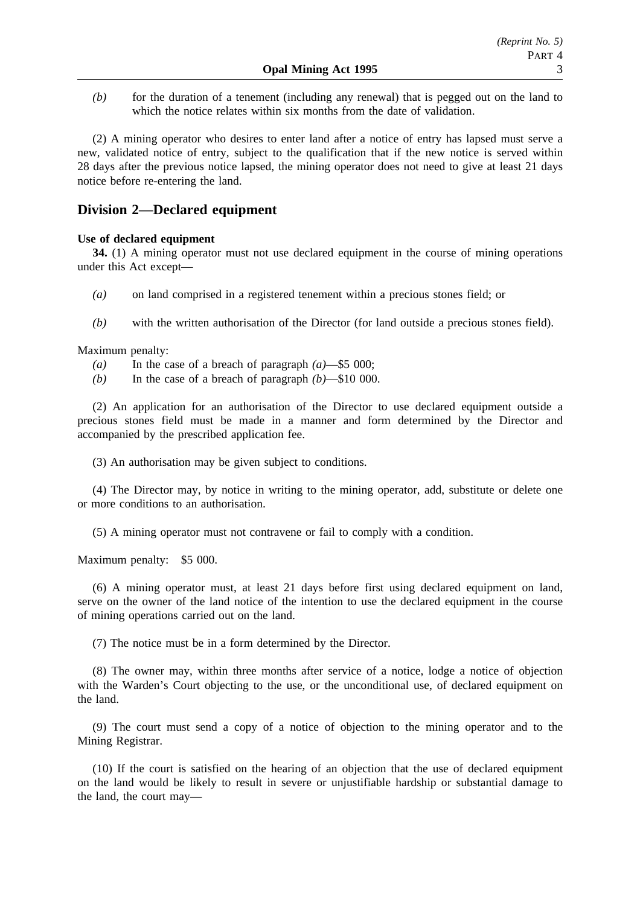*(b)* for the duration of a tenement (including any renewal) that is pegged out on the land to which the notice relates within six months from the date of validation.

(2) A mining operator who desires to enter land after a notice of entry has lapsed must serve a new, validated notice of entry, subject to the qualification that if the new notice is served within 28 days after the previous notice lapsed, the mining operator does not need to give at least 21 days notice before re-entering the land.

## **Division 2—Declared equipment**

## **Use of declared equipment**

**34.** (1) A mining operator must not use declared equipment in the course of mining operations under this Act except—

- *(a)* on land comprised in a registered tenement within a precious stones field; or
- *(b)* with the written authorisation of the Director (for land outside a precious stones field).

Maximum penalty:

- *(a)* In the case of a breach of paragraph *(a)*—\$5 000;
- *(b)* In the case of a breach of paragraph *(b)*—\$10 000.

(2) An application for an authorisation of the Director to use declared equipment outside a precious stones field must be made in a manner and form determined by the Director and accompanied by the prescribed application fee.

(3) An authorisation may be given subject to conditions.

(4) The Director may, by notice in writing to the mining operator, add, substitute or delete one or more conditions to an authorisation.

(5) A mining operator must not contravene or fail to comply with a condition.

Maximum penalty: \$5 000.

(6) A mining operator must, at least 21 days before first using declared equipment on land, serve on the owner of the land notice of the intention to use the declared equipment in the course of mining operations carried out on the land.

(7) The notice must be in a form determined by the Director.

(8) The owner may, within three months after service of a notice, lodge a notice of objection with the Warden's Court objecting to the use, or the unconditional use, of declared equipment on the land.

(9) The court must send a copy of a notice of objection to the mining operator and to the Mining Registrar.

(10) If the court is satisfied on the hearing of an objection that the use of declared equipment on the land would be likely to result in severe or unjustifiable hardship or substantial damage to the land, the court may—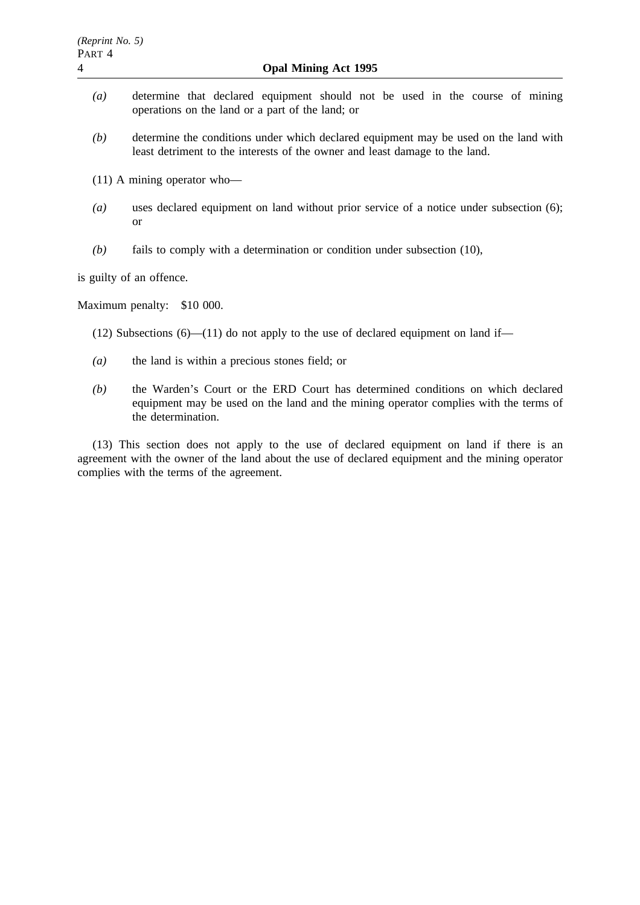- *(a)* determine that declared equipment should not be used in the course of mining operations on the land or a part of the land; or
- *(b)* determine the conditions under which declared equipment may be used on the land with least detriment to the interests of the owner and least damage to the land.
- (11) A mining operator who—
- *(a)* uses declared equipment on land without prior service of a notice under subsection (6); or
- *(b)* fails to comply with a determination or condition under subsection (10),

is guilty of an offence.

Maximum penalty: \$10 000.

- (12) Subsections  $(6)$ —(11) do not apply to the use of declared equipment on land if—
- *(a)* the land is within a precious stones field; or
- *(b)* the Warden's Court or the ERD Court has determined conditions on which declared equipment may be used on the land and the mining operator complies with the terms of the determination.

(13) This section does not apply to the use of declared equipment on land if there is an agreement with the owner of the land about the use of declared equipment and the mining operator complies with the terms of the agreement.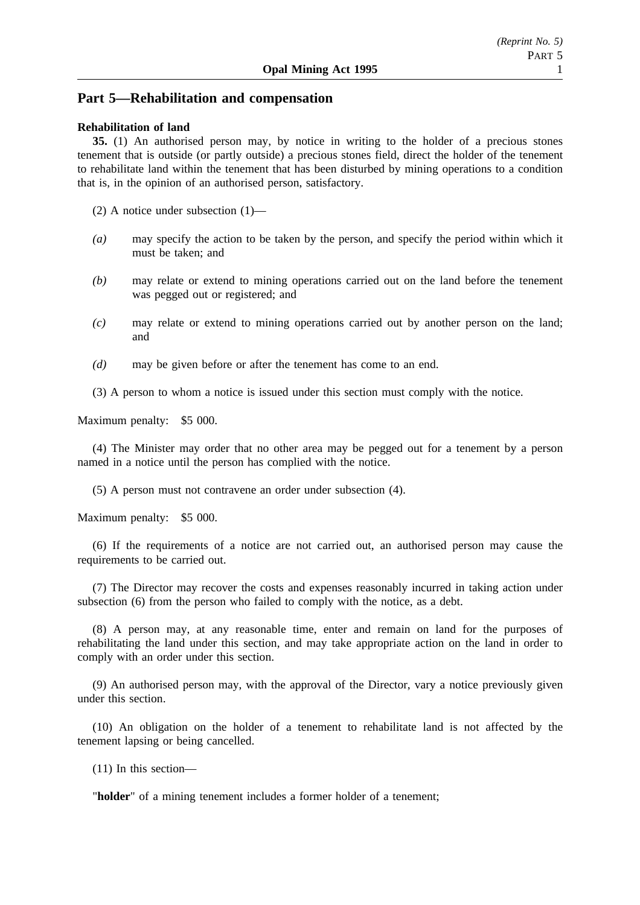## **Part 5—Rehabilitation and compensation**

### **Rehabilitation of land**

**35.** (1) An authorised person may, by notice in writing to the holder of a precious stones tenement that is outside (or partly outside) a precious stones field, direct the holder of the tenement to rehabilitate land within the tenement that has been disturbed by mining operations to a condition that is, in the opinion of an authorised person, satisfactory.

(2) A notice under subsection (1)—

- *(a)* may specify the action to be taken by the person, and specify the period within which it must be taken; and
- *(b)* may relate or extend to mining operations carried out on the land before the tenement was pegged out or registered; and
- *(c)* may relate or extend to mining operations carried out by another person on the land; and
- *(d)* may be given before or after the tenement has come to an end.

(3) A person to whom a notice is issued under this section must comply with the notice.

Maximum penalty: \$5 000.

(4) The Minister may order that no other area may be pegged out for a tenement by a person named in a notice until the person has complied with the notice.

(5) A person must not contravene an order under subsection (4).

Maximum penalty: \$5 000.

(6) If the requirements of a notice are not carried out, an authorised person may cause the requirements to be carried out.

(7) The Director may recover the costs and expenses reasonably incurred in taking action under subsection (6) from the person who failed to comply with the notice, as a debt.

(8) A person may, at any reasonable time, enter and remain on land for the purposes of rehabilitating the land under this section, and may take appropriate action on the land in order to comply with an order under this section.

(9) An authorised person may, with the approval of the Director, vary a notice previously given under this section.

(10) An obligation on the holder of a tenement to rehabilitate land is not affected by the tenement lapsing or being cancelled.

(11) In this section—

"**holder**" of a mining tenement includes a former holder of a tenement;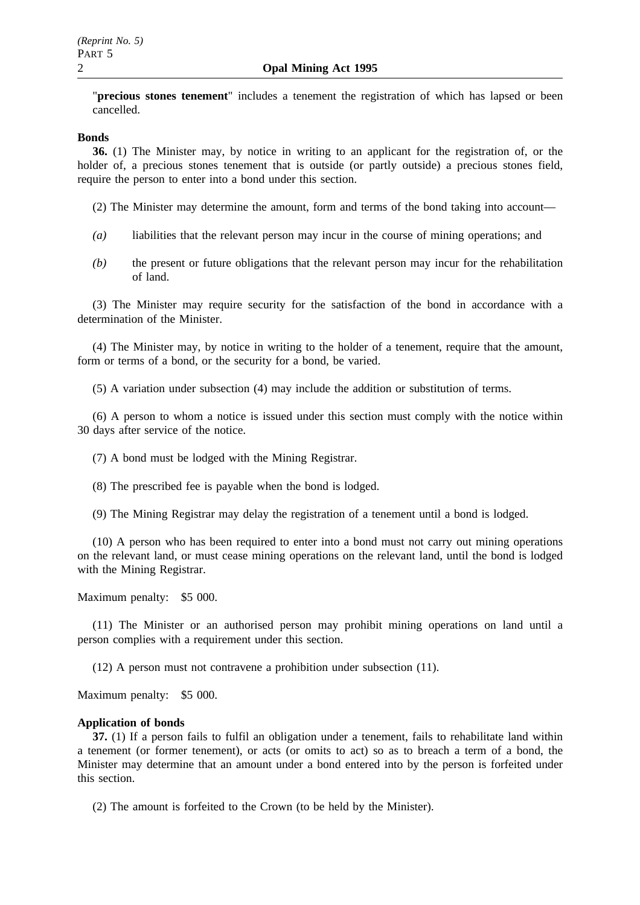"**precious stones tenement**" includes a tenement the registration of which has lapsed or been cancelled.

#### **Bonds**

**36.** (1) The Minister may, by notice in writing to an applicant for the registration of, or the holder of, a precious stones tenement that is outside (or partly outside) a precious stones field, require the person to enter into a bond under this section.

- (2) The Minister may determine the amount, form and terms of the bond taking into account—
- *(a)* liabilities that the relevant person may incur in the course of mining operations; and
- *(b)* the present or future obligations that the relevant person may incur for the rehabilitation of land.

(3) The Minister may require security for the satisfaction of the bond in accordance with a determination of the Minister.

(4) The Minister may, by notice in writing to the holder of a tenement, require that the amount, form or terms of a bond, or the security for a bond, be varied.

(5) A variation under subsection (4) may include the addition or substitution of terms.

(6) A person to whom a notice is issued under this section must comply with the notice within 30 days after service of the notice.

(7) A bond must be lodged with the Mining Registrar.

(8) The prescribed fee is payable when the bond is lodged.

(9) The Mining Registrar may delay the registration of a tenement until a bond is lodged.

(10) A person who has been required to enter into a bond must not carry out mining operations on the relevant land, or must cease mining operations on the relevant land, until the bond is lodged with the Mining Registrar.

Maximum penalty: \$5 000.

(11) The Minister or an authorised person may prohibit mining operations on land until a person complies with a requirement under this section.

(12) A person must not contravene a prohibition under subsection (11).

Maximum penalty: \$5 000.

#### **Application of bonds**

**37.** (1) If a person fails to fulfil an obligation under a tenement, fails to rehabilitate land within a tenement (or former tenement), or acts (or omits to act) so as to breach a term of a bond, the Minister may determine that an amount under a bond entered into by the person is forfeited under this section.

(2) The amount is forfeited to the Crown (to be held by the Minister).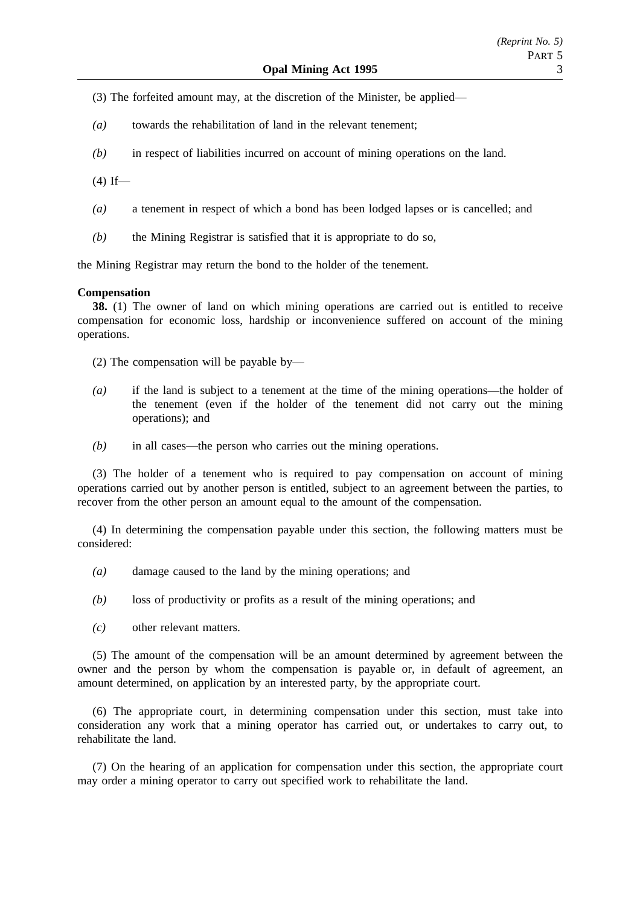- (3) The forfeited amount may, at the discretion of the Minister, be applied—
- *(a)* towards the rehabilitation of land in the relevant tenement;
- *(b)* in respect of liabilities incurred on account of mining operations on the land.
- $(4)$  If—
- *(a)* a tenement in respect of which a bond has been lodged lapses or is cancelled; and
- *(b)* the Mining Registrar is satisfied that it is appropriate to do so,

the Mining Registrar may return the bond to the holder of the tenement.

#### **Compensation**

**38.** (1) The owner of land on which mining operations are carried out is entitled to receive compensation for economic loss, hardship or inconvenience suffered on account of the mining operations.

(2) The compensation will be payable by—

- *(a)* if the land is subject to a tenement at the time of the mining operations—the holder of the tenement (even if the holder of the tenement did not carry out the mining operations); and
- *(b)* in all cases—the person who carries out the mining operations.

(3) The holder of a tenement who is required to pay compensation on account of mining operations carried out by another person is entitled, subject to an agreement between the parties, to recover from the other person an amount equal to the amount of the compensation.

(4) In determining the compensation payable under this section, the following matters must be considered:

- *(a)* damage caused to the land by the mining operations; and
- *(b)* loss of productivity or profits as a result of the mining operations; and
- *(c)* other relevant matters.

(5) The amount of the compensation will be an amount determined by agreement between the owner and the person by whom the compensation is payable or, in default of agreement, an amount determined, on application by an interested party, by the appropriate court.

(6) The appropriate court, in determining compensation under this section, must take into consideration any work that a mining operator has carried out, or undertakes to carry out, to rehabilitate the land.

(7) On the hearing of an application for compensation under this section, the appropriate court may order a mining operator to carry out specified work to rehabilitate the land.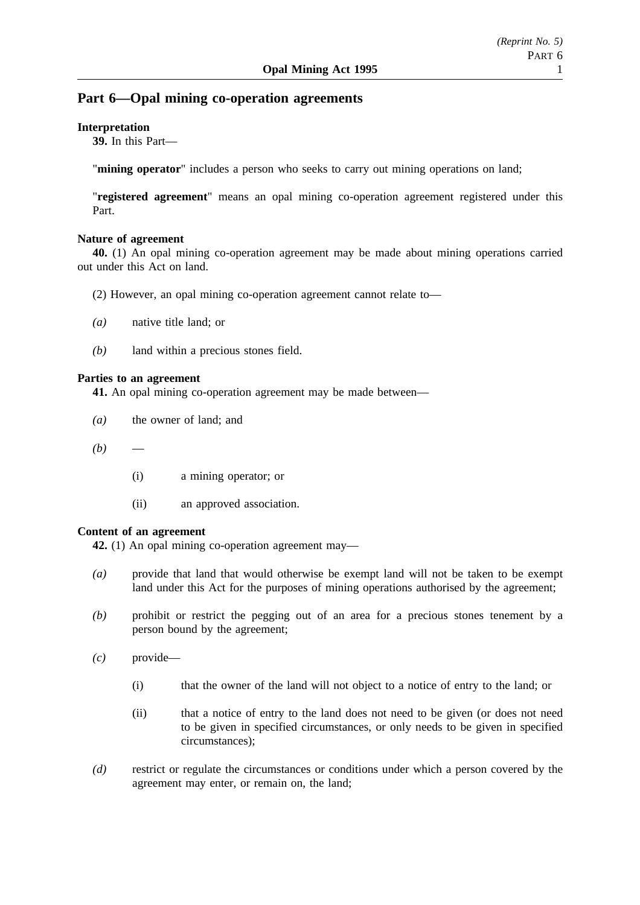## **Part 6—Opal mining co-operation agreements**

### **Interpretation**

**39.** In this Part—

"**mining operator**" includes a person who seeks to carry out mining operations on land;

"**registered agreement**" means an opal mining co-operation agreement registered under this Part.

### **Nature of agreement**

**40.** (1) An opal mining co-operation agreement may be made about mining operations carried out under this Act on land.

- (2) However, an opal mining co-operation agreement cannot relate to—
- *(a)* native title land; or
- *(b)* land within a precious stones field.

### **Parties to an agreement**

**41.** An opal mining co-operation agreement may be made between—

- *(a)* the owner of land; and
- $(b)$ 
	- (i) a mining operator; or
	- (ii) an approved association.

## **Content of an agreement**

**42.** (1) An opal mining co-operation agreement may—

- *(a)* provide that land that would otherwise be exempt land will not be taken to be exempt land under this Act for the purposes of mining operations authorised by the agreement;
- *(b)* prohibit or restrict the pegging out of an area for a precious stones tenement by a person bound by the agreement;
- *(c)* provide—
	- (i) that the owner of the land will not object to a notice of entry to the land; or
	- (ii) that a notice of entry to the land does not need to be given (or does not need to be given in specified circumstances, or only needs to be given in specified circumstances);
- *(d)* restrict or regulate the circumstances or conditions under which a person covered by the agreement may enter, or remain on, the land;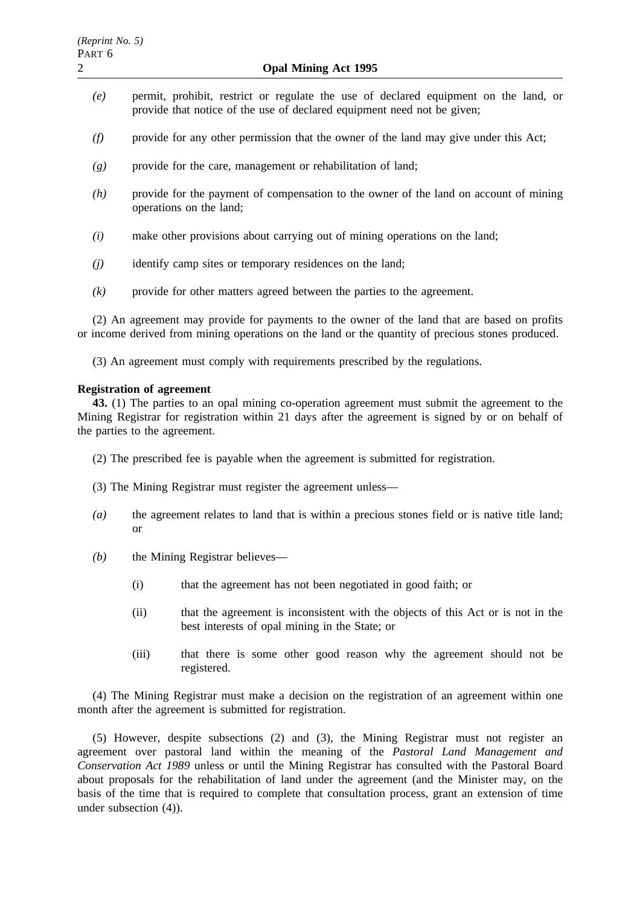- *(e)* permit, prohibit, restrict or regulate the use of declared equipment on the land, or provide that notice of the use of declared equipment need not be given;
- *(f)* provide for any other permission that the owner of the land may give under this Act;
- *(g)* provide for the care, management or rehabilitation of land;
- *(h)* provide for the payment of compensation to the owner of the land on account of mining operations on the land;
- *(i)* make other provisions about carrying out of mining operations on the land;
- *(j)* identify camp sites or temporary residences on the land;
- *(k)* provide for other matters agreed between the parties to the agreement.

(2) An agreement may provide for payments to the owner of the land that are based on profits or income derived from mining operations on the land or the quantity of precious stones produced.

(3) An agreement must comply with requirements prescribed by the regulations.

#### **Registration of agreement**

**43.** (1) The parties to an opal mining co-operation agreement must submit the agreement to the Mining Registrar for registration within 21 days after the agreement is signed by or on behalf of the parties to the agreement.

- (2) The prescribed fee is payable when the agreement is submitted for registration.
- (3) The Mining Registrar must register the agreement unless—
- *(a)* the agreement relates to land that is within a precious stones field or is native title land; or
- *(b)* the Mining Registrar believes—
	- (i) that the agreement has not been negotiated in good faith; or
	- (ii) that the agreement is inconsistent with the objects of this Act or is not in the best interests of opal mining in the State; or
	- (iii) that there is some other good reason why the agreement should not be registered.

(4) The Mining Registrar must make a decision on the registration of an agreement within one month after the agreement is submitted for registration.

(5) However, despite subsections (2) and (3), the Mining Registrar must not register an agreement over pastoral land within the meaning of the *Pastoral Land Management and Conservation Act 1989* unless or until the Mining Registrar has consulted with the Pastoral Board about proposals for the rehabilitation of land under the agreement (and the Minister may, on the basis of the time that is required to complete that consultation process, grant an extension of time under subsection (4)).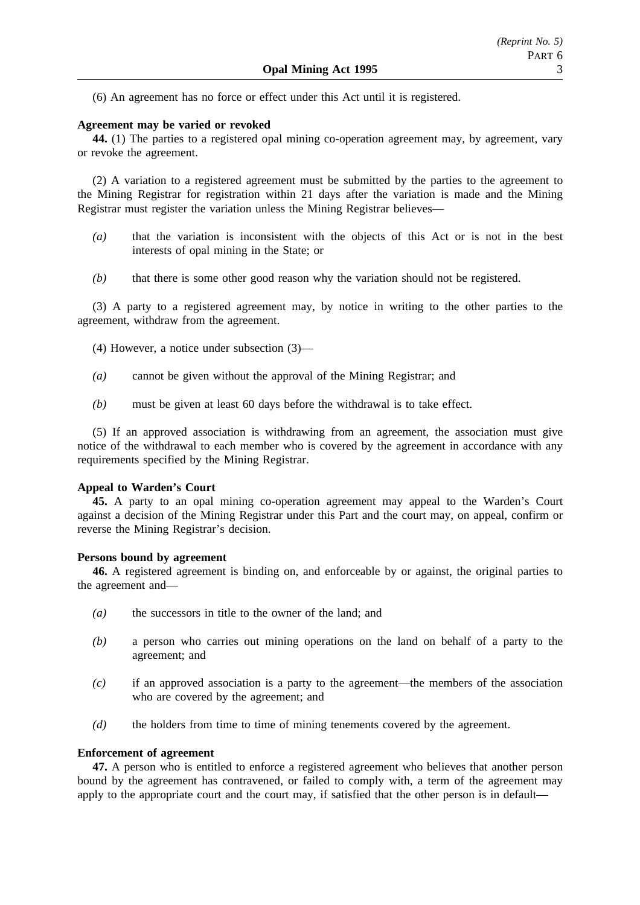(6) An agreement has no force or effect under this Act until it is registered.

#### **Agreement may be varied or revoked**

**44.** (1) The parties to a registered opal mining co-operation agreement may, by agreement, vary or revoke the agreement.

(2) A variation to a registered agreement must be submitted by the parties to the agreement to the Mining Registrar for registration within 21 days after the variation is made and the Mining Registrar must register the variation unless the Mining Registrar believes—

- *(a)* that the variation is inconsistent with the objects of this Act or is not in the best interests of opal mining in the State; or
- *(b)* that there is some other good reason why the variation should not be registered.

(3) A party to a registered agreement may, by notice in writing to the other parties to the agreement, withdraw from the agreement.

- (4) However, a notice under subsection (3)—
- *(a)* cannot be given without the approval of the Mining Registrar; and
- *(b)* must be given at least 60 days before the withdrawal is to take effect.

(5) If an approved association is withdrawing from an agreement, the association must give notice of the withdrawal to each member who is covered by the agreement in accordance with any requirements specified by the Mining Registrar.

### **Appeal to Warden's Court**

**45.** A party to an opal mining co-operation agreement may appeal to the Warden's Court against a decision of the Mining Registrar under this Part and the court may, on appeal, confirm or reverse the Mining Registrar's decision.

#### **Persons bound by agreement**

**46.** A registered agreement is binding on, and enforceable by or against, the original parties to the agreement and—

- *(a)* the successors in title to the owner of the land; and
- *(b)* a person who carries out mining operations on the land on behalf of a party to the agreement; and
- *(c)* if an approved association is a party to the agreement—the members of the association who are covered by the agreement; and
- *(d)* the holders from time to time of mining tenements covered by the agreement.

#### **Enforcement of agreement**

**47.** A person who is entitled to enforce a registered agreement who believes that another person bound by the agreement has contravened, or failed to comply with, a term of the agreement may apply to the appropriate court and the court may, if satisfied that the other person is in default—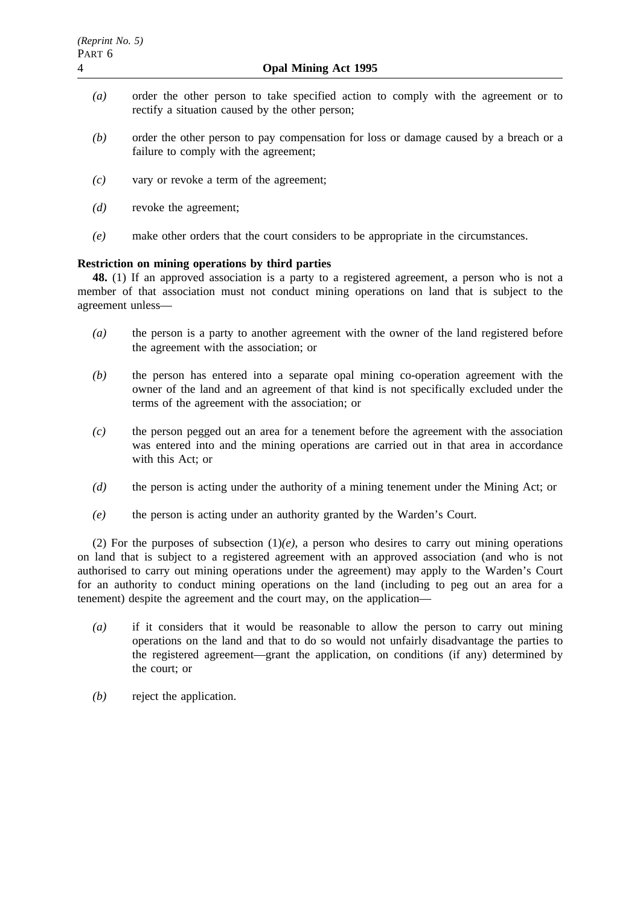- *(a)* order the other person to take specified action to comply with the agreement or to rectify a situation caused by the other person;
- *(b)* order the other person to pay compensation for loss or damage caused by a breach or a failure to comply with the agreement;
- *(c)* vary or revoke a term of the agreement;
- *(d)* revoke the agreement;
- *(e)* make other orders that the court considers to be appropriate in the circumstances.

## **Restriction on mining operations by third parties**

**48.** (1) If an approved association is a party to a registered agreement, a person who is not a member of that association must not conduct mining operations on land that is subject to the agreement unless—

- *(a)* the person is a party to another agreement with the owner of the land registered before the agreement with the association; or
- *(b)* the person has entered into a separate opal mining co-operation agreement with the owner of the land and an agreement of that kind is not specifically excluded under the terms of the agreement with the association; or
- *(c)* the person pegged out an area for a tenement before the agreement with the association was entered into and the mining operations are carried out in that area in accordance with this Act: or
- *(d)* the person is acting under the authority of a mining tenement under the Mining Act; or
- *(e)* the person is acting under an authority granted by the Warden's Court.

(2) For the purposes of subsection  $(1)(e)$ , a person who desires to carry out mining operations on land that is subject to a registered agreement with an approved association (and who is not authorised to carry out mining operations under the agreement) may apply to the Warden's Court for an authority to conduct mining operations on the land (including to peg out an area for a tenement) despite the agreement and the court may, on the application—

- *(a)* if it considers that it would be reasonable to allow the person to carry out mining operations on the land and that to do so would not unfairly disadvantage the parties to the registered agreement—grant the application, on conditions (if any) determined by the court; or
- *(b)* reject the application.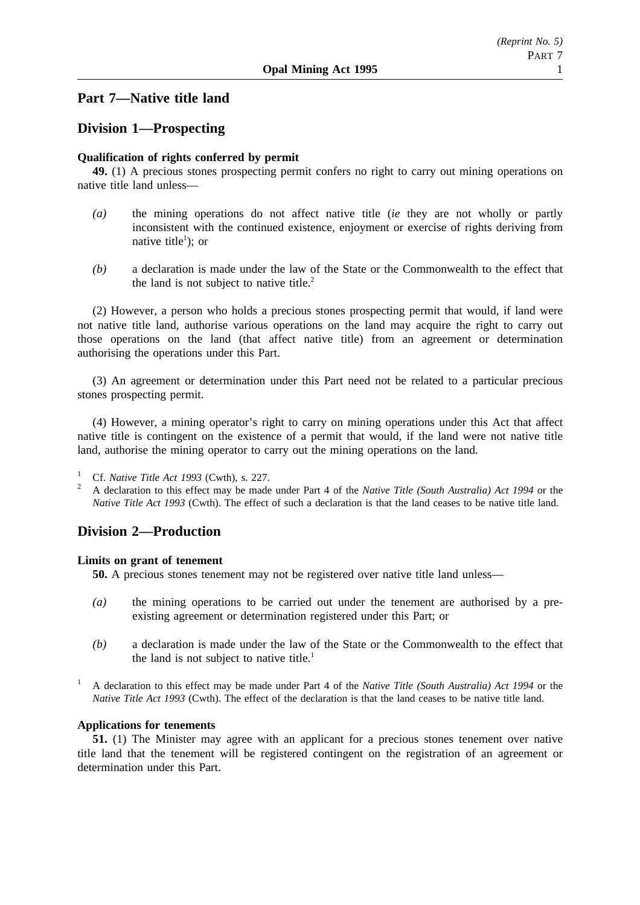## **Part 7—Native title land**

## **Division 1—Prospecting**

## **Qualification of rights conferred by permit**

**49.** (1) A precious stones prospecting permit confers no right to carry out mining operations on native title land unless—

- *(a)* the mining operations do not affect native title (*ie* they are not wholly or partly inconsistent with the continued existence, enjoyment or exercise of rights deriving from native title<sup>1</sup>); or
- *(b)* a declaration is made under the law of the State or the Commonwealth to the effect that the land is not subject to native title.<sup>2</sup>

(2) However, a person who holds a precious stones prospecting permit that would, if land were not native title land, authorise various operations on the land may acquire the right to carry out those operations on the land (that affect native title) from an agreement or determination authorising the operations under this Part.

(3) An agreement or determination under this Part need not be related to a particular precious stones prospecting permit.

(4) However, a mining operator's right to carry on mining operations under this Act that affect native title is contingent on the existence of a permit that would, if the land were not native title land, authorise the mining operator to carry out the mining operations on the land.

1 Cf. *Native Title Act 1993* (Cwth), s. 227.<br>A declaration to this effect may be made under Part 4 of the *Native Title (South Australia) Act 1994* or the *Native Title Act 1993* (Cwth). The effect of such a declaration is that the land ceases to be native title land.

## **Division 2—Production**

#### **Limits on grant of tenement**

**50.** A precious stones tenement may not be registered over native title land unless—

- *(a)* the mining operations to be carried out under the tenement are authorised by a preexisting agreement or determination registered under this Part; or
- *(b)* a declaration is made under the law of the State or the Commonwealth to the effect that the land is not subject to native title.<sup>1</sup>
- <sup>1</sup> A declaration to this effect may be made under Part 4 of the *Native Title (South Australia) Act 1994* or the *Native Title Act 1993* (Cwth). The effect of the declaration is that the land ceases to be native title land.

#### **Applications for tenements**

**51.** (1) The Minister may agree with an applicant for a precious stones tenement over native title land that the tenement will be registered contingent on the registration of an agreement or determination under this Part.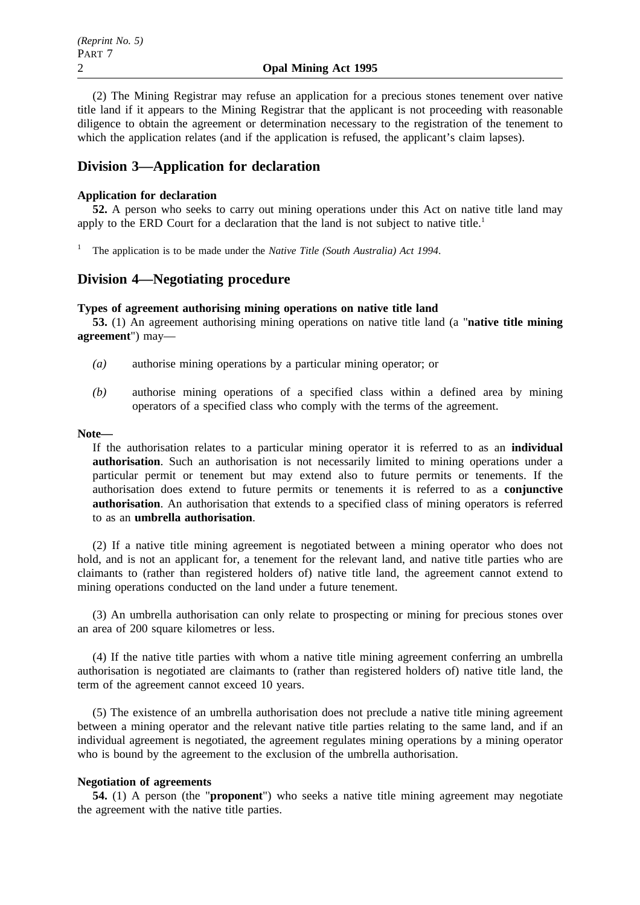(2) The Mining Registrar may refuse an application for a precious stones tenement over native title land if it appears to the Mining Registrar that the applicant is not proceeding with reasonable diligence to obtain the agreement or determination necessary to the registration of the tenement to which the application relates (and if the application is refused, the applicant's claim lapses).

## **Division 3—Application for declaration**

### **Application for declaration**

**52.** A person who seeks to carry out mining operations under this Act on native title land may apply to the ERD Court for a declaration that the land is not subject to native title.<sup>1</sup>

<sup>1</sup> The application is to be made under the *Native Title (South Australia) Act 1994*.

## **Division 4—Negotiating procedure**

#### **Types of agreement authorising mining operations on native title land**

**53.** (1) An agreement authorising mining operations on native title land (a "**native title mining agreement**") may—

- *(a)* authorise mining operations by a particular mining operator; or
- *(b)* authorise mining operations of a specified class within a defined area by mining operators of a specified class who comply with the terms of the agreement.

**Note—**

If the authorisation relates to a particular mining operator it is referred to as an **individual authorisation**. Such an authorisation is not necessarily limited to mining operations under a particular permit or tenement but may extend also to future permits or tenements. If the authorisation does extend to future permits or tenements it is referred to as a **conjunctive authorisation**. An authorisation that extends to a specified class of mining operators is referred to as an **umbrella authorisation**.

(2) If a native title mining agreement is negotiated between a mining operator who does not hold, and is not an applicant for, a tenement for the relevant land, and native title parties who are claimants to (rather than registered holders of) native title land, the agreement cannot extend to mining operations conducted on the land under a future tenement.

(3) An umbrella authorisation can only relate to prospecting or mining for precious stones over an area of 200 square kilometres or less.

(4) If the native title parties with whom a native title mining agreement conferring an umbrella authorisation is negotiated are claimants to (rather than registered holders of) native title land, the term of the agreement cannot exceed 10 years.

(5) The existence of an umbrella authorisation does not preclude a native title mining agreement between a mining operator and the relevant native title parties relating to the same land, and if an individual agreement is negotiated, the agreement regulates mining operations by a mining operator who is bound by the agreement to the exclusion of the umbrella authorisation.

#### **Negotiation of agreements**

**54.** (1) A person (the "**proponent**") who seeks a native title mining agreement may negotiate the agreement with the native title parties.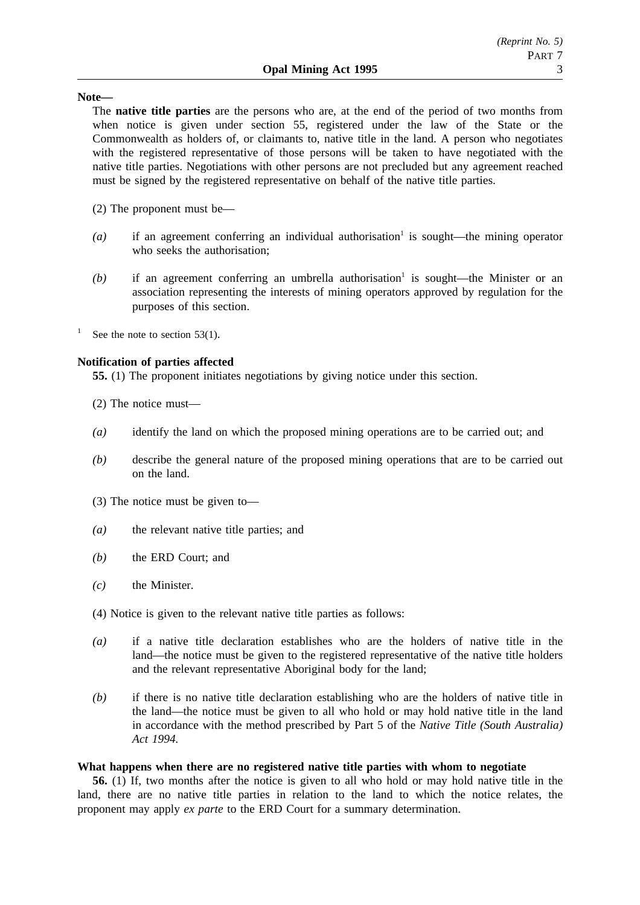#### **Note—**

The **native title parties** are the persons who are, at the end of the period of two months from when notice is given under section 55, registered under the law of the State or the Commonwealth as holders of, or claimants to, native title in the land. A person who negotiates with the registered representative of those persons will be taken to have negotiated with the native title parties. Negotiations with other persons are not precluded but any agreement reached must be signed by the registered representative on behalf of the native title parties.

- (2) The proponent must be—
- $(a)$  if an agreement conferring an individual authorisation<sup>1</sup> is sought—the mining operator who seeks the authorisation;
- $(b)$  if an agreement conferring an umbrella authorisation<sup>1</sup> is sought—the Minister or an association representing the interests of mining operators approved by regulation for the purposes of this section.
- See the note to section  $53(1)$ .

### **Notification of parties affected**

**55.** (1) The proponent initiates negotiations by giving notice under this section.

- (2) The notice must—
- *(a)* identify the land on which the proposed mining operations are to be carried out; and
- *(b)* describe the general nature of the proposed mining operations that are to be carried out on the land.
- (3) The notice must be given to—
- *(a)* the relevant native title parties; and
- *(b)* the ERD Court; and
- *(c)* the Minister.
- (4) Notice is given to the relevant native title parties as follows:
- *(a)* if a native title declaration establishes who are the holders of native title in the land—the notice must be given to the registered representative of the native title holders and the relevant representative Aboriginal body for the land;
- *(b)* if there is no native title declaration establishing who are the holders of native title in the land—the notice must be given to all who hold or may hold native title in the land in accordance with the method prescribed by Part 5 of the *Native Title (South Australia) Act 1994.*

#### **What happens when there are no registered native title parties with whom to negotiate**

**56.** (1) If, two months after the notice is given to all who hold or may hold native title in the land, there are no native title parties in relation to the land to which the notice relates, the proponent may apply *ex parte* to the ERD Court for a summary determination.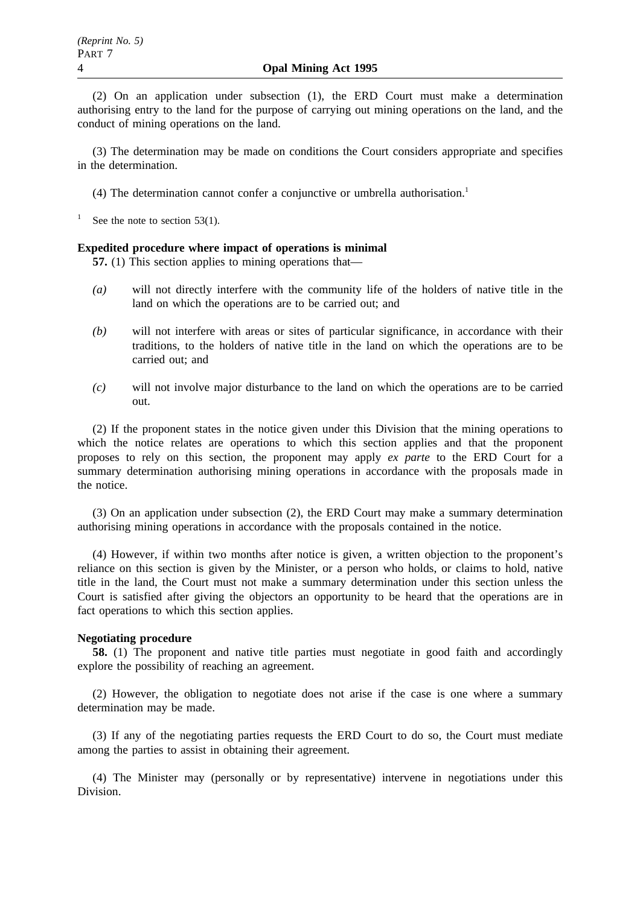(2) On an application under subsection (1), the ERD Court must make a determination authorising entry to the land for the purpose of carrying out mining operations on the land, and the conduct of mining operations on the land.

(3) The determination may be made on conditions the Court considers appropriate and specifies in the determination.

(4) The determination cannot confer a conjunctive or umbrella authorisation.1

<sup>1</sup> See the note to section 53(1).

#### **Expedited procedure where impact of operations is minimal**

**57.** (1) This section applies to mining operations that—

- *(a)* will not directly interfere with the community life of the holders of native title in the land on which the operations are to be carried out; and
- *(b)* will not interfere with areas or sites of particular significance, in accordance with their traditions, to the holders of native title in the land on which the operations are to be carried out; and
- *(c)* will not involve major disturbance to the land on which the operations are to be carried out.

(2) If the proponent states in the notice given under this Division that the mining operations to which the notice relates are operations to which this section applies and that the proponent proposes to rely on this section, the proponent may apply *ex parte* to the ERD Court for a summary determination authorising mining operations in accordance with the proposals made in the notice.

(3) On an application under subsection (2), the ERD Court may make a summary determination authorising mining operations in accordance with the proposals contained in the notice.

(4) However, if within two months after notice is given, a written objection to the proponent's reliance on this section is given by the Minister, or a person who holds, or claims to hold, native title in the land, the Court must not make a summary determination under this section unless the Court is satisfied after giving the objectors an opportunity to be heard that the operations are in fact operations to which this section applies.

#### **Negotiating procedure**

**58.** (1) The proponent and native title parties must negotiate in good faith and accordingly explore the possibility of reaching an agreement.

(2) However, the obligation to negotiate does not arise if the case is one where a summary determination may be made.

(3) If any of the negotiating parties requests the ERD Court to do so, the Court must mediate among the parties to assist in obtaining their agreement.

(4) The Minister may (personally or by representative) intervene in negotiations under this Division.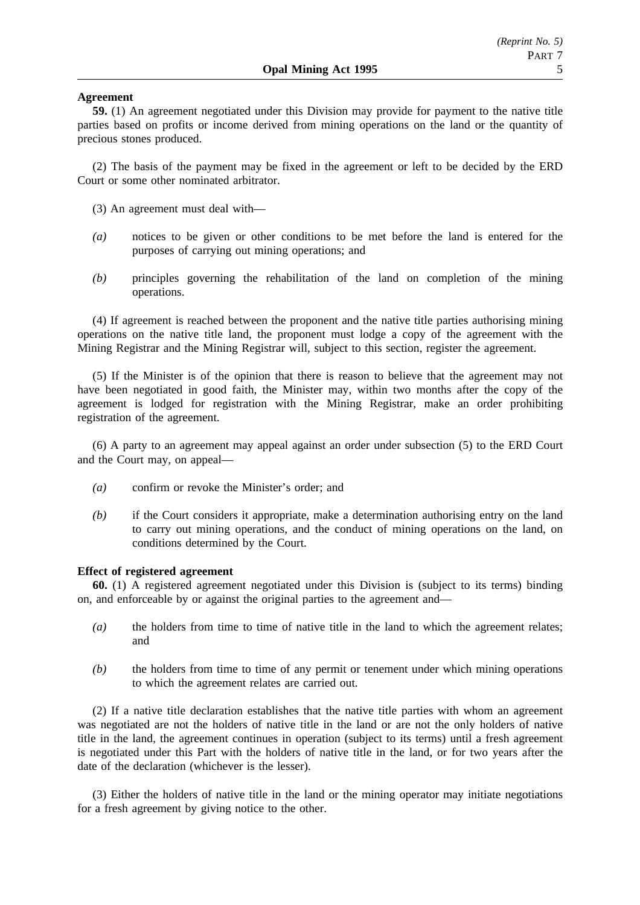### **Agreement**

**59.** (1) An agreement negotiated under this Division may provide for payment to the native title parties based on profits or income derived from mining operations on the land or the quantity of precious stones produced.

(2) The basis of the payment may be fixed in the agreement or left to be decided by the ERD Court or some other nominated arbitrator.

- (3) An agreement must deal with—
- *(a)* notices to be given or other conditions to be met before the land is entered for the purposes of carrying out mining operations; and
- *(b)* principles governing the rehabilitation of the land on completion of the mining operations.

(4) If agreement is reached between the proponent and the native title parties authorising mining operations on the native title land, the proponent must lodge a copy of the agreement with the Mining Registrar and the Mining Registrar will, subject to this section, register the agreement.

(5) If the Minister is of the opinion that there is reason to believe that the agreement may not have been negotiated in good faith, the Minister may, within two months after the copy of the agreement is lodged for registration with the Mining Registrar, make an order prohibiting registration of the agreement.

(6) A party to an agreement may appeal against an order under subsection (5) to the ERD Court and the Court may, on appeal—

- *(a)* confirm or revoke the Minister's order; and
- *(b)* if the Court considers it appropriate, make a determination authorising entry on the land to carry out mining operations, and the conduct of mining operations on the land, on conditions determined by the Court.

### **Effect of registered agreement**

**60.** (1) A registered agreement negotiated under this Division is (subject to its terms) binding on, and enforceable by or against the original parties to the agreement and—

- *(a)* the holders from time to time of native title in the land to which the agreement relates; and
- *(b)* the holders from time to time of any permit or tenement under which mining operations to which the agreement relates are carried out.

(2) If a native title declaration establishes that the native title parties with whom an agreement was negotiated are not the holders of native title in the land or are not the only holders of native title in the land, the agreement continues in operation (subject to its terms) until a fresh agreement is negotiated under this Part with the holders of native title in the land, or for two years after the date of the declaration (whichever is the lesser).

(3) Either the holders of native title in the land or the mining operator may initiate negotiations for a fresh agreement by giving notice to the other.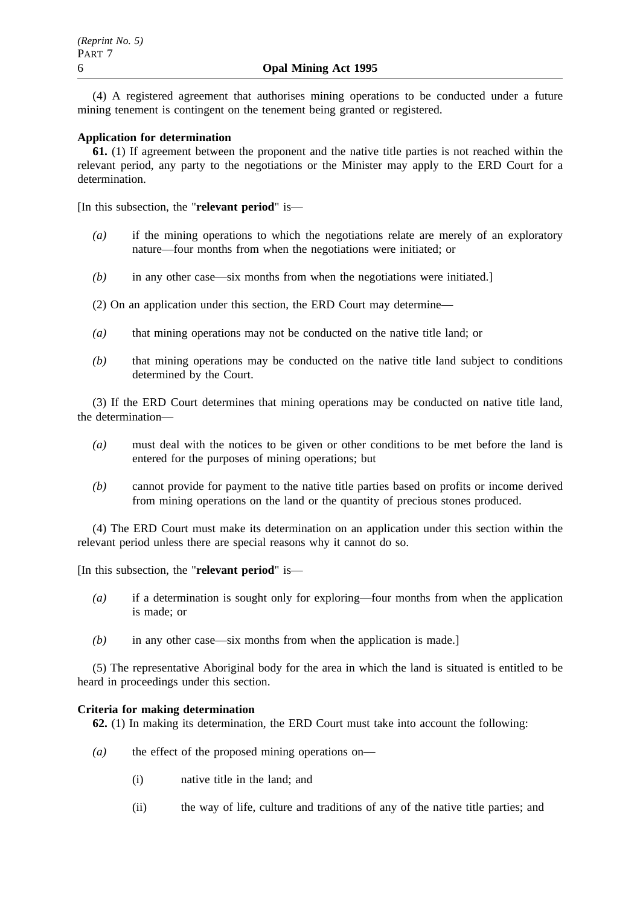(4) A registered agreement that authorises mining operations to be conducted under a future mining tenement is contingent on the tenement being granted or registered.

### **Application for determination**

**61.** (1) If agreement between the proponent and the native title parties is not reached within the relevant period, any party to the negotiations or the Minister may apply to the ERD Court for a determination.

[In this subsection, the "**relevant period**" is—

- *(a)* if the mining operations to which the negotiations relate are merely of an exploratory nature—four months from when the negotiations were initiated; or
- *(b)* in any other case—six months from when the negotiations were initiated.]

(2) On an application under this section, the ERD Court may determine—

- *(a)* that mining operations may not be conducted on the native title land; or
- *(b)* that mining operations may be conducted on the native title land subject to conditions determined by the Court.

(3) If the ERD Court determines that mining operations may be conducted on native title land, the determination—

- *(a)* must deal with the notices to be given or other conditions to be met before the land is entered for the purposes of mining operations; but
- *(b)* cannot provide for payment to the native title parties based on profits or income derived from mining operations on the land or the quantity of precious stones produced.

(4) The ERD Court must make its determination on an application under this section within the relevant period unless there are special reasons why it cannot do so.

[In this subsection, the "**relevant period**" is—

- *(a)* if a determination is sought only for exploring—four months from when the application is made; or
- *(b)* in any other case—six months from when the application is made.]

(5) The representative Aboriginal body for the area in which the land is situated is entitled to be heard in proceedings under this section.

#### **Criteria for making determination**

**62.** (1) In making its determination, the ERD Court must take into account the following:

- *(a)* the effect of the proposed mining operations on—
	- (i) native title in the land; and
	- (ii) the way of life, culture and traditions of any of the native title parties; and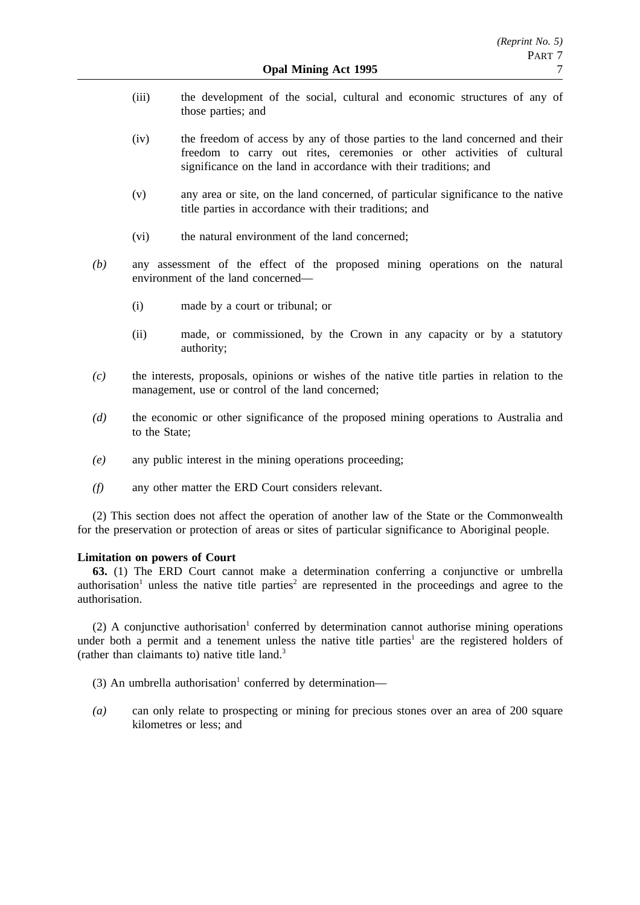- (iii) the development of the social, cultural and economic structures of any of those parties; and
- (iv) the freedom of access by any of those parties to the land concerned and their freedom to carry out rites, ceremonies or other activities of cultural significance on the land in accordance with their traditions; and
- (v) any area or site, on the land concerned, of particular significance to the native title parties in accordance with their traditions; and
- (vi) the natural environment of the land concerned;
- *(b)* any assessment of the effect of the proposed mining operations on the natural environment of the land concerned—
	- (i) made by a court or tribunal; or
	- (ii) made, or commissioned, by the Crown in any capacity or by a statutory authority;
- *(c)* the interests, proposals, opinions or wishes of the native title parties in relation to the management, use or control of the land concerned;
- *(d)* the economic or other significance of the proposed mining operations to Australia and to the State;
- *(e)* any public interest in the mining operations proceeding;
- *(f)* any other matter the ERD Court considers relevant.

(2) This section does not affect the operation of another law of the State or the Commonwealth for the preservation or protection of areas or sites of particular significance to Aboriginal people.

#### **Limitation on powers of Court**

**63.** (1) The ERD Court cannot make a determination conferring a conjunctive or umbrella authorisation<sup>1</sup> unless the native title parties<sup>2</sup> are represented in the proceedings and agree to the authorisation.

(2) A conjunctive authorisation<sup>1</sup> conferred by determination cannot authorise mining operations under both a permit and a tenement unless the native title parties<sup>1</sup> are the registered holders of (rather than claimants to) native title land.3

- (3) An umbrella authorisation<sup>1</sup> conferred by determination—
- *(a)* can only relate to prospecting or mining for precious stones over an area of 200 square kilometres or less; and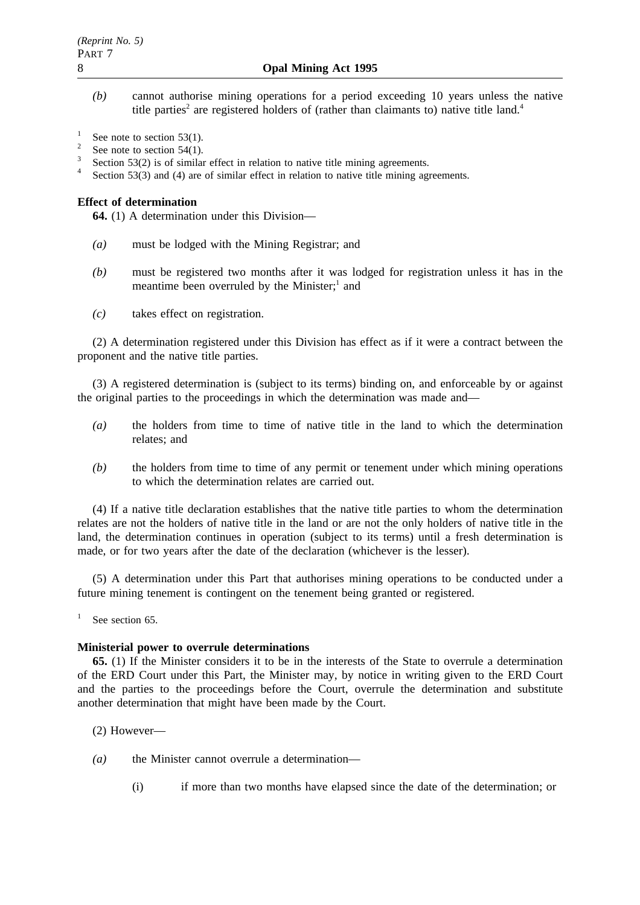*(b)* cannot authorise mining operations for a period exceeding 10 years unless the native title parties<sup>2</sup> are registered holders of (rather than claimants to) native title land.<sup>4</sup>

<sup>1</sup> See note to section 53(1).<br><sup>2</sup> See note to section 54(1).

<sup>3</sup> Section 53(2) is of similar effect in relation to native title mining agreements.<br><sup>4</sup> Section 53(3) and (4) are of similar effect in relation to native title mining agreements.

#### **Effect of determination**

**64.** (1) A determination under this Division—

- *(a)* must be lodged with the Mining Registrar; and
- *(b)* must be registered two months after it was lodged for registration unless it has in the meantime been overruled by the Minister; $<sup>1</sup>$  and</sup>
- *(c)* takes effect on registration.

(2) A determination registered under this Division has effect as if it were a contract between the proponent and the native title parties.

(3) A registered determination is (subject to its terms) binding on, and enforceable by or against the original parties to the proceedings in which the determination was made and—

- *(a)* the holders from time to time of native title in the land to which the determination relates; and
- *(b)* the holders from time to time of any permit or tenement under which mining operations to which the determination relates are carried out.

(4) If a native title declaration establishes that the native title parties to whom the determination relates are not the holders of native title in the land or are not the only holders of native title in the land, the determination continues in operation (subject to its terms) until a fresh determination is made, or for two years after the date of the declaration (whichever is the lesser).

(5) A determination under this Part that authorises mining operations to be conducted under a future mining tenement is contingent on the tenement being granted or registered.

<sup>1</sup> See section 65.

#### **Ministerial power to overrule determinations**

**65.** (1) If the Minister considers it to be in the interests of the State to overrule a determination of the ERD Court under this Part, the Minister may, by notice in writing given to the ERD Court and the parties to the proceedings before the Court, overrule the determination and substitute another determination that might have been made by the Court.

- (2) However—
- *(a)* the Minister cannot overrule a determination—
	- (i) if more than two months have elapsed since the date of the determination; or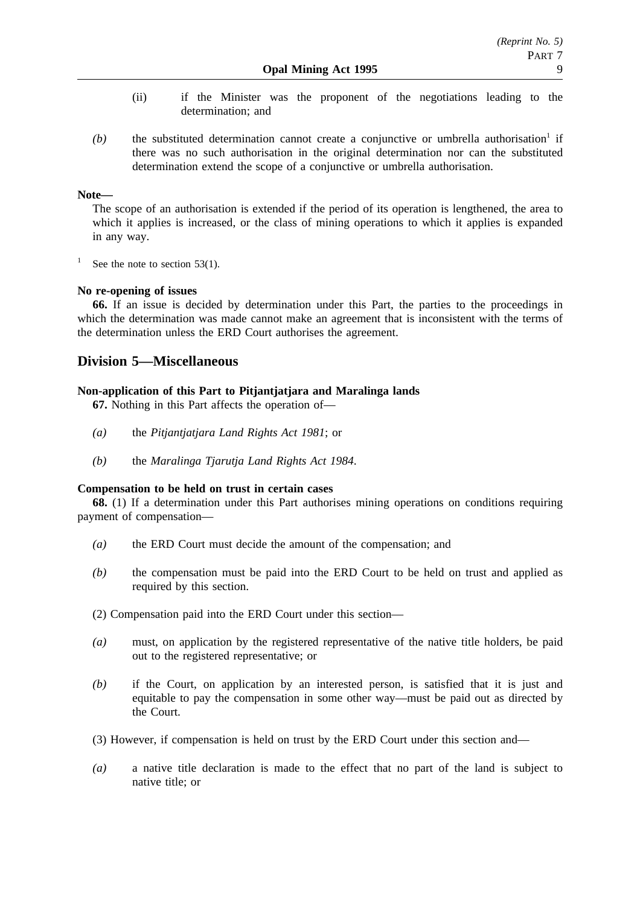- (ii) if the Minister was the proponent of the negotiations leading to the determination; and
- $(b)$  the substituted determination cannot create a conjunctive or umbrella authorisation<sup>1</sup> if there was no such authorisation in the original determination nor can the substituted determination extend the scope of a conjunctive or umbrella authorisation.

## **Note—**

The scope of an authorisation is extended if the period of its operation is lengthened, the area to which it applies is increased, or the class of mining operations to which it applies is expanded in any way.

<sup>1</sup> See the note to section 53(1).

## **No re-opening of issues**

**66.** If an issue is decided by determination under this Part, the parties to the proceedings in which the determination was made cannot make an agreement that is inconsistent with the terms of the determination unless the ERD Court authorises the agreement.

## **Division 5—Miscellaneous**

## **Non-application of this Part to Pitjantjatjara and Maralinga lands**

**67.** Nothing in this Part affects the operation of—

- *(a)* the *Pitjantjatjara Land Rights Act 1981*; or
- *(b)* the *Maralinga Tjarutja Land Rights Act 1984*.

## **Compensation to be held on trust in certain cases**

**68.** (1) If a determination under this Part authorises mining operations on conditions requiring payment of compensation—

- *(a)* the ERD Court must decide the amount of the compensation; and
- *(b)* the compensation must be paid into the ERD Court to be held on trust and applied as required by this section.
- (2) Compensation paid into the ERD Court under this section—
- *(a)* must, on application by the registered representative of the native title holders, be paid out to the registered representative; or
- *(b)* if the Court, on application by an interested person, is satisfied that it is just and equitable to pay the compensation in some other way—must be paid out as directed by the Court.
- (3) However, if compensation is held on trust by the ERD Court under this section and—
- *(a)* a native title declaration is made to the effect that no part of the land is subject to native title; or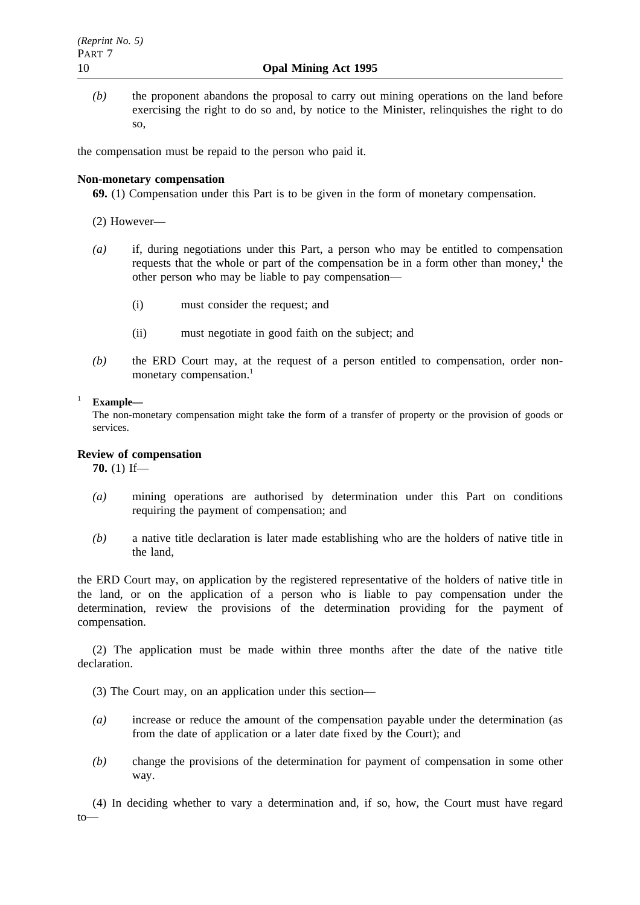*(b)* the proponent abandons the proposal to carry out mining operations on the land before exercising the right to do so and, by notice to the Minister, relinquishes the right to do so,

the compensation must be repaid to the person who paid it.

### **Non-monetary compensation**

**69.** (1) Compensation under this Part is to be given in the form of monetary compensation.

- (2) However—
- *(a)* if, during negotiations under this Part, a person who may be entitled to compensation requests that the whole or part of the compensation be in a form other than money,<sup>1</sup> the other person who may be liable to pay compensation—
	- (i) must consider the request; and
	- (ii) must negotiate in good faith on the subject; and
- *(b)* the ERD Court may, at the request of a person entitled to compensation, order nonmonetary compensation.<sup>1</sup>

## <sup>1</sup> **Example—**

The non-monetary compensation might take the form of a transfer of property or the provision of goods or services.

## **Review of compensation**

**70.** (1) If—

- *(a)* mining operations are authorised by determination under this Part on conditions requiring the payment of compensation; and
- *(b)* a native title declaration is later made establishing who are the holders of native title in the land,

the ERD Court may, on application by the registered representative of the holders of native title in the land, or on the application of a person who is liable to pay compensation under the determination, review the provisions of the determination providing for the payment of compensation.

(2) The application must be made within three months after the date of the native title declaration.

- (3) The Court may, on an application under this section—
- *(a)* increase or reduce the amount of the compensation payable under the determination (as from the date of application or a later date fixed by the Court); and
- *(b)* change the provisions of the determination for payment of compensation in some other way.

(4) In deciding whether to vary a determination and, if so, how, the Court must have regard to—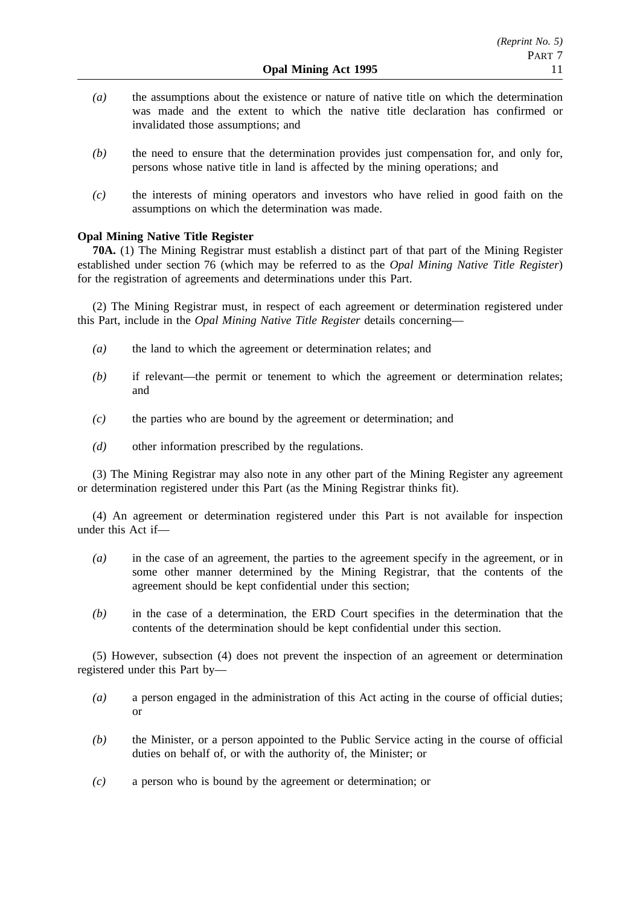- *(a)* the assumptions about the existence or nature of native title on which the determination was made and the extent to which the native title declaration has confirmed or invalidated those assumptions; and
- *(b)* the need to ensure that the determination provides just compensation for, and only for, persons whose native title in land is affected by the mining operations; and
- *(c)* the interests of mining operators and investors who have relied in good faith on the assumptions on which the determination was made.

### **Opal Mining Native Title Register**

**70A.** (1) The Mining Registrar must establish a distinct part of that part of the Mining Register established under section 76 (which may be referred to as the *Opal Mining Native Title Register*) for the registration of agreements and determinations under this Part.

(2) The Mining Registrar must, in respect of each agreement or determination registered under this Part, include in the *Opal Mining Native Title Register* details concerning—

- *(a)* the land to which the agreement or determination relates; and
- *(b)* if relevant—the permit or tenement to which the agreement or determination relates; and
- *(c)* the parties who are bound by the agreement or determination; and
- *(d)* other information prescribed by the regulations.

(3) The Mining Registrar may also note in any other part of the Mining Register any agreement or determination registered under this Part (as the Mining Registrar thinks fit).

(4) An agreement or determination registered under this Part is not available for inspection under this Act if—

- *(a)* in the case of an agreement, the parties to the agreement specify in the agreement, or in some other manner determined by the Mining Registrar, that the contents of the agreement should be kept confidential under this section;
- *(b)* in the case of a determination, the ERD Court specifies in the determination that the contents of the determination should be kept confidential under this section.

(5) However, subsection (4) does not prevent the inspection of an agreement or determination registered under this Part by—

- *(a)* a person engaged in the administration of this Act acting in the course of official duties; or
- *(b)* the Minister, or a person appointed to the Public Service acting in the course of official duties on behalf of, or with the authority of, the Minister; or
- *(c)* a person who is bound by the agreement or determination; or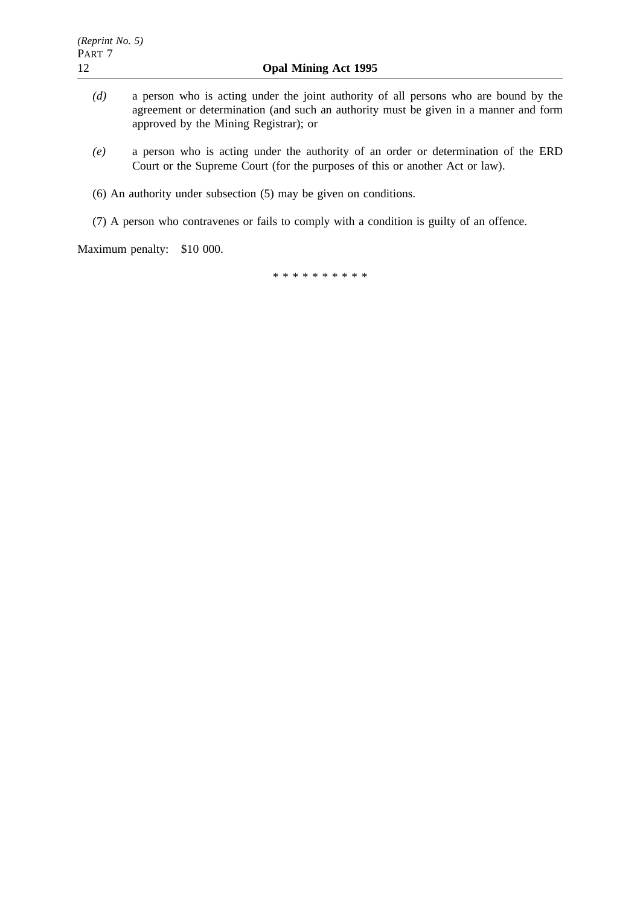- *(d)* a person who is acting under the joint authority of all persons who are bound by the agreement or determination (and such an authority must be given in a manner and form approved by the Mining Registrar); or
- *(e)* a person who is acting under the authority of an order or determination of the ERD Court or the Supreme Court (for the purposes of this or another Act or law).
- (6) An authority under subsection (5) may be given on conditions.
- (7) A person who contravenes or fails to comply with a condition is guilty of an offence.

Maximum penalty: \$10 000.

\*\*\*\*\*\*\*\*\*\*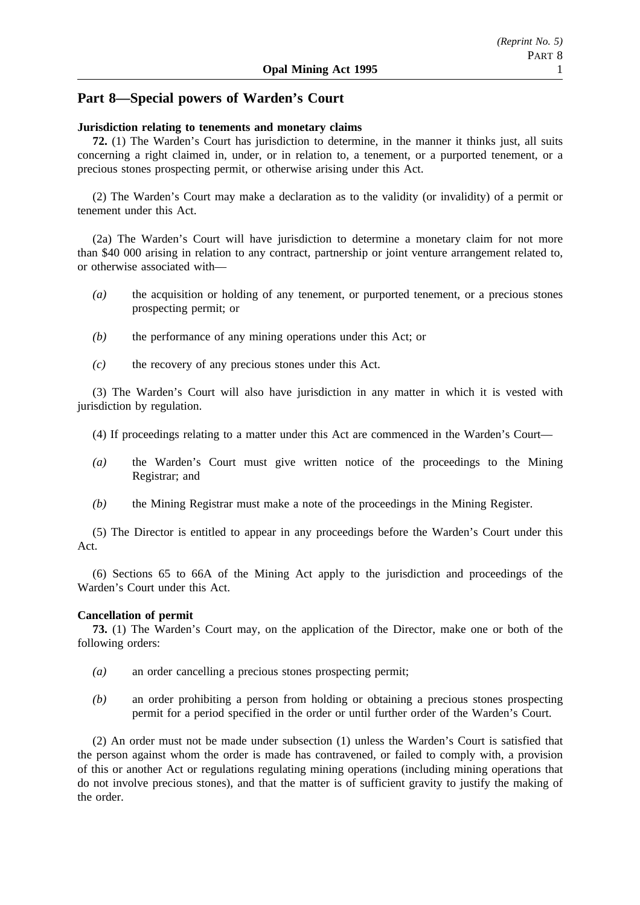## **Part 8—Special powers of Warden's Court**

### **Jurisdiction relating to tenements and monetary claims**

**72.** (1) The Warden's Court has jurisdiction to determine, in the manner it thinks just, all suits concerning a right claimed in, under, or in relation to, a tenement, or a purported tenement, or a precious stones prospecting permit, or otherwise arising under this Act.

(2) The Warden's Court may make a declaration as to the validity (or invalidity) of a permit or tenement under this Act.

(2a) The Warden's Court will have jurisdiction to determine a monetary claim for not more than \$40 000 arising in relation to any contract, partnership or joint venture arrangement related to, or otherwise associated with—

- *(a)* the acquisition or holding of any tenement, or purported tenement, or a precious stones prospecting permit; or
- *(b)* the performance of any mining operations under this Act; or
- *(c)* the recovery of any precious stones under this Act.

(3) The Warden's Court will also have jurisdiction in any matter in which it is vested with jurisdiction by regulation.

- (4) If proceedings relating to a matter under this Act are commenced in the Warden's Court—
- *(a)* the Warden's Court must give written notice of the proceedings to the Mining Registrar; and
- *(b)* the Mining Registrar must make a note of the proceedings in the Mining Register.

(5) The Director is entitled to appear in any proceedings before the Warden's Court under this Act.

(6) Sections 65 to 66A of the Mining Act apply to the jurisdiction and proceedings of the Warden's Court under this Act.

## **Cancellation of permit**

**73.** (1) The Warden's Court may, on the application of the Director, make one or both of the following orders:

- *(a)* an order cancelling a precious stones prospecting permit;
- *(b)* an order prohibiting a person from holding or obtaining a precious stones prospecting permit for a period specified in the order or until further order of the Warden's Court.

(2) An order must not be made under subsection (1) unless the Warden's Court is satisfied that the person against whom the order is made has contravened, or failed to comply with, a provision of this or another Act or regulations regulating mining operations (including mining operations that do not involve precious stones), and that the matter is of sufficient gravity to justify the making of the order.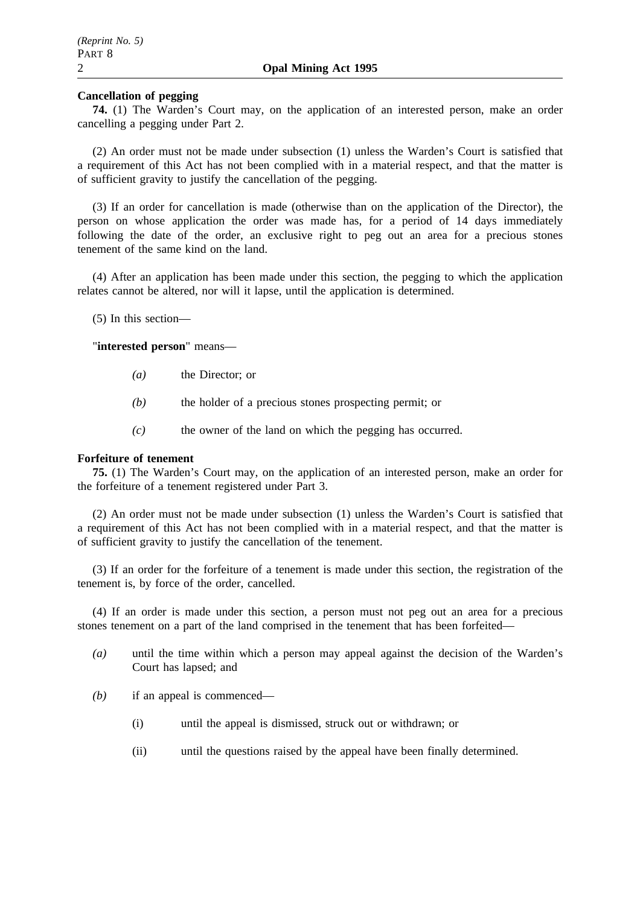### **Cancellation of pegging**

**74.** (1) The Warden's Court may, on the application of an interested person, make an order cancelling a pegging under Part 2.

(2) An order must not be made under subsection (1) unless the Warden's Court is satisfied that a requirement of this Act has not been complied with in a material respect, and that the matter is of sufficient gravity to justify the cancellation of the pegging.

(3) If an order for cancellation is made (otherwise than on the application of the Director), the person on whose application the order was made has, for a period of 14 days immediately following the date of the order, an exclusive right to peg out an area for a precious stones tenement of the same kind on the land.

(4) After an application has been made under this section, the pegging to which the application relates cannot be altered, nor will it lapse, until the application is determined.

(5) In this section—

"**interested person**" means—

- *(a)* the Director; or
- *(b)* the holder of a precious stones prospecting permit; or
- *(c)* the owner of the land on which the pegging has occurred.

### **Forfeiture of tenement**

**75.** (1) The Warden's Court may, on the application of an interested person, make an order for the forfeiture of a tenement registered under Part 3.

(2) An order must not be made under subsection (1) unless the Warden's Court is satisfied that a requirement of this Act has not been complied with in a material respect, and that the matter is of sufficient gravity to justify the cancellation of the tenement.

(3) If an order for the forfeiture of a tenement is made under this section, the registration of the tenement is, by force of the order, cancelled.

(4) If an order is made under this section, a person must not peg out an area for a precious stones tenement on a part of the land comprised in the tenement that has been forfeited—

- *(a)* until the time within which a person may appeal against the decision of the Warden's Court has lapsed; and
- *(b)* if an appeal is commenced—
	- (i) until the appeal is dismissed, struck out or withdrawn; or
	- (ii) until the questions raised by the appeal have been finally determined.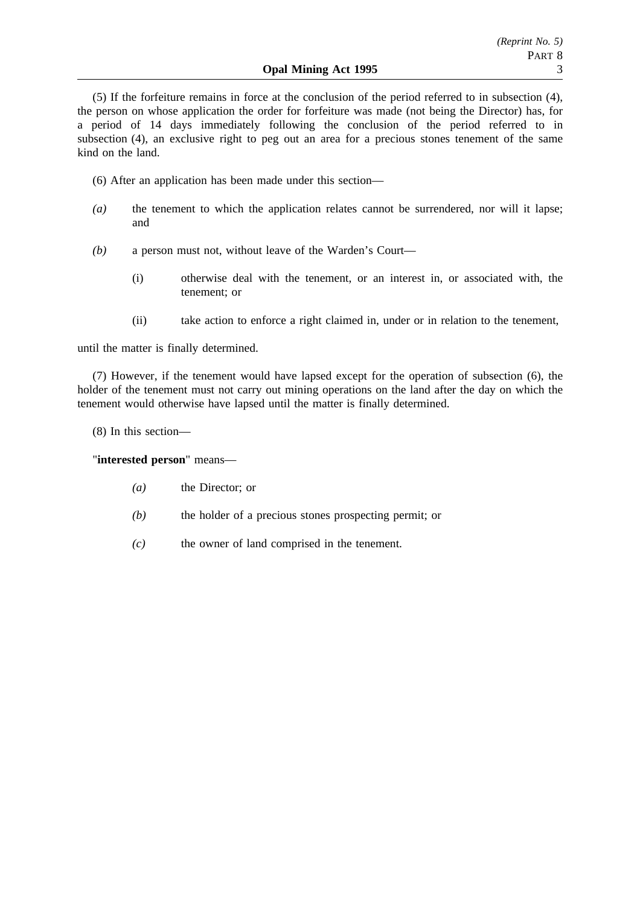(5) If the forfeiture remains in force at the conclusion of the period referred to in subsection (4), the person on whose application the order for forfeiture was made (not being the Director) has, for a period of 14 days immediately following the conclusion of the period referred to in subsection (4), an exclusive right to peg out an area for a precious stones tenement of the same kind on the land.

- (6) After an application has been made under this section—
- *(a)* the tenement to which the application relates cannot be surrendered, nor will it lapse; and
- *(b)* a person must not, without leave of the Warden's Court—
	- (i) otherwise deal with the tenement, or an interest in, or associated with, the tenement; or
	- (ii) take action to enforce a right claimed in, under or in relation to the tenement,

until the matter is finally determined.

(7) However, if the tenement would have lapsed except for the operation of subsection (6), the holder of the tenement must not carry out mining operations on the land after the day on which the tenement would otherwise have lapsed until the matter is finally determined.

(8) In this section—

"**interested person**" means—

- *(a)* the Director; or
- *(b)* the holder of a precious stones prospecting permit; or
- *(c)* the owner of land comprised in the tenement.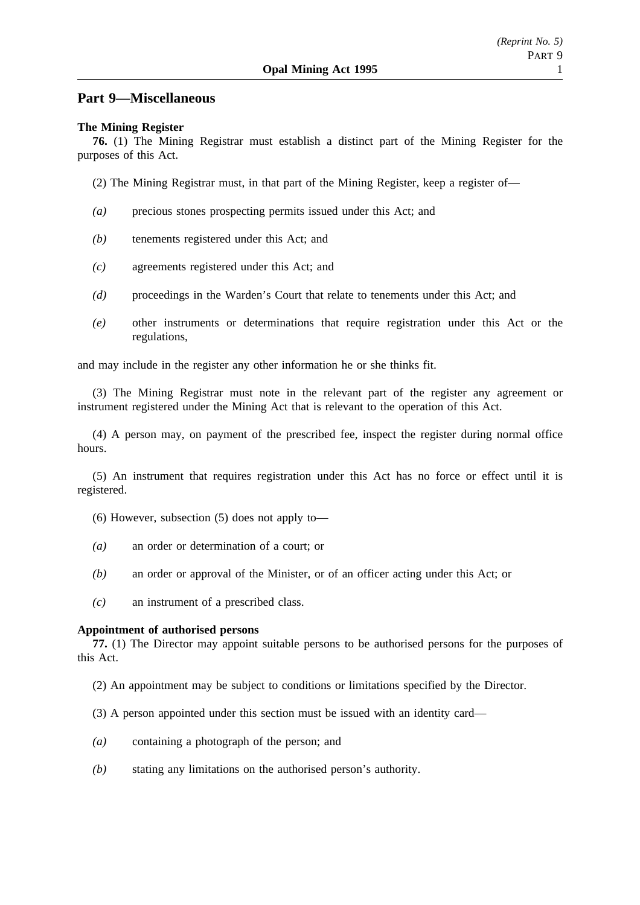## **Part 9—Miscellaneous**

### **The Mining Register**

**76.** (1) The Mining Registrar must establish a distinct part of the Mining Register for the purposes of this Act.

- (2) The Mining Registrar must, in that part of the Mining Register, keep a register of—
- *(a)* precious stones prospecting permits issued under this Act; and
- *(b)* tenements registered under this Act; and
- *(c)* agreements registered under this Act; and
- *(d)* proceedings in the Warden's Court that relate to tenements under this Act; and
- *(e)* other instruments or determinations that require registration under this Act or the regulations,

and may include in the register any other information he or she thinks fit.

(3) The Mining Registrar must note in the relevant part of the register any agreement or instrument registered under the Mining Act that is relevant to the operation of this Act.

(4) A person may, on payment of the prescribed fee, inspect the register during normal office hours.

(5) An instrument that requires registration under this Act has no force or effect until it is registered.

- (6) However, subsection (5) does not apply to—
- *(a)* an order or determination of a court; or
- *(b)* an order or approval of the Minister, or of an officer acting under this Act; or
- *(c)* an instrument of a prescribed class.

#### **Appointment of authorised persons**

**77.** (1) The Director may appoint suitable persons to be authorised persons for the purposes of this Act.

- (2) An appointment may be subject to conditions or limitations specified by the Director.
- (3) A person appointed under this section must be issued with an identity card—
- *(a)* containing a photograph of the person; and
- *(b)* stating any limitations on the authorised person's authority.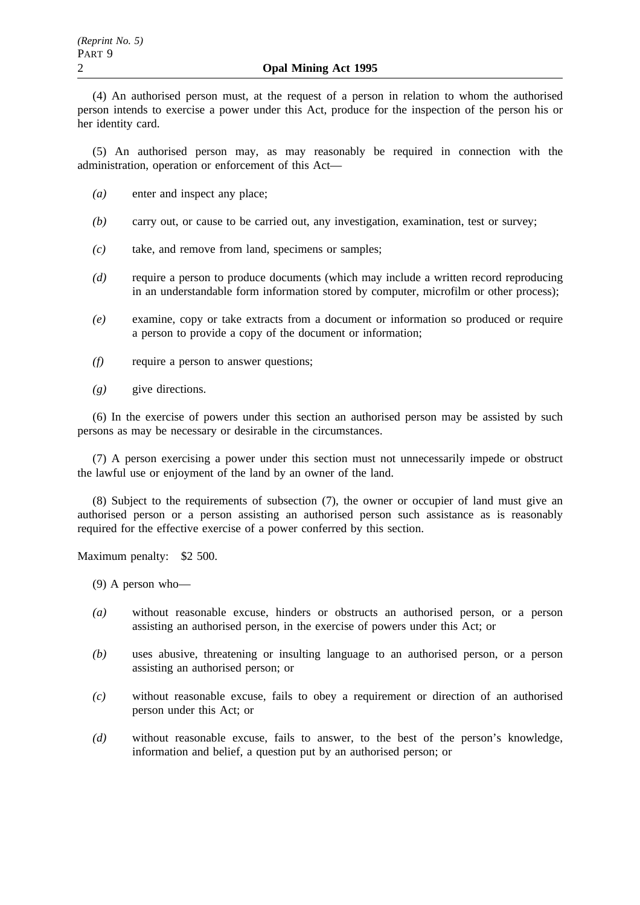(4) An authorised person must, at the request of a person in relation to whom the authorised person intends to exercise a power under this Act, produce for the inspection of the person his or her identity card.

(5) An authorised person may, as may reasonably be required in connection with the administration, operation or enforcement of this Act—

- *(a)* enter and inspect any place;
- *(b)* carry out, or cause to be carried out, any investigation, examination, test or survey;
- *(c)* take, and remove from land, specimens or samples;
- *(d)* require a person to produce documents (which may include a written record reproducing in an understandable form information stored by computer, microfilm or other process);
- *(e)* examine, copy or take extracts from a document or information so produced or require a person to provide a copy of the document or information;
- *(f)* require a person to answer questions;
- *(g)* give directions.

(6) In the exercise of powers under this section an authorised person may be assisted by such persons as may be necessary or desirable in the circumstances.

(7) A person exercising a power under this section must not unnecessarily impede or obstruct the lawful use or enjoyment of the land by an owner of the land.

(8) Subject to the requirements of subsection (7), the owner or occupier of land must give an authorised person or a person assisting an authorised person such assistance as is reasonably required for the effective exercise of a power conferred by this section.

Maximum penalty: \$2 500.

(9) A person who—

- *(a)* without reasonable excuse, hinders or obstructs an authorised person, or a person assisting an authorised person, in the exercise of powers under this Act; or
- *(b)* uses abusive, threatening or insulting language to an authorised person, or a person assisting an authorised person; or
- *(c)* without reasonable excuse, fails to obey a requirement or direction of an authorised person under this Act; or
- *(d)* without reasonable excuse, fails to answer, to the best of the person's knowledge, information and belief, a question put by an authorised person; or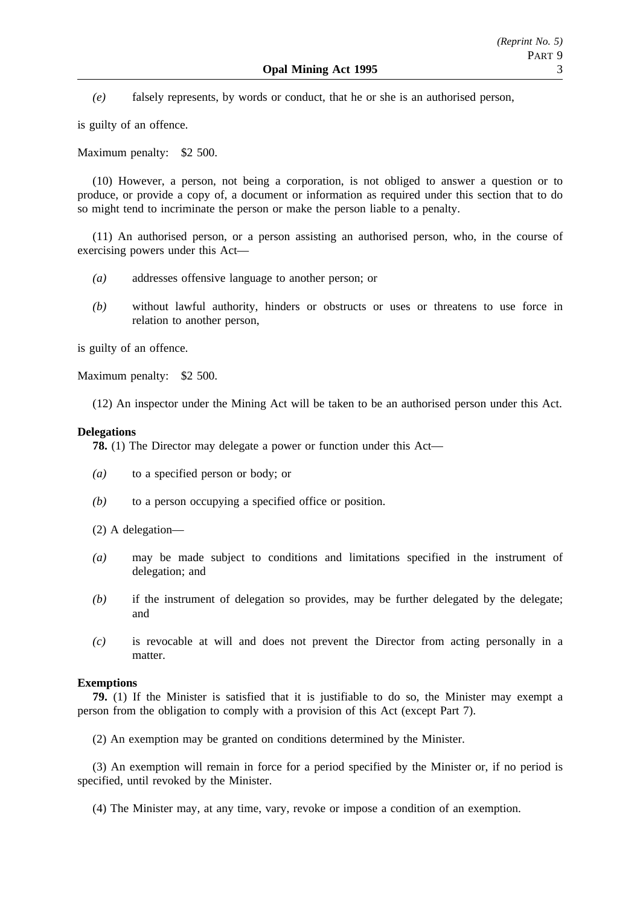*(e)* falsely represents, by words or conduct, that he or she is an authorised person,

is guilty of an offence.

Maximum penalty: \$2 500.

(10) However, a person, not being a corporation, is not obliged to answer a question or to produce, or provide a copy of, a document or information as required under this section that to do so might tend to incriminate the person or make the person liable to a penalty.

(11) An authorised person, or a person assisting an authorised person, who, in the course of exercising powers under this Act—

- *(a)* addresses offensive language to another person; or
- *(b)* without lawful authority, hinders or obstructs or uses or threatens to use force in relation to another person,

is guilty of an offence.

Maximum penalty: \$2 500.

(12) An inspector under the Mining Act will be taken to be an authorised person under this Act.

#### **Delegations**

**78.** (1) The Director may delegate a power or function under this Act—

- *(a)* to a specified person or body; or
- *(b)* to a person occupying a specified office or position.

(2) A delegation—

- *(a)* may be made subject to conditions and limitations specified in the instrument of delegation; and
- *(b)* if the instrument of delegation so provides, may be further delegated by the delegate; and
- *(c)* is revocable at will and does not prevent the Director from acting personally in a matter.

#### **Exemptions**

**79.** (1) If the Minister is satisfied that it is justifiable to do so, the Minister may exempt a person from the obligation to comply with a provision of this Act (except Part 7).

(2) An exemption may be granted on conditions determined by the Minister.

(3) An exemption will remain in force for a period specified by the Minister or, if no period is specified, until revoked by the Minister.

(4) The Minister may, at any time, vary, revoke or impose a condition of an exemption.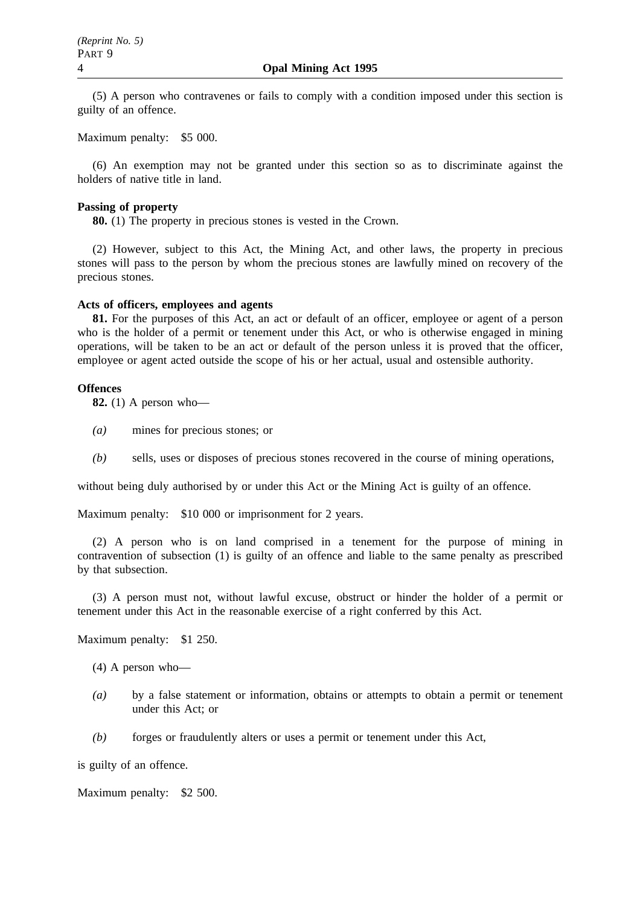(5) A person who contravenes or fails to comply with a condition imposed under this section is guilty of an offence.

Maximum penalty: \$5 000.

(6) An exemption may not be granted under this section so as to discriminate against the holders of native title in land.

#### **Passing of property**

**80.** (1) The property in precious stones is vested in the Crown.

(2) However, subject to this Act, the Mining Act, and other laws, the property in precious stones will pass to the person by whom the precious stones are lawfully mined on recovery of the precious stones.

#### **Acts of officers, employees and agents**

**81.** For the purposes of this Act, an act or default of an officer, employee or agent of a person who is the holder of a permit or tenement under this Act, or who is otherwise engaged in mining operations, will be taken to be an act or default of the person unless it is proved that the officer, employee or agent acted outside the scope of his or her actual, usual and ostensible authority.

#### **Offences**

**82.** (1) A person who—

- *(a)* mines for precious stones; or
- *(b)* sells, uses or disposes of precious stones recovered in the course of mining operations,

without being duly authorised by or under this Act or the Mining Act is guilty of an offence.

Maximum penalty: \$10 000 or imprisonment for 2 years.

(2) A person who is on land comprised in a tenement for the purpose of mining in contravention of subsection (1) is guilty of an offence and liable to the same penalty as prescribed by that subsection.

(3) A person must not, without lawful excuse, obstruct or hinder the holder of a permit or tenement under this Act in the reasonable exercise of a right conferred by this Act.

Maximum penalty: \$1 250.

- (4) A person who—
- *(a)* by a false statement or information, obtains or attempts to obtain a permit or tenement under this Act; or
- *(b)* forges or fraudulently alters or uses a permit or tenement under this Act,

is guilty of an offence.

Maximum penalty: \$2 500.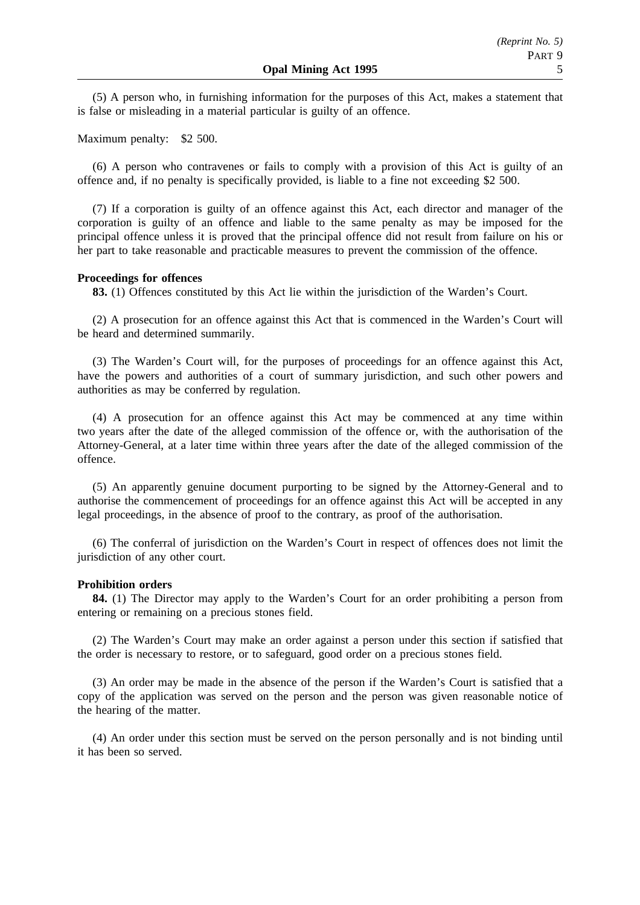(5) A person who, in furnishing information for the purposes of this Act, makes a statement that is false or misleading in a material particular is guilty of an offence.

Maximum penalty: \$2 500.

(6) A person who contravenes or fails to comply with a provision of this Act is guilty of an offence and, if no penalty is specifically provided, is liable to a fine not exceeding \$2 500.

(7) If a corporation is guilty of an offence against this Act, each director and manager of the corporation is guilty of an offence and liable to the same penalty as may be imposed for the principal offence unless it is proved that the principal offence did not result from failure on his or her part to take reasonable and practicable measures to prevent the commission of the offence.

#### **Proceedings for offences**

**83.** (1) Offences constituted by this Act lie within the jurisdiction of the Warden's Court.

(2) A prosecution for an offence against this Act that is commenced in the Warden's Court will be heard and determined summarily.

(3) The Warden's Court will, for the purposes of proceedings for an offence against this Act, have the powers and authorities of a court of summary jurisdiction, and such other powers and authorities as may be conferred by regulation.

(4) A prosecution for an offence against this Act may be commenced at any time within two years after the date of the alleged commission of the offence or, with the authorisation of the Attorney-General, at a later time within three years after the date of the alleged commission of the offence.

(5) An apparently genuine document purporting to be signed by the Attorney-General and to authorise the commencement of proceedings for an offence against this Act will be accepted in any legal proceedings, in the absence of proof to the contrary, as proof of the authorisation.

(6) The conferral of jurisdiction on the Warden's Court in respect of offences does not limit the jurisdiction of any other court.

#### **Prohibition orders**

**84.** (1) The Director may apply to the Warden's Court for an order prohibiting a person from entering or remaining on a precious stones field.

(2) The Warden's Court may make an order against a person under this section if satisfied that the order is necessary to restore, or to safeguard, good order on a precious stones field.

(3) An order may be made in the absence of the person if the Warden's Court is satisfied that a copy of the application was served on the person and the person was given reasonable notice of the hearing of the matter.

(4) An order under this section must be served on the person personally and is not binding until it has been so served.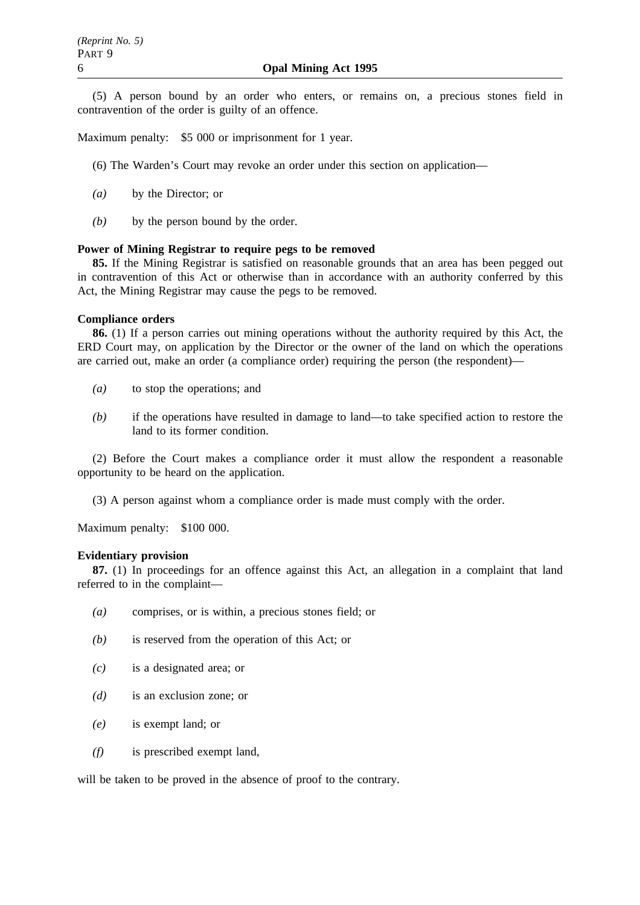(5) A person bound by an order who enters, or remains on, a precious stones field in contravention of the order is guilty of an offence.

Maximum penalty: \$5 000 or imprisonment for 1 year.

- (6) The Warden's Court may revoke an order under this section on application—
- *(a)* by the Director; or
- *(b)* by the person bound by the order.

#### **Power of Mining Registrar to require pegs to be removed**

**85.** If the Mining Registrar is satisfied on reasonable grounds that an area has been pegged out in contravention of this Act or otherwise than in accordance with an authority conferred by this Act, the Mining Registrar may cause the pegs to be removed.

### **Compliance orders**

**86.** (1) If a person carries out mining operations without the authority required by this Act, the ERD Court may, on application by the Director or the owner of the land on which the operations are carried out, make an order (a compliance order) requiring the person (the respondent)—

- *(a)* to stop the operations; and
- *(b)* if the operations have resulted in damage to land—to take specified action to restore the land to its former condition.

(2) Before the Court makes a compliance order it must allow the respondent a reasonable opportunity to be heard on the application.

(3) A person against whom a compliance order is made must comply with the order.

Maximum penalty: \$100 000.

#### **Evidentiary provision**

**87.** (1) In proceedings for an offence against this Act, an allegation in a complaint that land referred to in the complaint—

- *(a)* comprises, or is within, a precious stones field; or
- *(b)* is reserved from the operation of this Act; or
- *(c)* is a designated area; or
- *(d)* is an exclusion zone; or
- *(e)* is exempt land; or
- *(f)* is prescribed exempt land,

will be taken to be proved in the absence of proof to the contrary.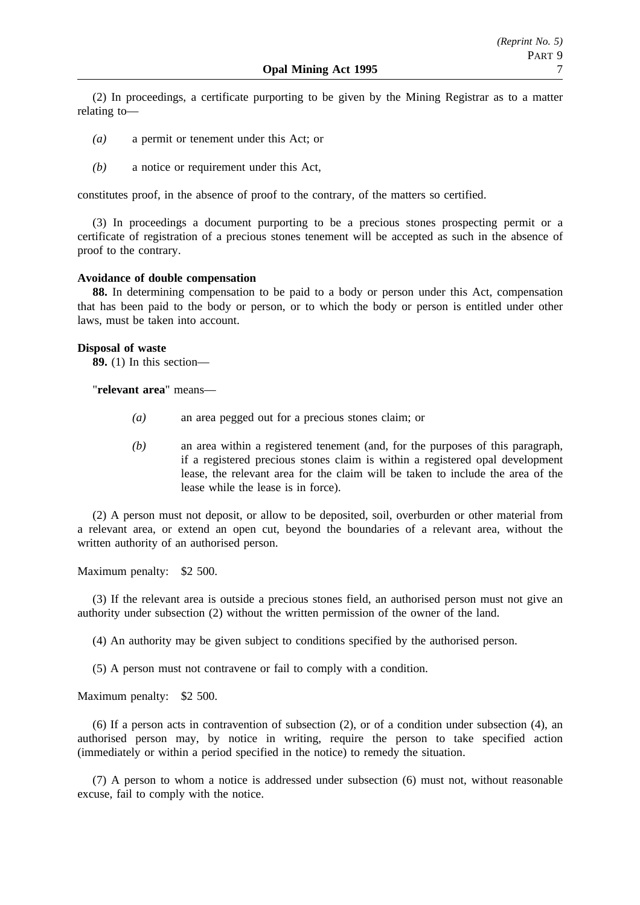(2) In proceedings, a certificate purporting to be given by the Mining Registrar as to a matter relating to—

- *(a)* a permit or tenement under this Act; or
- *(b)* a notice or requirement under this Act,

constitutes proof, in the absence of proof to the contrary, of the matters so certified.

(3) In proceedings a document purporting to be a precious stones prospecting permit or a certificate of registration of a precious stones tenement will be accepted as such in the absence of proof to the contrary.

#### **Avoidance of double compensation**

**88.** In determining compensation to be paid to a body or person under this Act, compensation that has been paid to the body or person, or to which the body or person is entitled under other laws, must be taken into account.

### **Disposal of waste**

**89.** (1) In this section—

"**relevant area**" means—

- *(a)* an area pegged out for a precious stones claim; or
- *(b)* an area within a registered tenement (and, for the purposes of this paragraph, if a registered precious stones claim is within a registered opal development lease, the relevant area for the claim will be taken to include the area of the lease while the lease is in force).

(2) A person must not deposit, or allow to be deposited, soil, overburden or other material from a relevant area, or extend an open cut, beyond the boundaries of a relevant area, without the written authority of an authorised person.

Maximum penalty: \$2 500.

(3) If the relevant area is outside a precious stones field, an authorised person must not give an authority under subsection (2) without the written permission of the owner of the land.

(4) An authority may be given subject to conditions specified by the authorised person.

(5) A person must not contravene or fail to comply with a condition.

Maximum penalty: \$2 500.

(6) If a person acts in contravention of subsection (2), or of a condition under subsection (4), an authorised person may, by notice in writing, require the person to take specified action (immediately or within a period specified in the notice) to remedy the situation.

(7) A person to whom a notice is addressed under subsection (6) must not, without reasonable excuse, fail to comply with the notice.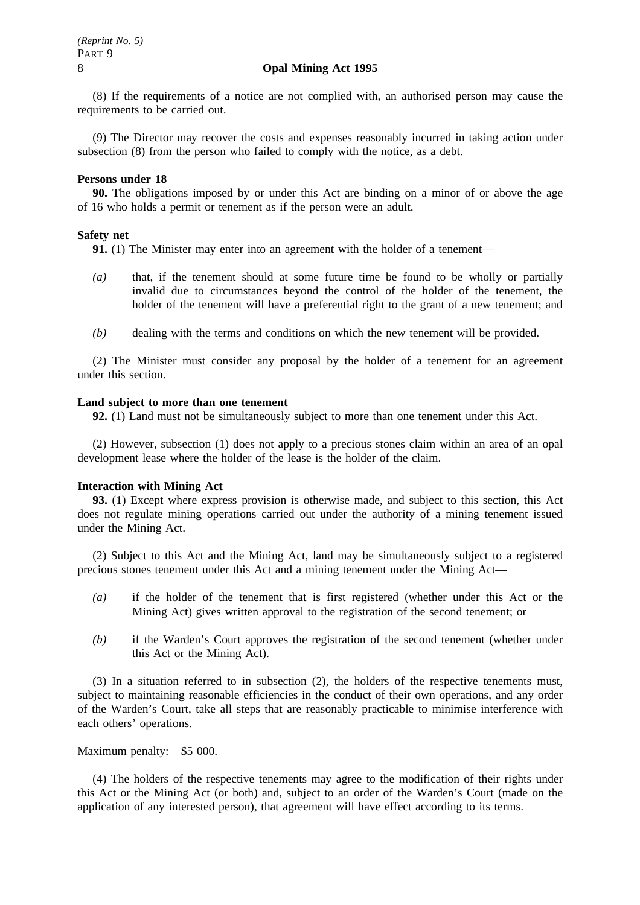(8) If the requirements of a notice are not complied with, an authorised person may cause the requirements to be carried out.

(9) The Director may recover the costs and expenses reasonably incurred in taking action under subsection (8) from the person who failed to comply with the notice, as a debt.

#### **Persons under 18**

**90.** The obligations imposed by or under this Act are binding on a minor of or above the age of 16 who holds a permit or tenement as if the person were an adult.

#### **Safety net**

**91.** (1) The Minister may enter into an agreement with the holder of a tenement—

- *(a)* that, if the tenement should at some future time be found to be wholly or partially invalid due to circumstances beyond the control of the holder of the tenement, the holder of the tenement will have a preferential right to the grant of a new tenement; and
- *(b)* dealing with the terms and conditions on which the new tenement will be provided.

(2) The Minister must consider any proposal by the holder of a tenement for an agreement under this section.

#### **Land subject to more than one tenement**

**92.** (1) Land must not be simultaneously subject to more than one tenement under this Act.

(2) However, subsection (1) does not apply to a precious stones claim within an area of an opal development lease where the holder of the lease is the holder of the claim.

#### **Interaction with Mining Act**

**93.** (1) Except where express provision is otherwise made, and subject to this section, this Act does not regulate mining operations carried out under the authority of a mining tenement issued under the Mining Act.

(2) Subject to this Act and the Mining Act, land may be simultaneously subject to a registered precious stones tenement under this Act and a mining tenement under the Mining Act—

- *(a)* if the holder of the tenement that is first registered (whether under this Act or the Mining Act) gives written approval to the registration of the second tenement; or
- *(b)* if the Warden's Court approves the registration of the second tenement (whether under this Act or the Mining Act).

(3) In a situation referred to in subsection (2), the holders of the respective tenements must, subject to maintaining reasonable efficiencies in the conduct of their own operations, and any order of the Warden's Court, take all steps that are reasonably practicable to minimise interference with each others' operations.

#### Maximum penalty: \$5 000.

(4) The holders of the respective tenements may agree to the modification of their rights under this Act or the Mining Act (or both) and, subject to an order of the Warden's Court (made on the application of any interested person), that agreement will have effect according to its terms.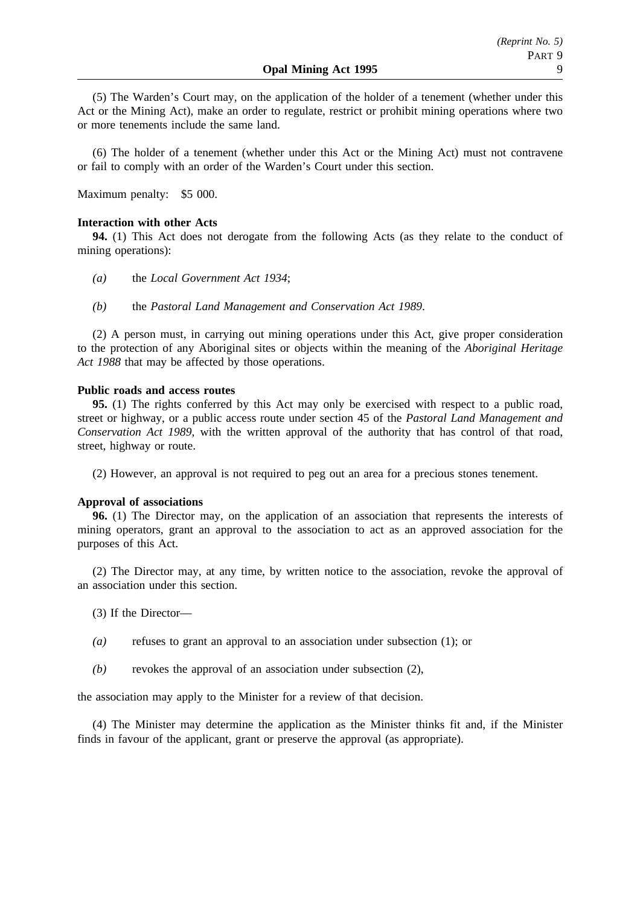(5) The Warden's Court may, on the application of the holder of a tenement (whether under this Act or the Mining Act), make an order to regulate, restrict or prohibit mining operations where two or more tenements include the same land.

(6) The holder of a tenement (whether under this Act or the Mining Act) must not contravene or fail to comply with an order of the Warden's Court under this section.

Maximum penalty: \$5 000.

#### **Interaction with other Acts**

**94.** (1) This Act does not derogate from the following Acts (as they relate to the conduct of mining operations):

- *(a)* the *Local Government Act 1934*;
- *(b)* the *Pastoral Land Management and Conservation Act 1989*.

(2) A person must, in carrying out mining operations under this Act, give proper consideration to the protection of any Aboriginal sites or objects within the meaning of the *Aboriginal Heritage Act 1988* that may be affected by those operations.

#### **Public roads and access routes**

**95.** (1) The rights conferred by this Act may only be exercised with respect to a public road, street or highway, or a public access route under section 45 of the *Pastoral Land Management and Conservation Act 1989*, with the written approval of the authority that has control of that road, street, highway or route.

(2) However, an approval is not required to peg out an area for a precious stones tenement.

#### **Approval of associations**

**96.** (1) The Director may, on the application of an association that represents the interests of mining operators, grant an approval to the association to act as an approved association for the purposes of this Act.

(2) The Director may, at any time, by written notice to the association, revoke the approval of an association under this section.

(3) If the Director—

- *(a)* refuses to grant an approval to an association under subsection (1); or
- *(b)* revokes the approval of an association under subsection (2),

the association may apply to the Minister for a review of that decision.

(4) The Minister may determine the application as the Minister thinks fit and, if the Minister finds in favour of the applicant, grant or preserve the approval (as appropriate).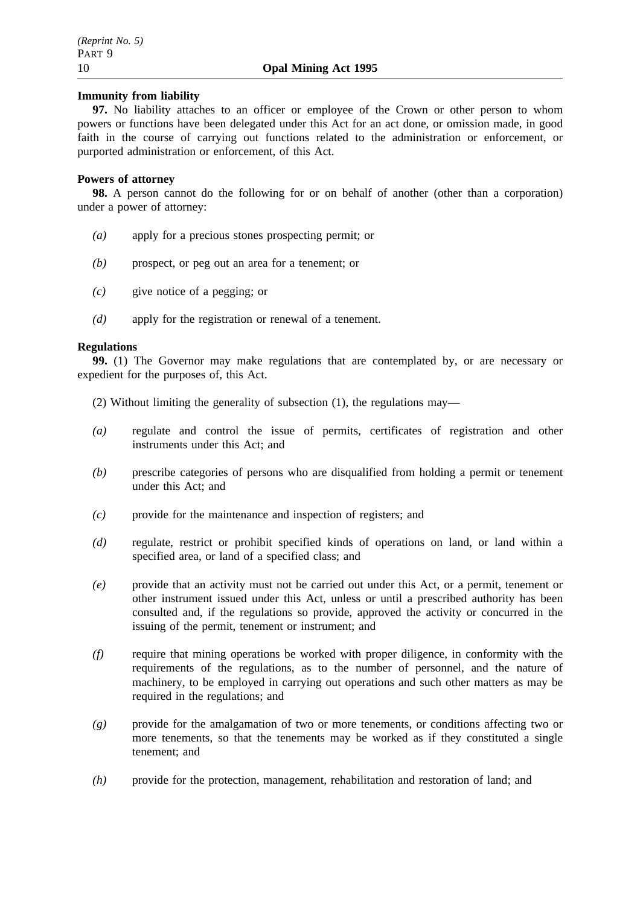### **Immunity from liability**

**97.** No liability attaches to an officer or employee of the Crown or other person to whom powers or functions have been delegated under this Act for an act done, or omission made, in good faith in the course of carrying out functions related to the administration or enforcement, or purported administration or enforcement, of this Act.

### **Powers of attorney**

**98.** A person cannot do the following for or on behalf of another (other than a corporation) under a power of attorney:

- *(a)* apply for a precious stones prospecting permit; or
- *(b)* prospect, or peg out an area for a tenement; or
- *(c)* give notice of a pegging; or
- *(d)* apply for the registration or renewal of a tenement.

#### **Regulations**

**99.** (1) The Governor may make regulations that are contemplated by, or are necessary or expedient for the purposes of, this Act.

- (2) Without limiting the generality of subsection (1), the regulations may—
- *(a)* regulate and control the issue of permits, certificates of registration and other instruments under this Act; and
- *(b)* prescribe categories of persons who are disqualified from holding a permit or tenement under this Act; and
- *(c)* provide for the maintenance and inspection of registers; and
- *(d)* regulate, restrict or prohibit specified kinds of operations on land, or land within a specified area, or land of a specified class; and
- *(e)* provide that an activity must not be carried out under this Act, or a permit, tenement or other instrument issued under this Act, unless or until a prescribed authority has been consulted and, if the regulations so provide, approved the activity or concurred in the issuing of the permit, tenement or instrument; and
- *(f)* require that mining operations be worked with proper diligence, in conformity with the requirements of the regulations, as to the number of personnel, and the nature of machinery, to be employed in carrying out operations and such other matters as may be required in the regulations; and
- *(g)* provide for the amalgamation of two or more tenements, or conditions affecting two or more tenements, so that the tenements may be worked as if they constituted a single tenement; and
- *(h)* provide for the protection, management, rehabilitation and restoration of land; and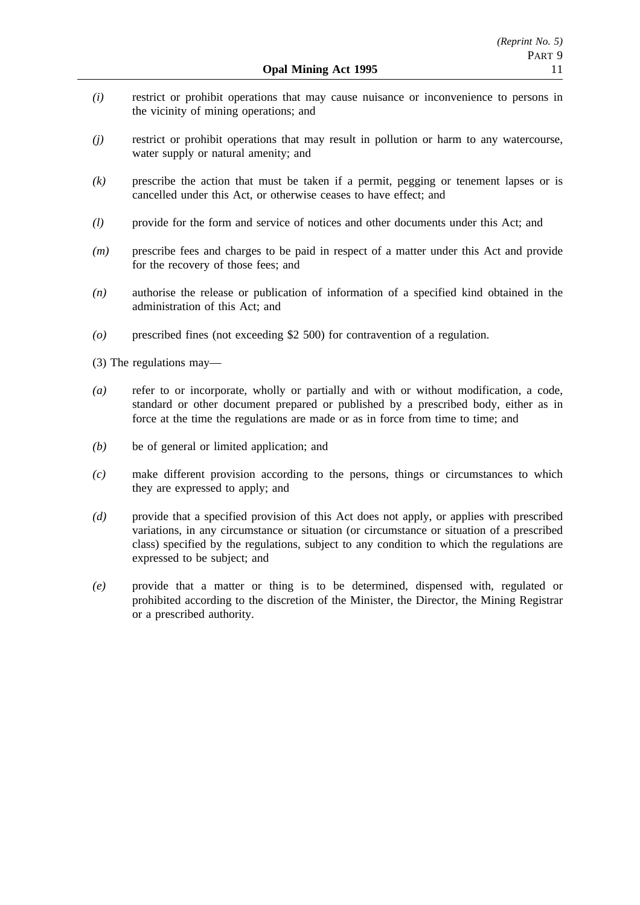- *(i)* restrict or prohibit operations that may cause nuisance or inconvenience to persons in the vicinity of mining operations; and
- *(j)* restrict or prohibit operations that may result in pollution or harm to any watercourse, water supply or natural amenity; and
- *(k)* prescribe the action that must be taken if a permit, pegging or tenement lapses or is cancelled under this Act, or otherwise ceases to have effect; and
- *(l)* provide for the form and service of notices and other documents under this Act; and
- *(m)* prescribe fees and charges to be paid in respect of a matter under this Act and provide for the recovery of those fees; and
- *(n)* authorise the release or publication of information of a specified kind obtained in the administration of this Act; and
- *(o)* prescribed fines (not exceeding \$2 500) for contravention of a regulation.

(3) The regulations may—

- *(a)* refer to or incorporate, wholly or partially and with or without modification, a code, standard or other document prepared or published by a prescribed body, either as in force at the time the regulations are made or as in force from time to time; and
- *(b)* be of general or limited application; and
- *(c)* make different provision according to the persons, things or circumstances to which they are expressed to apply; and
- *(d)* provide that a specified provision of this Act does not apply, or applies with prescribed variations, in any circumstance or situation (or circumstance or situation of a prescribed class) specified by the regulations, subject to any condition to which the regulations are expressed to be subject; and
- *(e)* provide that a matter or thing is to be determined, dispensed with, regulated or prohibited according to the discretion of the Minister, the Director, the Mining Registrar or a prescribed authority.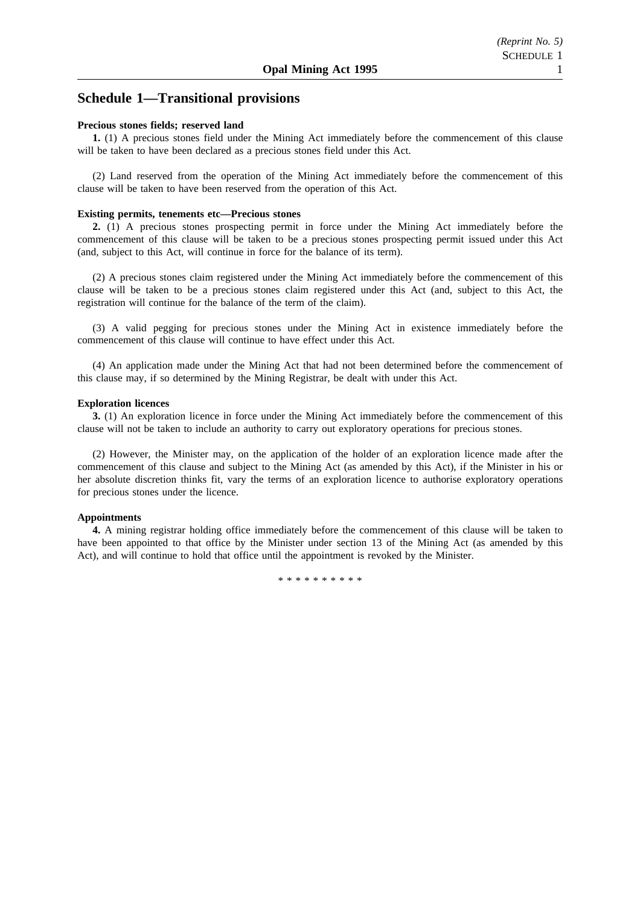## **Schedule 1—Transitional provisions**

#### **Precious stones fields; reserved land**

**1.** (1) A precious stones field under the Mining Act immediately before the commencement of this clause will be taken to have been declared as a precious stones field under this Act.

(2) Land reserved from the operation of the Mining Act immediately before the commencement of this clause will be taken to have been reserved from the operation of this Act.

#### **Existing permits, tenements etc—Precious stones**

**2.** (1) A precious stones prospecting permit in force under the Mining Act immediately before the commencement of this clause will be taken to be a precious stones prospecting permit issued under this Act (and, subject to this Act, will continue in force for the balance of its term).

(2) A precious stones claim registered under the Mining Act immediately before the commencement of this clause will be taken to be a precious stones claim registered under this Act (and, subject to this Act, the registration will continue for the balance of the term of the claim).

(3) A valid pegging for precious stones under the Mining Act in existence immediately before the commencement of this clause will continue to have effect under this Act.

(4) An application made under the Mining Act that had not been determined before the commencement of this clause may, if so determined by the Mining Registrar, be dealt with under this Act.

#### **Exploration licences**

**3.** (1) An exploration licence in force under the Mining Act immediately before the commencement of this clause will not be taken to include an authority to carry out exploratory operations for precious stones.

(2) However, the Minister may, on the application of the holder of an exploration licence made after the commencement of this clause and subject to the Mining Act (as amended by this Act), if the Minister in his or her absolute discretion thinks fit, vary the terms of an exploration licence to authorise exploratory operations for precious stones under the licence.

#### **Appointments**

**4.** A mining registrar holding office immediately before the commencement of this clause will be taken to have been appointed to that office by the Minister under section 13 of the Mining Act (as amended by this Act), and will continue to hold that office until the appointment is revoked by the Minister.

\*\*\*\*\*\*\*\*\*\*